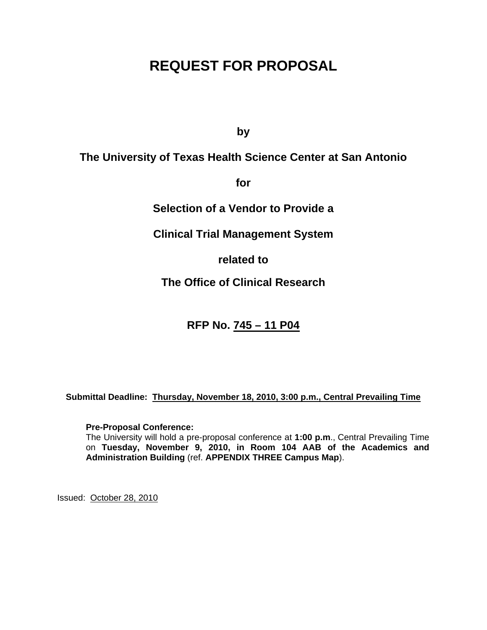# **REQUEST FOR PROPOSAL**

**by** 

# **The University of Texas Health Science Center at San Antonio**

**for** 

**Selection of a Vendor to Provide a** 

**Clinical Trial Management System** 

**related to** 

**The Office of Clinical Research** 

**RFP No. 745 – 11 P04**

**Submittal Deadline: Thursday, November 18, 2010, 3:00 p.m., Central Prevailing Time**

### **Pre-Proposal Conference:**

The University will hold a pre-proposal conference at **1:00 p.m**., Central Prevailing Time on **Tuesday, November 9, 2010, in Room 104 AAB of the Academics and Administration Building** (ref. **APPENDIX THREE Campus Map**).

Issued: October 28, 2010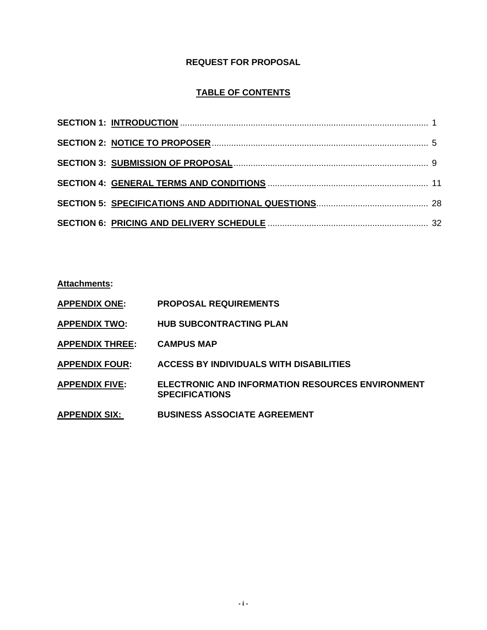# **REQUEST FOR PROPOSAL**

# **TABLE OF CONTENTS**

**Attachments:** 

- **APPENDIX ONE: PROPOSAL REQUIREMENTS**
- **APPENDIX TWO: HUB SUBCONTRACTING PLAN**
- **APPENDIX THREE: CAMPUS MAP**
- **APPENDIX FOUR: ACCESS BY INDIVIDUALS WITH DISABILITIES**
- **APPENDIX FIVE: ELECTRONIC AND INFORMATION RESOURCES ENVIRONMENT SPECIFICATIONS**
- **APPENDIX SIX: BUSINESS ASSOCIATE AGREEMENT**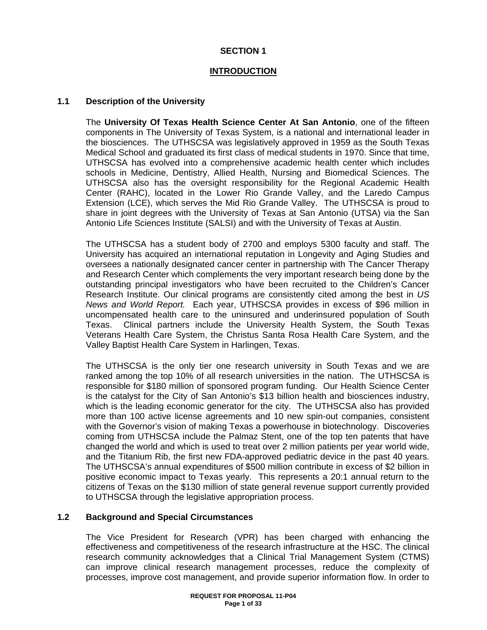# **SECTION 1**

## **INTRODUCTION**

### **1.1 Description of the University**

The **University Of Texas Health Science Center At San Antonio**, one of the fifteen components in The University of Texas System, is a national and international leader in the biosciences. The UTHSCSA was legislatively approved in 1959 as the South Texas Medical School and graduated its first class of medical students in 1970. Since that time, UTHSCSA has evolved into a comprehensive academic health center which includes schools in Medicine, Dentistry, Allied Health, Nursing and Biomedical Sciences. The UTHSCSA also has the oversight responsibility for the Regional Academic Health Center (RAHC), located in the Lower Rio Grande Valley, and the Laredo Campus Extension (LCE), which serves the Mid Rio Grande Valley. The UTHSCSA is proud to share in joint degrees with the University of Texas at San Antonio (UTSA) via the San Antonio Life Sciences Institute (SALSI) and with the University of Texas at Austin.

The UTHSCSA has a student body of 2700 and employs 5300 faculty and staff. The University has acquired an international reputation in Longevity and Aging Studies and oversees a nationally designated cancer center in partnership with The Cancer Therapy and Research Center which complements the very important research being done by the outstanding principal investigators who have been recruited to the Children's Cancer Research Institute. Our clinical programs are consistently cited among the best in *US News and World Report.* Each year, UTHSCSA provides in excess of \$96 million in uncompensated health care to the uninsured and underinsured population of South Texas. Clinical partners include the University Health System, the South Texas Veterans Health Care System, the Christus Santa Rosa Health Care System, and the Valley Baptist Health Care System in Harlingen, Texas.

The UTHSCSA is the only tier one research university in South Texas and we are ranked among the top 10% of all research universities in the nation. The UTHSCSA is responsible for \$180 million of sponsored program funding. Our Health Science Center is the catalyst for the City of San Antonio's \$13 billion health and biosciences industry, which is the leading economic generator for the city. The UTHSCSA also has provided more than 100 active license agreements and 10 new spin-out companies, consistent with the Governor's vision of making Texas a powerhouse in biotechnology. Discoveries coming from UTHSCSA include the Palmaz Stent, one of the top ten patents that have changed the world and which is used to treat over 2 million patients per year world wide, and the Titanium Rib, the first new FDA-approved pediatric device in the past 40 years. The UTHSCSA's annual expenditures of \$500 million contribute in excess of \$2 billion in positive economic impact to Texas yearly. This represents a 20:1 annual return to the citizens of Texas on the \$130 million of state general revenue support currently provided to UTHSCSA through the legislative appropriation process.

### **1.2 Background and Special Circumstances**

The Vice President for Research (VPR) has been charged with enhancing the effectiveness and competitiveness of the research infrastructure at the HSC. The clinical research community acknowledges that a Clinical Trial Management System (CTMS) can improve clinical research management processes, reduce the complexity of processes, improve cost management, and provide superior information flow. In order to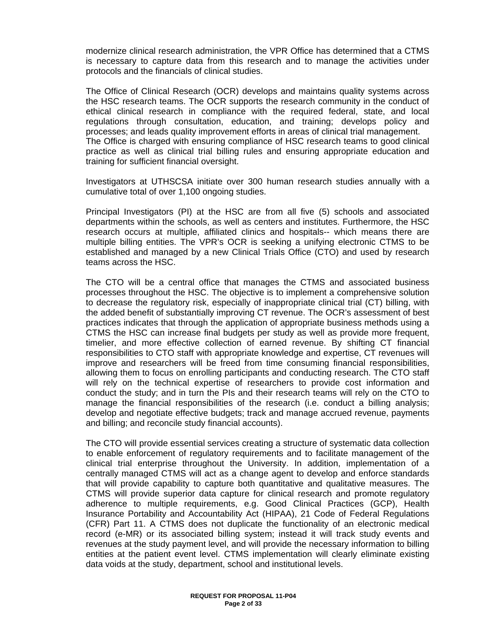modernize clinical research administration, the VPR Office has determined that a CTMS is necessary to capture data from this research and to manage the activities under protocols and the financials of clinical studies.

The Office of Clinical Research (OCR) develops and maintains quality systems across the HSC research teams. The OCR supports the research community in the conduct of ethical clinical research in compliance with the required federal, state, and local regulations through consultation, education, and training; develops policy and processes; and leads quality improvement efforts in areas of clinical trial management. The Office is charged with ensuring compliance of HSC research teams to good clinical practice as well as clinical trial billing rules and ensuring appropriate education and training for sufficient financial oversight.

Investigators at UTHSCSA initiate over 300 human research studies annually with a cumulative total of over 1,100 ongoing studies.

Principal Investigators (PI) at the HSC are from all five (5) schools and associated departments within the schools, as well as centers and institutes. Furthermore, the HSC research occurs at multiple, affiliated clinics and hospitals-- which means there are multiple billing entities. The VPR's OCR is seeking a unifying electronic CTMS to be established and managed by a new Clinical Trials Office (CTO) and used by research teams across the HSC.

The CTO will be a central office that manages the CTMS and associated business processes throughout the HSC. The objective is to implement a comprehensive solution to decrease the regulatory risk, especially of inappropriate clinical trial (CT) billing, with the added benefit of substantially improving CT revenue. The OCR's assessment of best practices indicates that through the application of appropriate business methods using a CTMS the HSC can increase final budgets per study as well as provide more frequent, timelier, and more effective collection of earned revenue. By shifting CT financial responsibilities to CTO staff with appropriate knowledge and expertise, CT revenues will improve and researchers will be freed from time consuming financial responsibilities, allowing them to focus on enrolling participants and conducting research. The CTO staff will rely on the technical expertise of researchers to provide cost information and conduct the study; and in turn the PIs and their research teams will rely on the CTO to manage the financial responsibilities of the research (i.e. conduct a billing analysis; develop and negotiate effective budgets; track and manage accrued revenue, payments and billing; and reconcile study financial accounts).

The CTO will provide essential services creating a structure of systematic data collection to enable enforcement of regulatory requirements and to facilitate management of the clinical trial enterprise throughout the University. In addition, implementation of a centrally managed CTMS will act as a change agent to develop and enforce standards that will provide capability to capture both quantitative and qualitative measures. The CTMS will provide superior data capture for clinical research and promote regulatory adherence to multiple requirements, e.g. Good Clinical Practices (GCP), Health Insurance Portability and Accountability Act (HIPAA), 21 Code of Federal Regulations (CFR) Part 11. A CTMS does not duplicate the functionality of an electronic medical record (e-MR) or its associated billing system; instead it will track study events and revenues at the study payment level, and will provide the necessary information to billing entities at the patient event level. CTMS implementation will clearly eliminate existing data voids at the study, department, school and institutional levels.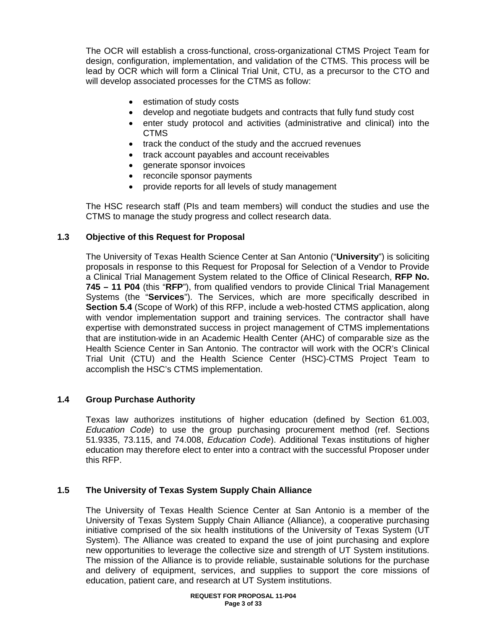The OCR will establish a cross-functional, cross-organizational CTMS Project Team for design, configuration, implementation, and validation of the CTMS. This process will be lead by OCR which will form a Clinical Trial Unit, CTU, as a precursor to the CTO and will develop associated processes for the CTMS as follow:

- estimation of study costs
- develop and negotiate budgets and contracts that fully fund study cost
- enter study protocol and activities (administrative and clinical) into the CTMS
- track the conduct of the study and the accrued revenues
- track account payables and account receivables
- generate sponsor invoices
- reconcile sponsor payments
- provide reports for all levels of study management

The HSC research staff (PIs and team members) will conduct the studies and use the CTMS to manage the study progress and collect research data.

### **1.3 Objective of this Request for Proposal**

The University of Texas Health Science Center at San Antonio ("**University**") is soliciting proposals in response to this Request for Proposal for Selection of a Vendor to Provide a Clinical Trial Management System related to the Office of Clinical Research, **RFP No. 745 – 11 P04** (this "**RFP**"), from qualified vendors to provide Clinical Trial Management Systems (the "**Services**"). The Services, which are more specifically described in **Section 5.4** (Scope of Work) of this RFP, include a web‐hosted CTMS application, along with vendor implementation support and training services. The contractor shall have expertise with demonstrated success in project management of CTMS implementations that are institution‐wide in an Academic Health Center (AHC) of comparable size as the Health Science Center in San Antonio. The contractor will work with the OCR's Clinical Trial Unit (CTU) and the Health Science Center (HSC)‐CTMS Project Team to accomplish the HSC's CTMS implementation.

### **1.4 Group Purchase Authority**

Texas law authorizes institutions of higher education (defined by Section 61.003, *Education Code*) to use the group purchasing procurement method (ref. Sections 51.9335, 73.115, and 74.008, *Education Code*). Additional Texas institutions of higher education may therefore elect to enter into a contract with the successful Proposer under this RFP.

### **1.5 The University of Texas System Supply Chain Alliance**

The University of Texas Health Science Center at San Antonio is a member of the University of Texas System Supply Chain Alliance (Alliance), a cooperative purchasing initiative comprised of the six health institutions of the University of Texas System (UT System). The Alliance was created to expand the use of joint purchasing and explore new opportunities to leverage the collective size and strength of UT System institutions. The mission of the Alliance is to provide reliable, sustainable solutions for the purchase and delivery of equipment, services, and supplies to support the core missions of education, patient care, and research at UT System institutions.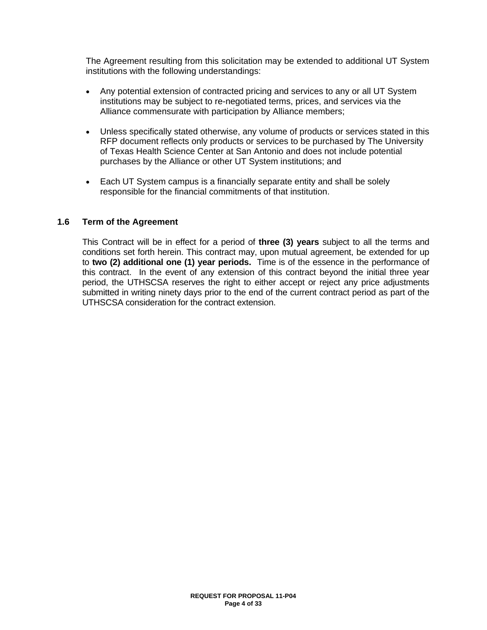The Agreement resulting from this solicitation may be extended to additional UT System institutions with the following understandings:

- Any potential extension of contracted pricing and services to any or all UT System institutions may be subject to re-negotiated terms, prices, and services via the Alliance commensurate with participation by Alliance members;
- Unless specifically stated otherwise, any volume of products or services stated in this RFP document reflects only products or services to be purchased by The University of Texas Health Science Center at San Antonio and does not include potential purchases by the Alliance or other UT System institutions; and
- Each UT System campus is a financially separate entity and shall be solely responsible for the financial commitments of that institution.

#### **1.6 Term of the Agreement**

This Contract will be in effect for a period of **three (3) years** subject to all the terms and conditions set forth herein. This contract may, upon mutual agreement, be extended for up to **two (2) additional one (1) year periods.** Time is of the essence in the performance of this contract. In the event of any extension of this contract beyond the initial three year period, the UTHSCSA reserves the right to either accept or reject any price adjustments submitted in writing ninety days prior to the end of the current contract period as part of the UTHSCSA consideration for the contract extension.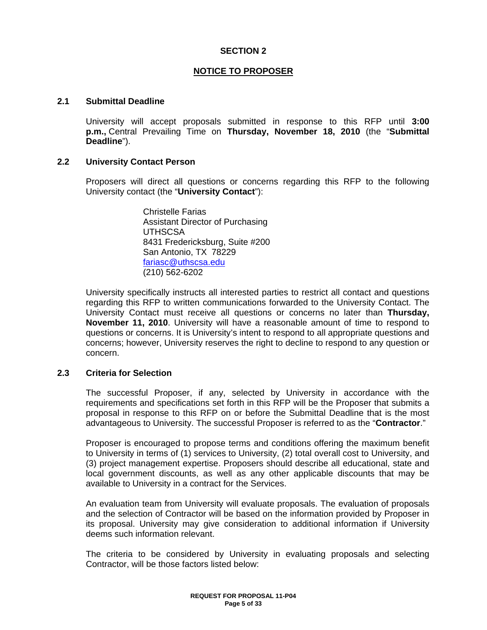### **SECTION 2**

### **NOTICE TO PROPOSER**

#### **2.1 Submittal Deadline**

University will accept proposals submitted in response to this RFP until **3:00 p.m.,** Central Prevailing Time on **Thursday, November 18, 2010** (the "**Submittal Deadline**").

#### **2.2 University Contact Person**

Proposers will direct all questions or concerns regarding this RFP to the following University contact (the "**University Contact**"):

> Christelle Farias Assistant Director of Purchasing **UTHSCSA** 8431 Fredericksburg, Suite #200 San Antonio, TX 78229 fariasc@uthscsa.edu (210) 562-6202

University specifically instructs all interested parties to restrict all contact and questions regarding this RFP to written communications forwarded to the University Contact. The University Contact must receive all questions or concerns no later than **Thursday, November 11, 2010**. University will have a reasonable amount of time to respond to questions or concerns. It is University's intent to respond to all appropriate questions and concerns; however, University reserves the right to decline to respond to any question or concern.

#### **2.3 Criteria for Selection**

The successful Proposer, if any, selected by University in accordance with the requirements and specifications set forth in this RFP will be the Proposer that submits a proposal in response to this RFP on or before the Submittal Deadline that is the most advantageous to University. The successful Proposer is referred to as the "**Contractor**."

Proposer is encouraged to propose terms and conditions offering the maximum benefit to University in terms of (1) services to University, (2) total overall cost to University, and (3) project management expertise. Proposers should describe all educational, state and local government discounts, as well as any other applicable discounts that may be available to University in a contract for the Services.

An evaluation team from University will evaluate proposals. The evaluation of proposals and the selection of Contractor will be based on the information provided by Proposer in its proposal. University may give consideration to additional information if University deems such information relevant.

The criteria to be considered by University in evaluating proposals and selecting Contractor, will be those factors listed below: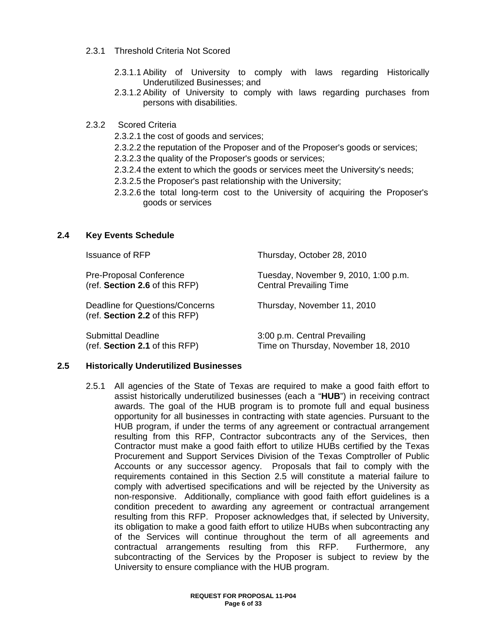- 2.3.1 Threshold Criteria Not Scored
	- 2.3.1.1 Ability of University to comply with laws regarding Historically Underutilized Businesses; and
	- 2.3.1.2 Ability of University to comply with laws regarding purchases from persons with disabilities.

### 2.3.2 Scored Criteria

- 2.3.2.1 the cost of goods and services;
- 2.3.2.2 the reputation of the Proposer and of the Proposer's goods or services;
- 2.3.2.3 the quality of the Proposer's goods or services;
- 2.3.2.4 the extent to which the goods or services meet the University's needs;
- 2.3.2.5 the Proposer's past relationship with the University;
- 2.3.2.6 the total long-term cost to the University of acquiring the Proposer's goods or services

#### **2.4 Key Events Schedule**

| <b>Issuance of RFP</b>                                            | Thursday, October 28, 2010           |
|-------------------------------------------------------------------|--------------------------------------|
| <b>Pre-Proposal Conference</b>                                    | Tuesday, November 9, 2010, 1:00 p.m. |
| (ref. Section 2.6 of this RFP)                                    | <b>Central Prevailing Time</b>       |
| Deadline for Questions/Concerns<br>(ref. Section 2.2 of this RFP) | Thursday, November 11, 2010          |
| <b>Submittal Deadline</b>                                         | 3:00 p.m. Central Prevailing         |
| (ref. Section 2.1 of this RFP)                                    | Time on Thursday, November 18, 2010  |

#### **2.5 Historically Underutilized Businesses**

2.5.1 All agencies of the State of Texas are required to make a good faith effort to assist historically underutilized businesses (each a "**HUB**") in receiving contract awards. The goal of the HUB program is to promote full and equal business opportunity for all businesses in contracting with state agencies. Pursuant to the HUB program, if under the terms of any agreement or contractual arrangement resulting from this RFP, Contractor subcontracts any of the Services, then Contractor must make a good faith effort to utilize HUBs certified by the Texas Procurement and Support Services Division of the Texas Comptroller of Public Accounts or any successor agency. Proposals that fail to comply with the requirements contained in this Section 2.5 will constitute a material failure to comply with advertised specifications and will be rejected by the University as non-responsive. Additionally, compliance with good faith effort guidelines is a condition precedent to awarding any agreement or contractual arrangement resulting from this RFP. Proposer acknowledges that, if selected by University, its obligation to make a good faith effort to utilize HUBs when subcontracting any of the Services will continue throughout the term of all agreements and contractual arrangements resulting from this RFP. Furthermore, any subcontracting of the Services by the Proposer is subject to review by the University to ensure compliance with the HUB program.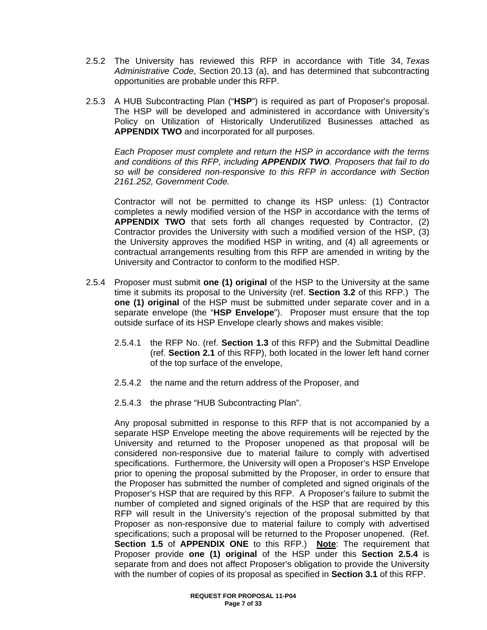- 2.5.2 The University has reviewed this RFP in accordance with Title 34, *Texas Administrative Code*, Section 20.13 (a), and has determined that subcontracting opportunities are probable under this RFP.
- 2.5.3 A HUB Subcontracting Plan ("**HSP**") is required as part of Proposer's proposal. The HSP will be developed and administered in accordance with University's Policy on Utilization of Historically Underutilized Businesses attached as **APPENDIX TWO** and incorporated for all purposes.

*Each Proposer must complete and return the HSP in accordance with the terms and conditions of this RFP, including APPENDIX TWO. Proposers that fail to do so will be considered non-responsive to this RFP in accordance with Section 2161.252, Government Code.*

Contractor will not be permitted to change its HSP unless: (1) Contractor completes a newly modified version of the HSP in accordance with the terms of **APPENDIX TWO** that sets forth all changes requested by Contractor, (2) Contractor provides the University with such a modified version of the HSP, (3) the University approves the modified HSP in writing, and (4) all agreements or contractual arrangements resulting from this RFP are amended in writing by the University and Contractor to conform to the modified HSP.

- 2.5.4 Proposer must submit **one (1) original** of the HSP to the University at the same time it submits its proposal to the University (ref. **Section 3.2** of this RFP.) The **one (1) original** of the HSP must be submitted under separate cover and in a separate envelope (the "**HSP Envelope**"). Proposer must ensure that the top outside surface of its HSP Envelope clearly shows and makes visible:
	- 2.5.4.1 the RFP No. (ref. **Section 1.3** of this RFP) and the Submittal Deadline (ref. **Section 2.1** of this RFP), both located in the lower left hand corner of the top surface of the envelope,
	- 2.5.4.2 the name and the return address of the Proposer, and
	- 2.5.4.3 the phrase "HUB Subcontracting Plan".

Any proposal submitted in response to this RFP that is not accompanied by a separate HSP Envelope meeting the above requirements will be rejected by the University and returned to the Proposer unopened as that proposal will be considered non-responsive due to material failure to comply with advertised specifications. Furthermore, the University will open a Proposer's HSP Envelope prior to opening the proposal submitted by the Proposer, in order to ensure that the Proposer has submitted the number of completed and signed originals of the Proposer's HSP that are required by this RFP. A Proposer's failure to submit the number of completed and signed originals of the HSP that are required by this RFP will result in the University's rejection of the proposal submitted by that Proposer as non-responsive due to material failure to comply with advertised specifications; such a proposal will be returned to the Proposer unopened. (Ref. **Section 1.5** of **APPENDIX ONE** to this RFP.) **Note**: The requirement that Proposer provide **one (1) original** of the HSP under this **Section 2.5.4** is separate from and does not affect Proposer's obligation to provide the University with the number of copies of its proposal as specified in **Section 3.1** of this RFP.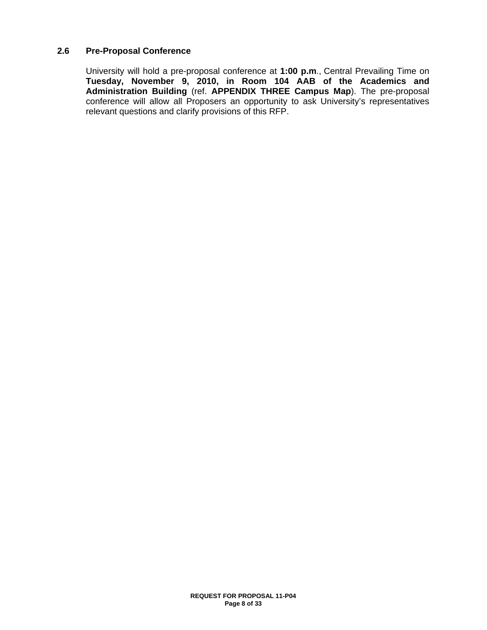### **2.6 Pre-Proposal Conference**

University will hold a pre-proposal conference at **1:00 p.m**., Central Prevailing Time on **Tuesday, November 9, 2010, in Room 104 AAB of the Academics and Administration Building** (ref. **APPENDIX THREE Campus Map**). The pre-proposal conference will allow all Proposers an opportunity to ask University's representatives relevant questions and clarify provisions of this RFP.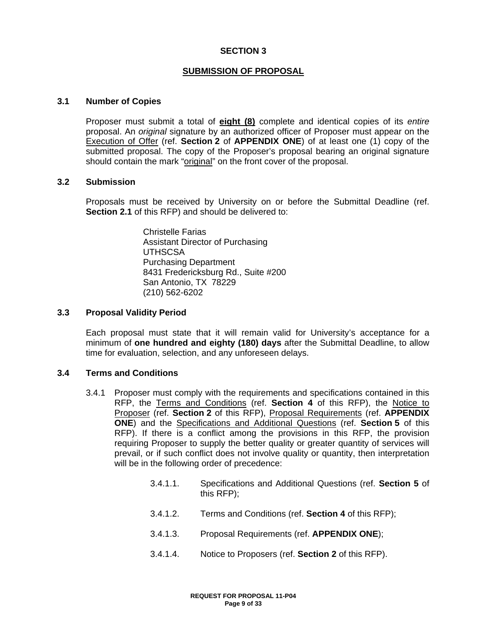### **SECTION 3**

### **SUBMISSION OF PROPOSAL**

#### **3.1 Number of Copies**

Proposer must submit a total of **eight (8)** complete and identical copies of its *entire* proposal. An *original* signature by an authorized officer of Proposer must appear on the Execution of Offer (ref. **Section 2** of **APPENDIX ONE**) of at least one (1) copy of the submitted proposal. The copy of the Proposer's proposal bearing an original signature should contain the mark "original" on the front cover of the proposal.

#### **3.2 Submission**

Proposals must be received by University on or before the Submittal Deadline (ref. **Section 2.1** of this RFP) and should be delivered to:

> Christelle Farias Assistant Director of Purchasing UTHSCSA Purchasing Department 8431 Fredericksburg Rd., Suite #200 San Antonio, TX 78229 (210) 562-6202

#### **3.3 Proposal Validity Period**

Each proposal must state that it will remain valid for University's acceptance for a minimum of **one hundred and eighty (180) days** after the Submittal Deadline, to allow time for evaluation, selection, and any unforeseen delays.

### **3.4 Terms and Conditions**

- 3.4.1 Proposer must comply with the requirements and specifications contained in this RFP, the Terms and Conditions (ref. **Section 4** of this RFP), the Notice to Proposer (ref. **Section 2** of this RFP), Proposal Requirements (ref. **APPENDIX ONE**) and the Specifications and Additional Questions (ref. **Section 5** of this RFP). If there is a conflict among the provisions in this RFP, the provision requiring Proposer to supply the better quality or greater quantity of services will prevail, or if such conflict does not involve quality or quantity, then interpretation will be in the following order of precedence:
	- 3.4.1.1. Specifications and Additional Questions (ref. **Section 5** of this RFP);
	- 3.4.1.2. Terms and Conditions (ref. **Section 4** of this RFP);
	- 3.4.1.3. Proposal Requirements (ref. **APPENDIX ONE**);
	- 3.4.1.4. Notice to Proposers (ref. **Section 2** of this RFP).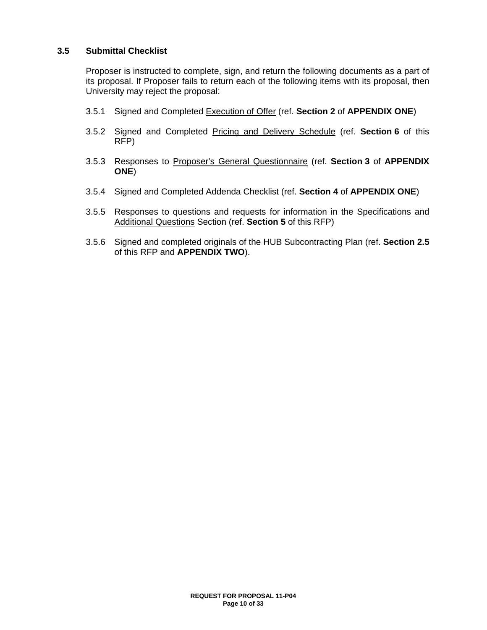### **3.5 Submittal Checklist**

Proposer is instructed to complete, sign, and return the following documents as a part of its proposal. If Proposer fails to return each of the following items with its proposal, then University may reject the proposal:

- 3.5.1 Signed and Completed Execution of Offer (ref. **Section 2** of **APPENDIX ONE**)
- 3.5.2 Signed and Completed Pricing and Delivery Schedule (ref. **Section 6** of this RFP)
- 3.5.3 Responses to Proposer's General Questionnaire (ref. **Section 3** of **APPENDIX ONE**)
- 3.5.4 Signed and Completed Addenda Checklist (ref. **Section 4** of **APPENDIX ONE**)
- 3.5.5 Responses to questions and requests for information in the Specifications and Additional Questions Section (ref. **Section 5** of this RFP)
- 3.5.6 Signed and completed originals of the HUB Subcontracting Plan (ref. **Section 2.5** of this RFP and **APPENDIX TWO**).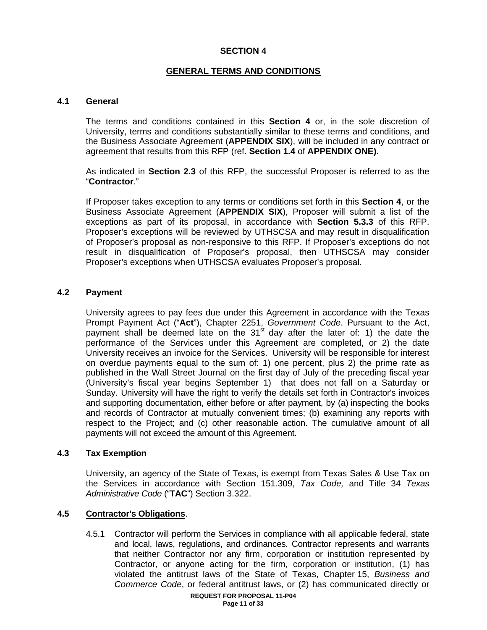## **SECTION 4**

# **GENERAL TERMS AND CONDITIONS**

### **4.1 General**

The terms and conditions contained in this **Section 4** or, in the sole discretion of University, terms and conditions substantially similar to these terms and conditions, and the Business Associate Agreement (**APPENDIX SIX**), will be included in any contract or agreement that results from this RFP (ref. **Section 1.4** of **APPENDIX ONE)**.

As indicated in **Section 2.3** of this RFP, the successful Proposer is referred to as the "**Contractor**."

If Proposer takes exception to any terms or conditions set forth in this **Section 4**, or the Business Associate Agreement (**APPENDIX SIX**), Proposer will submit a list of the exceptions as part of its proposal, in accordance with **Section 5.3.3** of this RFP. Proposer's exceptions will be reviewed by UTHSCSA and may result in disqualification of Proposer's proposal as non-responsive to this RFP. If Proposer's exceptions do not result in disqualification of Proposer's proposal, then UTHSCSA may consider Proposer's exceptions when UTHSCSA evaluates Proposer's proposal.

### **4.2 Payment**

University agrees to pay fees due under this Agreement in accordance with the Texas Prompt Payment Act ("**Act**"), Chapter 2251, *Government Code*. Pursuant to the Act, payment shall be deemed late on the  $31<sup>st</sup>$  day after the later of: 1) the date the performance of the Services under this Agreement are completed, or 2) the date University receives an invoice for the Services. University will be responsible for interest on overdue payments equal to the sum of: 1) one percent, plus 2) the prime rate as published in the Wall Street Journal on the first day of July of the preceding fiscal year (University's fiscal year begins September 1) that does not fall on a Saturday or Sunday. University will have the right to verify the details set forth in Contractor's invoices and supporting documentation, either before or after payment, by (a) inspecting the books and records of Contractor at mutually convenient times; (b) examining any reports with respect to the Project; and (c) other reasonable action. The cumulative amount of all payments will not exceed the amount of this Agreement.

#### **4.3 Tax Exemption**

University, an agency of the State of Texas, is exempt from Texas Sales & Use Tax on the Services in accordance with Section 151.309, *Tax Code,* and Title 34 *Texas Administrative Code* ("**TAC**") Section 3.322.

# **4.5 Contractor's Obligations**.

4.5.1 Contractor will perform the Services in compliance with all applicable federal, state and local, laws, regulations, and ordinances. Contractor represents and warrants that neither Contractor nor any firm, corporation or institution represented by Contractor, or anyone acting for the firm, corporation or institution, (1) has violated the antitrust laws of the State of Texas, Chapter 15, *Business and Commerce Code*, or federal antitrust laws, or (2) has communicated directly or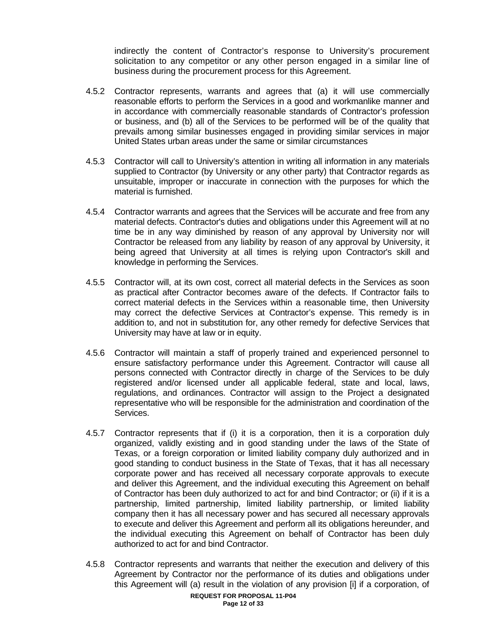indirectly the content of Contractor's response to University's procurement solicitation to any competitor or any other person engaged in a similar line of business during the procurement process for this Agreement.

- 4.5.2 Contractor represents, warrants and agrees that (a) it will use commercially reasonable efforts to perform the Services in a good and workmanlike manner and in accordance with commercially reasonable standards of Contractor's profession or business, and (b) all of the Services to be performed will be of the quality that prevails among similar businesses engaged in providing similar services in major United States urban areas under the same or similar circumstances
- 4.5.3 Contractor will call to University's attention in writing all information in any materials supplied to Contractor (by University or any other party) that Contractor regards as unsuitable, improper or inaccurate in connection with the purposes for which the material is furnished.
- 4.5.4 Contractor warrants and agrees that the Services will be accurate and free from any material defects. Contractor's duties and obligations under this Agreement will at no time be in any way diminished by reason of any approval by University nor will Contractor be released from any liability by reason of any approval by University, it being agreed that University at all times is relying upon Contractor's skill and knowledge in performing the Services.
- 4.5.5 Contractor will, at its own cost, correct all material defects in the Services as soon as practical after Contractor becomes aware of the defects. If Contractor fails to correct material defects in the Services within a reasonable time, then University may correct the defective Services at Contractor's expense. This remedy is in addition to, and not in substitution for, any other remedy for defective Services that University may have at law or in equity.
- 4.5.6 Contractor will maintain a staff of properly trained and experienced personnel to ensure satisfactory performance under this Agreement. Contractor will cause all persons connected with Contractor directly in charge of the Services to be duly registered and/or licensed under all applicable federal, state and local, laws, regulations, and ordinances. Contractor will assign to the Project a designated representative who will be responsible for the administration and coordination of the Services.
- 4.5.7 Contractor represents that if (i) it is a corporation, then it is a corporation duly organized, validly existing and in good standing under the laws of the State of Texas, or a foreign corporation or limited liability company duly authorized and in good standing to conduct business in the State of Texas, that it has all necessary corporate power and has received all necessary corporate approvals to execute and deliver this Agreement, and the individual executing this Agreement on behalf of Contractor has been duly authorized to act for and bind Contractor; or (ii) if it is a partnership, limited partnership, limited liability partnership, or limited liability company then it has all necessary power and has secured all necessary approvals to execute and deliver this Agreement and perform all its obligations hereunder, and the individual executing this Agreement on behalf of Contractor has been duly authorized to act for and bind Contractor.
- 4.5.8 Contractor represents and warrants that neither the execution and delivery of this Agreement by Contractor nor the performance of its duties and obligations under this Agreement will (a) result in the violation of any provision [i] if a corporation, of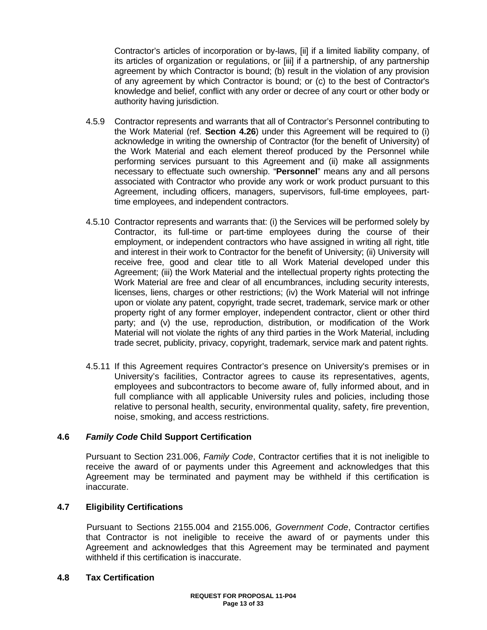Contractor's articles of incorporation or by-laws, [ii] if a limited liability company, of its articles of organization or regulations, or [iii] if a partnership, of any partnership agreement by which Contractor is bound; (b) result in the violation of any provision of any agreement by which Contractor is bound; or (c) to the best of Contractor's knowledge and belief, conflict with any order or decree of any court or other body or authority having jurisdiction.

- 4.5.9 Contractor represents and warrants that all of Contractor's Personnel contributing to the Work Material (ref. **Section 4.26**) under this Agreement will be required to (i) acknowledge in writing the ownership of Contractor (for the benefit of University) of the Work Material and each element thereof produced by the Personnel while performing services pursuant to this Agreement and (ii) make all assignments necessary to effectuate such ownership. "**Personnel**" means any and all persons associated with Contractor who provide any work or work product pursuant to this Agreement, including officers, managers, supervisors, full-time employees, parttime employees, and independent contractors.
- 4.5.10 Contractor represents and warrants that: (i) the Services will be performed solely by Contractor, its full-time or part-time employees during the course of their employment, or independent contractors who have assigned in writing all right, title and interest in their work to Contractor for the benefit of University; (ii) University will receive free, good and clear title to all Work Material developed under this Agreement; (iii) the Work Material and the intellectual property rights protecting the Work Material are free and clear of all encumbrances, including security interests, licenses, liens, charges or other restrictions; (iv) the Work Material will not infringe upon or violate any patent, copyright, trade secret, trademark, service mark or other property right of any former employer, independent contractor, client or other third party; and (v) the use, reproduction, distribution, or modification of the Work Material will not violate the rights of any third parties in the Work Material, including trade secret, publicity, privacy, copyright, trademark, service mark and patent rights.
- 4.5.11 If this Agreement requires Contractor's presence on University's premises or in University's facilities, Contractor agrees to cause its representatives, agents, employees and subcontractors to become aware of, fully informed about, and in full compliance with all applicable University rules and policies, including those relative to personal health, security, environmental quality, safety, fire prevention, noise, smoking, and access restrictions.

### **4.6** *Family Code* **Child Support Certification**

Pursuant to Section 231.006, *Family Code*, Contractor certifies that it is not ineligible to receive the award of or payments under this Agreement and acknowledges that this Agreement may be terminated and payment may be withheld if this certification is inaccurate.

### **4.7 Eligibility Certifications**

Pursuant to Sections 2155.004 and 2155.006, *Government Code*, Contractor certifies that Contractor is not ineligible to receive the award of or payments under this Agreement and acknowledges that this Agreement may be terminated and payment withheld if this certification is inaccurate.

#### **4.8 Tax Certification**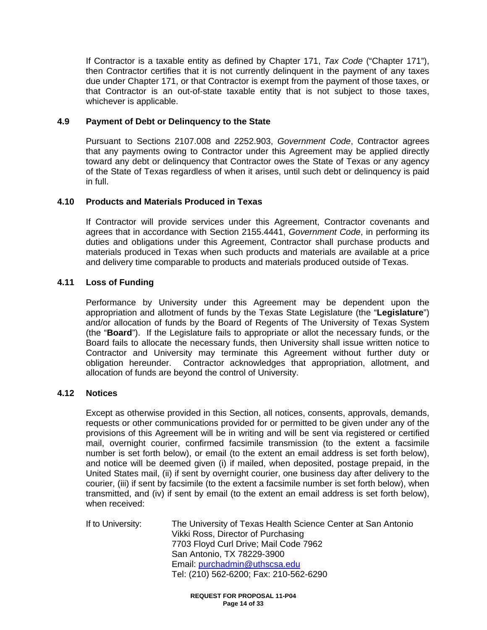If Contractor is a taxable entity as defined by Chapter 171, *Tax Code* ("Chapter 171"), then Contractor certifies that it is not currently delinquent in the payment of any taxes due under Chapter 171, or that Contractor is exempt from the payment of those taxes, or that Contractor is an out-of-state taxable entity that is not subject to those taxes, whichever is applicable.

### **4.9 Payment of Debt or Delinquency to the State**

Pursuant to Sections 2107.008 and 2252.903, *Government Code*, Contractor agrees that any payments owing to Contractor under this Agreement may be applied directly toward any debt or delinquency that Contractor owes the State of Texas or any agency of the State of Texas regardless of when it arises, until such debt or delinquency is paid in full.

### **4.10 Products and Materials Produced in Texas**

If Contractor will provide services under this Agreement, Contractor covenants and agrees that in accordance with Section 2155.4441, *Government Code*, in performing its duties and obligations under this Agreement, Contractor shall purchase products and materials produced in Texas when such products and materials are available at a price and delivery time comparable to products and materials produced outside of Texas.

### **4.11 Loss of Funding**

Performance by University under this Agreement may be dependent upon the appropriation and allotment of funds by the Texas State Legislature (the "**Legislature**") and/or allocation of funds by the Board of Regents of The University of Texas System (the "**Board**"). If the Legislature fails to appropriate or allot the necessary funds, or the Board fails to allocate the necessary funds, then University shall issue written notice to Contractor and University may terminate this Agreement without further duty or obligation hereunder. Contractor acknowledges that appropriation, allotment, and allocation of funds are beyond the control of University.

#### **4.12 Notices**

Except as otherwise provided in this Section, all notices, consents, approvals, demands, requests or other communications provided for or permitted to be given under any of the provisions of this Agreement will be in writing and will be sent via registered or certified mail, overnight courier, confirmed facsimile transmission (to the extent a facsimile number is set forth below), or email (to the extent an email address is set forth below), and notice will be deemed given (i) if mailed, when deposited, postage prepaid, in the United States mail, (ii) if sent by overnight courier, one business day after delivery to the courier, (iii) if sent by facsimile (to the extent a facsimile number is set forth below), when transmitted, and (iv) if sent by email (to the extent an email address is set forth below), when received:

If to University: The University of Texas Health Science Center at San Antonio Vikki Ross, Director of Purchasing 7703 Floyd Curl Drive; Mail Code 7962 San Antonio, TX 78229-3900 Email: purchadmin@uthscsa.edu Tel: (210) 562-6200; Fax: 210-562-6290

> **REQUEST FOR PROPOSAL 11-P04 Page 14 of 33**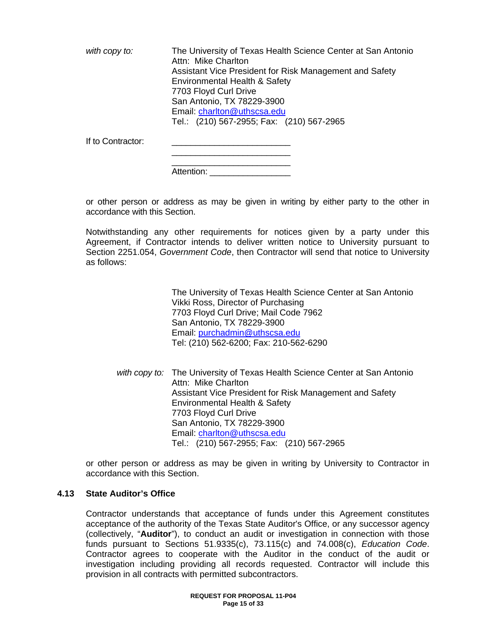*with copy to:* The University of Texas Health Science Center at San Antonio Attn: Mike Charlton Assistant Vice President for Risk Management and Safety Environmental Health & Safety 7703 Floyd Curl Drive San Antonio, TX 78229-3900 Email: charlton@uthscsa.edu Tel.: (210) 567-2955; Fax: (210) 567-2965 If to Contractor:

| r to Contractor: |  |
|------------------|--|
|                  |  |
|                  |  |
|                  |  |

Attention:

or other person or address as may be given in writing by either party to the other in accordance with this Section.

Notwithstanding any other requirements for notices given by a party under this Agreement, if Contractor intends to deliver written notice to University pursuant to Section 2251.054, *Government Code*, then Contractor will send that notice to University as follows:

> The University of Texas Health Science Center at San Antonio Vikki Ross, Director of Purchasing 7703 Floyd Curl Drive; Mail Code 7962 San Antonio, TX 78229-3900 Email: purchadmin@uthscsa.edu Tel: (210) 562-6200; Fax: 210-562-6290

 *with copy to:* The University of Texas Health Science Center at San Antonio Attn: Mike Charlton Assistant Vice President for Risk Management and Safety Environmental Health & Safety 7703 Floyd Curl Drive San Antonio, TX 78229-3900 Email: charlton@uthscsa.edu Tel.: (210) 567-2955; Fax: (210) 567-2965

or other person or address as may be given in writing by University to Contractor in accordance with this Section.

#### **4.13 State Auditor's Office**

Contractor understands that acceptance of funds under this Agreement constitutes acceptance of the authority of the Texas State Auditor's Office, or any successor agency (collectively, "**Auditor**"), to conduct an audit or investigation in connection with those funds pursuant to Sections 51.9335(c), 73.115(c) and 74.008(c), *Education Code*. Contractor agrees to cooperate with the Auditor in the conduct of the audit or investigation including providing all records requested. Contractor will include this provision in all contracts with permitted subcontractors.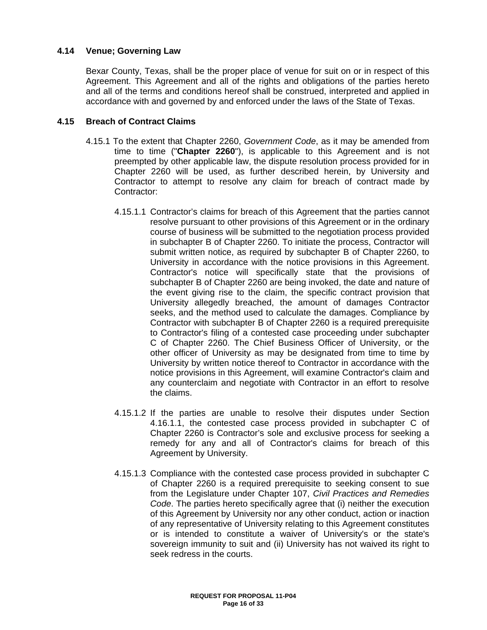### **4.14 Venue; Governing Law**

Bexar County, Texas, shall be the proper place of venue for suit on or in respect of this Agreement. This Agreement and all of the rights and obligations of the parties hereto and all of the terms and conditions hereof shall be construed, interpreted and applied in accordance with and governed by and enforced under the laws of the State of Texas.

#### **4.15 Breach of Contract Claims**

- 4.15.1 To the extent that Chapter 2260, *Government Code*, as it may be amended from time to time ("**Chapter 2260**"), is applicable to this Agreement and is not preempted by other applicable law, the dispute resolution process provided for in Chapter 2260 will be used, as further described herein, by University and Contractor to attempt to resolve any claim for breach of contract made by Contractor:
	- 4.15.1.1 Contractor's claims for breach of this Agreement that the parties cannot resolve pursuant to other provisions of this Agreement or in the ordinary course of business will be submitted to the negotiation process provided in subchapter B of Chapter 2260. To initiate the process, Contractor will submit written notice, as required by subchapter B of Chapter 2260, to University in accordance with the notice provisions in this Agreement. Contractor's notice will specifically state that the provisions of subchapter B of Chapter 2260 are being invoked, the date and nature of the event giving rise to the claim, the specific contract provision that University allegedly breached, the amount of damages Contractor seeks, and the method used to calculate the damages. Compliance by Contractor with subchapter B of Chapter 2260 is a required prerequisite to Contractor's filing of a contested case proceeding under subchapter C of Chapter 2260. The Chief Business Officer of University, or the other officer of University as may be designated from time to time by University by written notice thereof to Contractor in accordance with the notice provisions in this Agreement, will examine Contractor's claim and any counterclaim and negotiate with Contractor in an effort to resolve the claims.
	- 4.15.1.2 If the parties are unable to resolve their disputes under Section 4.16.1.1, the contested case process provided in subchapter C of Chapter 2260 is Contractor's sole and exclusive process for seeking a remedy for any and all of Contractor's claims for breach of this Agreement by University.
	- 4.15.1.3 Compliance with the contested case process provided in subchapter C of Chapter 2260 is a required prerequisite to seeking consent to sue from the Legislature under Chapter 107, *Civil Practices and Remedies Code*. The parties hereto specifically agree that (i) neither the execution of this Agreement by University nor any other conduct, action or inaction of any representative of University relating to this Agreement constitutes or is intended to constitute a waiver of University's or the state's sovereign immunity to suit and (ii) University has not waived its right to seek redress in the courts.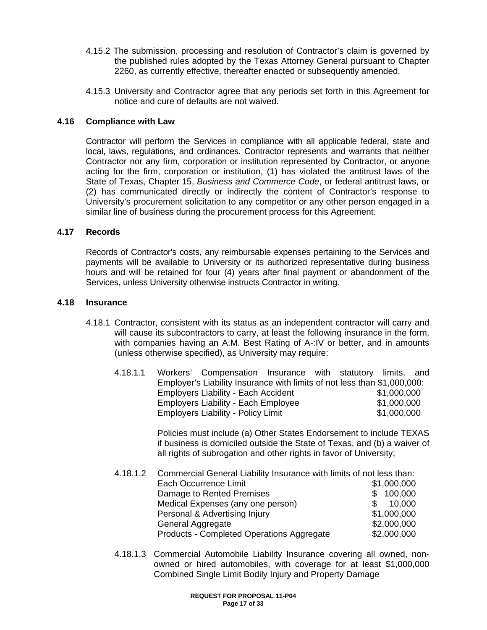- 4.15.2 The submission, processing and resolution of Contractor's claim is governed by the published rules adopted by the Texas Attorney General pursuant to Chapter 2260, as currently effective, thereafter enacted or subsequently amended.
- 4.15.3 University and Contractor agree that any periods set forth in this Agreement for notice and cure of defaults are not waived.

#### **4.16 Compliance with Law**

Contractor will perform the Services in compliance with all applicable federal, state and local, laws, regulations, and ordinances. Contractor represents and warrants that neither Contractor nor any firm, corporation or institution represented by Contractor, or anyone acting for the firm, corporation or institution, (1) has violated the antitrust laws of the State of Texas, Chapter 15, *Business and Commerce Code*, or federal antitrust laws, or (2) has communicated directly or indirectly the content of Contractor's response to University's procurement solicitation to any competitor or any other person engaged in a similar line of business during the procurement process for this Agreement.

#### **4.17 Records**

Records of Contractor's costs, any reimbursable expenses pertaining to the Services and payments will be available to University or its authorized representative during business hours and will be retained for four (4) years after final payment or abandonment of the Services, unless University otherwise instructs Contractor in writing.

#### **4.18 Insurance**

4.18.1 Contractor, consistent with its status as an independent contractor will carry and will cause its subcontractors to carry, at least the following insurance in the form, with companies having an A.M. Best Rating of A-:IV or better, and in amounts (unless otherwise specified), as University may require:

| 4.18.1.1 | Workers' Compensation Insurance with statutory limits, and               |  |             |  |
|----------|--------------------------------------------------------------------------|--|-------------|--|
|          | Employer's Liability Insurance with limits of not less than \$1,000,000: |  |             |  |
|          | <b>Employers Liability - Each Accident</b>                               |  | \$1,000,000 |  |
|          | <b>Employers Liability - Each Employee</b>                               |  | \$1,000,000 |  |
|          | <b>Employers Liability - Policy Limit</b>                                |  | \$1,000,000 |  |

Policies must include (a) Other States Endorsement to include TEXAS if business is domiciled outside the State of Texas, and (b) a waiver of all rights of subrogation and other rights in favor of University;

| 4.18.1.2 Commercial General Liability Insurance with limits of not less than: |             |
|-------------------------------------------------------------------------------|-------------|
| <b>Each Occurrence Limit</b>                                                  | \$1,000,000 |
| Damage to Rented Premises                                                     | \$100,000   |
| Medical Expenses (any one person)                                             | 10,000      |
| Personal & Advertising Injury                                                 | \$1,000,000 |
| General Aggregate                                                             | \$2,000,000 |
| Products - Completed Operations Aggregate                                     | \$2,000,000 |

4.18.1.3 Commercial Automobile Liability Insurance covering all owned, nonowned or hired automobiles, with coverage for at least \$1,000,000 Combined Single Limit Bodily Injury and Property Damage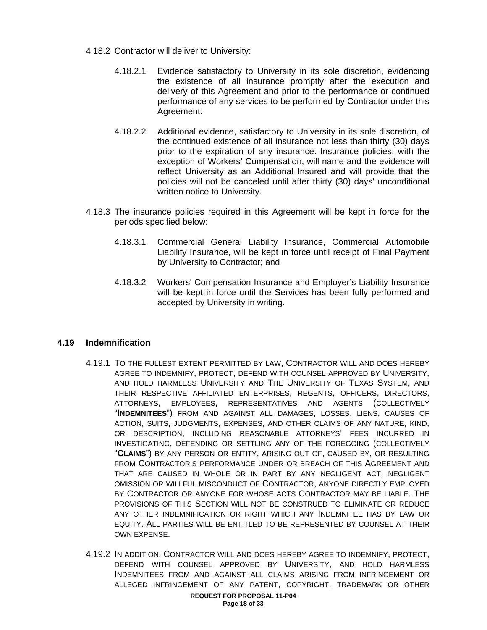- 4.18.2 Contractor will deliver to University:
	- 4.18.2.1 Evidence satisfactory to University in its sole discretion, evidencing the existence of all insurance promptly after the execution and delivery of this Agreement and prior to the performance or continued performance of any services to be performed by Contractor under this Agreement.
	- 4.18.2.2 Additional evidence, satisfactory to University in its sole discretion, of the continued existence of all insurance not less than thirty (30) days prior to the expiration of any insurance. Insurance policies, with the exception of Workers' Compensation, will name and the evidence will reflect University as an Additional Insured and will provide that the policies will not be canceled until after thirty (30) days' unconditional written notice to University.
- 4.18.3 The insurance policies required in this Agreement will be kept in force for the periods specified below:
	- 4.18.3.1 Commercial General Liability Insurance, Commercial Automobile Liability Insurance, will be kept in force until receipt of Final Payment by University to Contractor; and
	- 4.18.3.2 Workers' Compensation Insurance and Employer's Liability Insurance will be kept in force until the Services has been fully performed and accepted by University in writing.

### **4.19 Indemnification**

- 4.19.1 TO THE FULLEST EXTENT PERMITTED BY LAW, CONTRACTOR WILL AND DOES HEREBY AGREE TO INDEMNIFY, PROTECT, DEFEND WITH COUNSEL APPROVED BY UNIVERSITY, AND HOLD HARMLESS UNIVERSITY AND THE UNIVERSITY OF TEXAS SYSTEM, AND THEIR RESPECTIVE AFFILIATED ENTERPRISES, REGENTS, OFFICERS, DIRECTORS, ATTORNEYS, EMPLOYEES, REPRESENTATIVES AND AGENTS (COLLECTIVELY "**INDEMNITEES**") FROM AND AGAINST ALL DAMAGES, LOSSES, LIENS, CAUSES OF ACTION, SUITS, JUDGMENTS, EXPENSES, AND OTHER CLAIMS OF ANY NATURE, KIND, OR DESCRIPTION, INCLUDING REASONABLE ATTORNEYS' FEES INCURRED IN INVESTIGATING, DEFENDING OR SETTLING ANY OF THE FOREGOING (COLLECTIVELY "**CLAIMS**") BY ANY PERSON OR ENTITY, ARISING OUT OF, CAUSED BY, OR RESULTING FROM CONTRACTOR'S PERFORMANCE UNDER OR BREACH OF THIS AGREEMENT AND THAT ARE CAUSED IN WHOLE OR IN PART BY ANY NEGLIGENT ACT, NEGLIGENT OMISSION OR WILLFUL MISCONDUCT OF CONTRACTOR, ANYONE DIRECTLY EMPLOYED BY CONTRACTOR OR ANYONE FOR WHOSE ACTS CONTRACTOR MAY BE LIABLE. THE PROVISIONS OF THIS SECTION WILL NOT BE CONSTRUED TO ELIMINATE OR REDUCE ANY OTHER INDEMNIFICATION OR RIGHT WHICH ANY INDEMNITEE HAS BY LAW OR EQUITY. ALL PARTIES WILL BE ENTITLED TO BE REPRESENTED BY COUNSEL AT THEIR OWN EXPENSE.
- 4.19.2 IN ADDITION, CONTRACTOR WILL AND DOES HEREBY AGREE TO INDEMNIFY, PROTECT, DEFEND WITH COUNSEL APPROVED BY UNIVERSITY, AND HOLD HARMLESS INDEMNITEES FROM AND AGAINST ALL CLAIMS ARISING FROM INFRINGEMENT OR ALLEGED INFRINGEMENT OF ANY PATENT, COPYRIGHT, TRADEMARK OR OTHER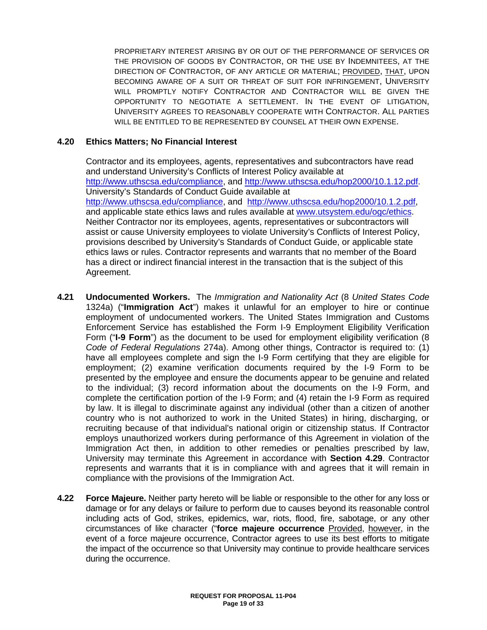PROPRIETARY INTEREST ARISING BY OR OUT OF THE PERFORMANCE OF SERVICES OR THE PROVISION OF GOODS BY CONTRACTOR, OR THE USE BY INDEMNITEES, AT THE DIRECTION OF CONTRACTOR, OF ANY ARTICLE OR MATERIAL; PROVIDED, THAT, UPON BECOMING AWARE OF A SUIT OR THREAT OF SUIT FOR INFRINGEMENT, UNIVERSITY WILL PROMPTLY NOTIFY CONTRACTOR AND CONTRACTOR WILL BE GIVEN THE OPPORTUNITY TO NEGOTIATE A SETTLEMENT. IN THE EVENT OF LITIGATION, UNIVERSITY AGREES TO REASONABLY COOPERATE WITH CONTRACTOR. ALL PARTIES WILL BE ENTITLED TO BE REPRESENTED BY COUNSEL AT THEIR OWN EXPENSE.

### **4.20 Ethics Matters; No Financial Interest**

Contractor and its employees, agents, representatives and subcontractors have read and understand University's Conflicts of Interest Policy available at http://www.uthscsa.edu/compliance, and http://www.uthscsa.edu/hop2000/10.1.12.pdf. University's Standards of Conduct Guide available at http://www.uthscsa.edu/compliance, and http://www.uthscsa.edu/hop2000/10.1.2.pdf, and applicable state ethics laws and rules available at www.utsystem.edu/ogc/ethics. Neither Contractor nor its employees, agents, representatives or subcontractors will assist or cause University employees to violate University's Conflicts of Interest Policy, provisions described by University's Standards of Conduct Guide, or applicable state ethics laws or rules. Contractor represents and warrants that no member of the Board has a direct or indirect financial interest in the transaction that is the subject of this Agreement.

- **4.21 Undocumented Workers.** The *Immigration and Nationality Act* (8 *United States Code*  1324a) ("**Immigration Act**") makes it unlawful for an employer to hire or continue employment of undocumented workers. The United States Immigration and Customs Enforcement Service has established the Form I-9 Employment Eligibility Verification Form ("**I-9 Form**") as the document to be used for employment eligibility verification (8 *Code of Federal Regulations* 274a). Among other things, Contractor is required to: (1) have all employees complete and sign the I-9 Form certifying that they are eligible for employment; (2) examine verification documents required by the I-9 Form to be presented by the employee and ensure the documents appear to be genuine and related to the individual; (3) record information about the documents on the I-9 Form, and complete the certification portion of the I-9 Form; and (4) retain the I-9 Form as required by law. It is illegal to discriminate against any individual (other than a citizen of another country who is not authorized to work in the United States) in hiring, discharging, or recruiting because of that individual's national origin or citizenship status. If Contractor employs unauthorized workers during performance of this Agreement in violation of the Immigration Act then, in addition to other remedies or penalties prescribed by law, University may terminate this Agreement in accordance with **Section 4.29**. Contractor represents and warrants that it is in compliance with and agrees that it will remain in compliance with the provisions of the Immigration Act.
- **4.22 Force Majeure.** Neither party hereto will be liable or responsible to the other for any loss or damage or for any delays or failure to perform due to causes beyond its reasonable control including acts of God, strikes, epidemics, war, riots, flood, fire, sabotage, or any other circumstances of like character ("**force majeure occurrence** Provided, however, in the event of a force majeure occurrence, Contractor agrees to use its best efforts to mitigate the impact of the occurrence so that University may continue to provide healthcare services during the occurrence.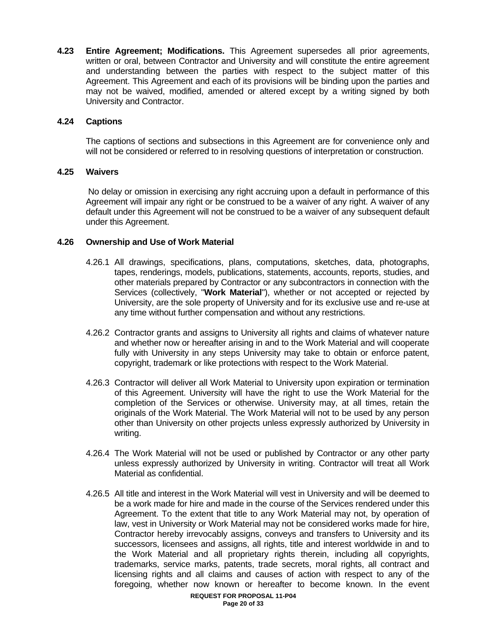**4.23 Entire Agreement; Modifications.** This Agreement supersedes all prior agreements, written or oral, between Contractor and University and will constitute the entire agreement and understanding between the parties with respect to the subject matter of this Agreement. This Agreement and each of its provisions will be binding upon the parties and may not be waived, modified, amended or altered except by a writing signed by both University and Contractor.

### **4.24 Captions**

 The captions of sections and subsections in this Agreement are for convenience only and will not be considered or referred to in resolving questions of interpretation or construction.

### **4.25 Waivers**

 No delay or omission in exercising any right accruing upon a default in performance of this Agreement will impair any right or be construed to be a waiver of any right. A waiver of any default under this Agreement will not be construed to be a waiver of any subsequent default under this Agreement.

### **4.26 Ownership and Use of Work Material**

- 4.26.1 All drawings, specifications, plans, computations, sketches, data, photographs, tapes, renderings, models, publications, statements, accounts, reports, studies, and other materials prepared by Contractor or any subcontractors in connection with the Services (collectively, "**Work Material**"), whether or not accepted or rejected by University, are the sole property of University and for its exclusive use and re-use at any time without further compensation and without any restrictions.
- 4.26.2 Contractor grants and assigns to University all rights and claims of whatever nature and whether now or hereafter arising in and to the Work Material and will cooperate fully with University in any steps University may take to obtain or enforce patent, copyright, trademark or like protections with respect to the Work Material.
- 4.26.3 Contractor will deliver all Work Material to University upon expiration or termination of this Agreement. University will have the right to use the Work Material for the completion of the Services or otherwise. University may, at all times, retain the originals of the Work Material. The Work Material will not to be used by any person other than University on other projects unless expressly authorized by University in writing.
- 4.26.4 The Work Material will not be used or published by Contractor or any other party unless expressly authorized by University in writing. Contractor will treat all Work Material as confidential.
- 4.26.5 All title and interest in the Work Material will vest in University and will be deemed to be a work made for hire and made in the course of the Services rendered under this Agreement. To the extent that title to any Work Material may not, by operation of law, vest in University or Work Material may not be considered works made for hire, Contractor hereby irrevocably assigns, conveys and transfers to University and its successors, licensees and assigns, all rights, title and interest worldwide in and to the Work Material and all proprietary rights therein, including all copyrights, trademarks, service marks, patents, trade secrets, moral rights, all contract and licensing rights and all claims and causes of action with respect to any of the foregoing, whether now known or hereafter to become known. In the event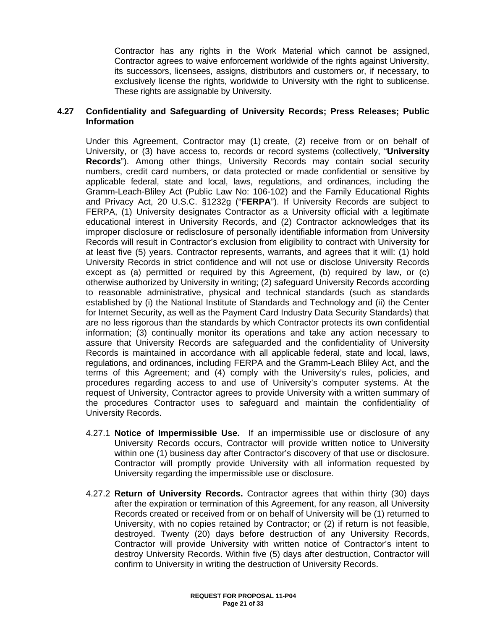Contractor has any rights in the Work Material which cannot be assigned, Contractor agrees to waive enforcement worldwide of the rights against University, its successors, licensees, assigns, distributors and customers or, if necessary, to exclusively license the rights, worldwide to University with the right to sublicense. These rights are assignable by University.

### **4.27 Confidentiality and Safeguarding of University Records; Press Releases; Public Information**

Under this Agreement, Contractor may (1) create, (2) receive from or on behalf of University, or (3) have access to, records or record systems (collectively, "**University Records**"). Among other things, University Records may contain social security numbers, credit card numbers, or data protected or made confidential or sensitive by applicable federal, state and local, laws, regulations, and ordinances, including the Gramm-Leach-Bliley Act (Public Law No: 106-102) and the Family Educational Rights and Privacy Act, 20 U.S.C. §1232g ("**FERPA**"). If University Records are subject to FERPA, (1) University designates Contractor as a University official with a legitimate educational interest in University Records, and (2) Contractor acknowledges that its improper disclosure or redisclosure of personally identifiable information from University Records will result in Contractor's exclusion from eligibility to contract with University for at least five (5) years. Contractor represents, warrants, and agrees that it will: (1) hold University Records in strict confidence and will not use or disclose University Records except as (a) permitted or required by this Agreement, (b) required by law, or (c) otherwise authorized by University in writing; (2) safeguard University Records according to reasonable administrative, physical and technical standards (such as standards established by (i) the National Institute of Standards and Technology and (ii) the Center for Internet Security, as well as the Payment Card Industry Data Security Standards) that are no less rigorous than the standards by which Contractor protects its own confidential information; (3) continually monitor its operations and take any action necessary to assure that University Records are safeguarded and the confidentiality of University Records is maintained in accordance with all applicable federal, state and local, laws, regulations, and ordinances, including FERPA and the Gramm-Leach Bliley Act, and the terms of this Agreement; and (4) comply with the University's rules, policies, and procedures regarding access to and use of University's computer systems. At the request of University, Contractor agrees to provide University with a written summary of the procedures Contractor uses to safeguard and maintain the confidentiality of University Records.

- 4.27.1 **Notice of Impermissible Use.** If an impermissible use or disclosure of any University Records occurs, Contractor will provide written notice to University within one (1) business day after Contractor's discovery of that use or disclosure. Contractor will promptly provide University with all information requested by University regarding the impermissible use or disclosure.
- 4.27.2 **Return of University Records.** Contractor agrees that within thirty (30) days after the expiration or termination of this Agreement, for any reason, all University Records created or received from or on behalf of University will be (1) returned to University, with no copies retained by Contractor; or (2) if return is not feasible, destroyed. Twenty (20) days before destruction of any University Records, Contractor will provide University with written notice of Contractor's intent to destroy University Records. Within five (5) days after destruction, Contractor will confirm to University in writing the destruction of University Records.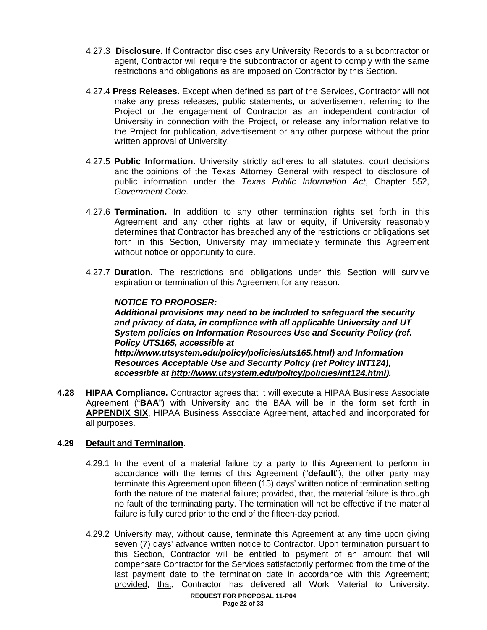- 4.27.3 **Disclosure.** If Contractor discloses any University Records to a subcontractor or agent, Contractor will require the subcontractor or agent to comply with the same restrictions and obligations as are imposed on Contractor by this Section.
- 4.27.4 **Press Releases.** Except when defined as part of the Services, Contractor will not make any press releases, public statements, or advertisement referring to the Project or the engagement of Contractor as an independent contractor of University in connection with the Project, or release any information relative to the Project for publication, advertisement or any other purpose without the prior written approval of University.
- 4.27.5 **Public Information.** University strictly adheres to all statutes, court decisions and the opinions of the Texas Attorney General with respect to disclosure of public information under the *Texas Public Information Act*, Chapter 552, *Government Code*.
- 4.27.6 **Termination.** In addition to any other termination rights set forth in this Agreement and any other rights at law or equity, if University reasonably determines that Contractor has breached any of the restrictions or obligations set forth in this Section, University may immediately terminate this Agreement without notice or opportunity to cure.
- 4.27.7 **Duration.** The restrictions and obligations under this Section will survive expiration or termination of this Agreement for any reason.

### *NOTICE TO PROPOSER:*

 *Additional provisions may need to be included to safeguard the security and privacy of data, in compliance with all applicable University and UT System policies on Information Resources Use and Security Policy (ref. Policy UTS165, accessible at http://www.utsystem.edu/policy/policies/uts165.html) and Information Resources Acceptable Use and Security Policy (ref Policy INT124), accessible at http://www.utsystem.edu/policy/policies/int124.html).* 

**4.28 HIPAA Compliance.** Contractor agrees that it will execute a HIPAA Business Associate Agreement ("**BAA**") with University and the BAA will be in the form set forth in **APPENDIX SIX**, HIPAA Business Associate Agreement, attached and incorporated for all purposes.

### **4.29 Default and Termination**.

- 4.29.1 In the event of a material failure by a party to this Agreement to perform in accordance with the terms of this Agreement ("**default**"), the other party may terminate this Agreement upon fifteen (15) days' written notice of termination setting forth the nature of the material failure; provided, that, the material failure is through no fault of the terminating party. The termination will not be effective if the material failure is fully cured prior to the end of the fifteen-day period.
- 4.29.2 University may, without cause, terminate this Agreement at any time upon giving seven (7) days' advance written notice to Contractor. Upon termination pursuant to this Section, Contractor will be entitled to payment of an amount that will compensate Contractor for the Services satisfactorily performed from the time of the last payment date to the termination date in accordance with this Agreement; provided, that, Contractor has delivered all Work Material to University.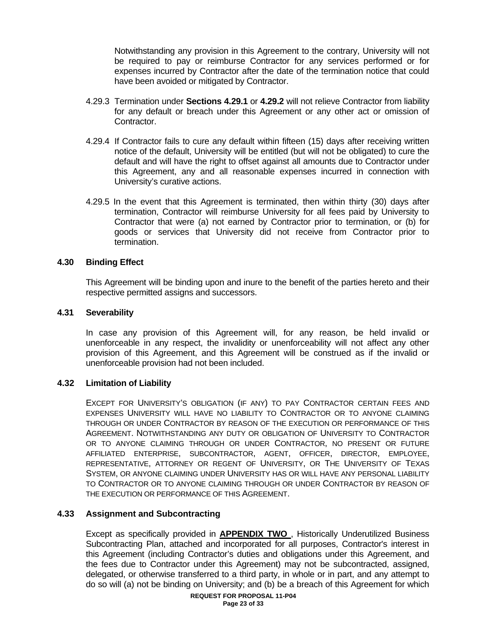Notwithstanding any provision in this Agreement to the contrary, University will not be required to pay or reimburse Contractor for any services performed or for expenses incurred by Contractor after the date of the termination notice that could have been avoided or mitigated by Contractor.

- 4.29.3 Termination under **Sections 4.29.1** or **4.29.2** will not relieve Contractor from liability for any default or breach under this Agreement or any other act or omission of Contractor.
- 4.29.4 If Contractor fails to cure any default within fifteen (15) days after receiving written notice of the default, University will be entitled (but will not be obligated) to cure the default and will have the right to offset against all amounts due to Contractor under this Agreement, any and all reasonable expenses incurred in connection with University's curative actions.
- 4.29.5 In the event that this Agreement is terminated, then within thirty (30) days after termination, Contractor will reimburse University for all fees paid by University to Contractor that were (a) not earned by Contractor prior to termination, or (b) for goods or services that University did not receive from Contractor prior to termination.

#### **4.30 Binding Effect**

 This Agreement will be binding upon and inure to the benefit of the parties hereto and their respective permitted assigns and successors.

#### **4.31 Severability**

In case any provision of this Agreement will, for any reason, be held invalid or unenforceable in any respect, the invalidity or unenforceability will not affect any other provision of this Agreement, and this Agreement will be construed as if the invalid or unenforceable provision had not been included.

#### **4.32 Limitation of Liability**

EXCEPT FOR UNIVERSITY'S OBLIGATION (IF ANY) TO PAY CONTRACTOR CERTAIN FEES AND EXPENSES UNIVERSITY WILL HAVE NO LIABILITY TO CONTRACTOR OR TO ANYONE CLAIMING THROUGH OR UNDER CONTRACTOR BY REASON OF THE EXECUTION OR PERFORMANCE OF THIS AGREEMENT. NOTWITHSTANDING ANY DUTY OR OBLIGATION OF UNIVERSITY TO CONTRACTOR OR TO ANYONE CLAIMING THROUGH OR UNDER CONTRACTOR, NO PRESENT OR FUTURE AFFILIATED ENTERPRISE, SUBCONTRACTOR, AGENT, OFFICER, DIRECTOR, EMPLOYEE, REPRESENTATIVE, ATTORNEY OR REGENT OF UNIVERSITY, OR THE UNIVERSITY OF TEXAS SYSTEM, OR ANYONE CLAIMING UNDER UNIVERSITY HAS OR WILL HAVE ANY PERSONAL LIABILITY TO CONTRACTOR OR TO ANYONE CLAIMING THROUGH OR UNDER CONTRACTOR BY REASON OF THE EXECUTION OR PERFORMANCE OF THIS AGREEMENT.

#### **4.33 Assignment and Subcontracting**

Except as specifically provided in **APPENDIX TWO** , Historically Underutilized Business Subcontracting Plan, attached and incorporated for all purposes, Contractor's interest in this Agreement (including Contractor's duties and obligations under this Agreement, and the fees due to Contractor under this Agreement) may not be subcontracted, assigned, delegated, or otherwise transferred to a third party, in whole or in part, and any attempt to do so will (a) not be binding on University; and (b) be a breach of this Agreement for which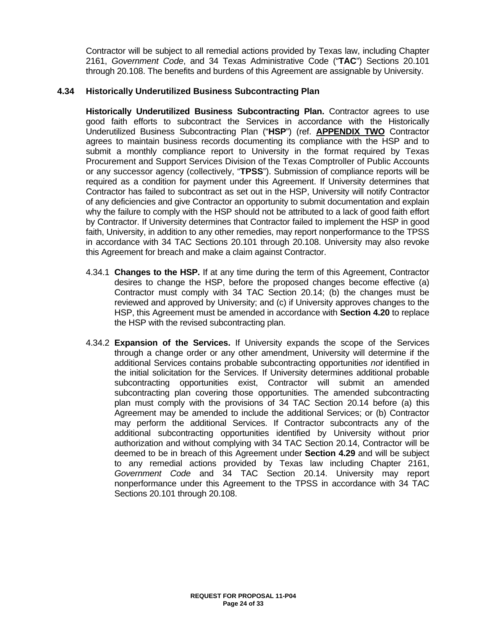Contractor will be subject to all remedial actions provided by Texas law, including Chapter 2161, *Government Code*, and 34 Texas Administrative Code ("**TAC**") Sections 20.101 through 20.108. The benefits and burdens of this Agreement are assignable by University.

### **4.34 Historically Underutilized Business Subcontracting Plan**

**Historically Underutilized Business Subcontracting Plan.** Contractor agrees to use good faith efforts to subcontract the Services in accordance with the Historically Underutilized Business Subcontracting Plan ("**HSP**") (ref. **APPENDIX TWO** Contractor agrees to maintain business records documenting its compliance with the HSP and to submit a monthly compliance report to University in the format required by Texas Procurement and Support Services Division of the Texas Comptroller of Public Accounts or any successor agency (collectively, "**TPSS**"). Submission of compliance reports will be required as a condition for payment under this Agreement. If University determines that Contractor has failed to subcontract as set out in the HSP, University will notify Contractor of any deficiencies and give Contractor an opportunity to submit documentation and explain why the failure to comply with the HSP should not be attributed to a lack of good faith effort by Contractor. If University determines that Contractor failed to implement the HSP in good faith, University, in addition to any other remedies, may report nonperformance to the TPSS in accordance with 34 TAC Sections 20.101 through 20.108. University may also revoke this Agreement for breach and make a claim against Contractor.

- 4.34.1 **Changes to the HSP.** If at any time during the term of this Agreement, Contractor desires to change the HSP, before the proposed changes become effective (a) Contractor must comply with 34 TAC Section 20.14; (b) the changes must be reviewed and approved by University; and (c) if University approves changes to the HSP, this Agreement must be amended in accordance with **Section 4.20** to replace the HSP with the revised subcontracting plan.
- 4.34.2 **Expansion of the Services.** If University expands the scope of the Services through a change order or any other amendment, University will determine if the additional Services contains probable subcontracting opportunities *not* identified in the initial solicitation for the Services. If University determines additional probable subcontracting opportunities exist, Contractor will submit an amended subcontracting plan covering those opportunities. The amended subcontracting plan must comply with the provisions of 34 TAC Section 20.14 before (a) this Agreement may be amended to include the additional Services; or (b) Contractor may perform the additional Services. If Contractor subcontracts any of the additional subcontracting opportunities identified by University without prior authorization and without complying with 34 TAC Section 20.14, Contractor will be deemed to be in breach of this Agreement under **Section 4.29** and will be subject to any remedial actions provided by Texas law including Chapter 2161, *Government Code* and 34 TAC Section 20.14. University may report nonperformance under this Agreement to the TPSS in accordance with 34 TAC Sections 20.101 through 20.108.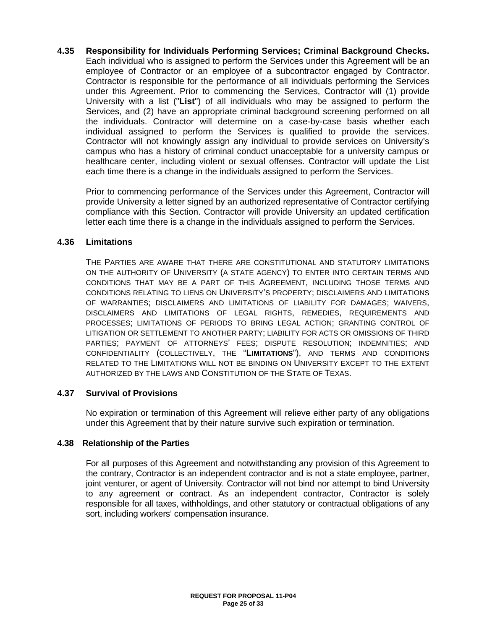**4.35 Responsibility for Individuals Performing Services; Criminal Background Checks.** Each individual who is assigned to perform the Services under this Agreement will be an employee of Contractor or an employee of a subcontractor engaged by Contractor. Contractor is responsible for the performance of all individuals performing the Services under this Agreement. Prior to commencing the Services, Contractor will (1) provide University with a list ("**List**") of all individuals who may be assigned to perform the Services, and (2) have an appropriate criminal background screening performed on all the individuals. Contractor will determine on a case-by-case basis whether each individual assigned to perform the Services is qualified to provide the services. Contractor will not knowingly assign any individual to provide services on University's campus who has a history of criminal conduct unacceptable for a university campus or healthcare center, including violent or sexual offenses. Contractor will update the List each time there is a change in the individuals assigned to perform the Services.

 Prior to commencing performance of the Services under this Agreement, Contractor will provide University a letter signed by an authorized representative of Contractor certifying compliance with this Section. Contractor will provide University an updated certification letter each time there is a change in the individuals assigned to perform the Services.

### **4.36 Limitations**

THE PARTIES ARE AWARE THAT THERE ARE CONSTITUTIONAL AND STATUTORY LIMITATIONS ON THE AUTHORITY OF UNIVERSITY (A STATE AGENCY) TO ENTER INTO CERTAIN TERMS AND CONDITIONS THAT MAY BE A PART OF THIS AGREEMENT, INCLUDING THOSE TERMS AND CONDITIONS RELATING TO LIENS ON UNIVERSITY'S PROPERTY; DISCLAIMERS AND LIMITATIONS OF WARRANTIES; DISCLAIMERS AND LIMITATIONS OF LIABILITY FOR DAMAGES; WAIVERS, DISCLAIMERS AND LIMITATIONS OF LEGAL RIGHTS, REMEDIES, REQUIREMENTS AND PROCESSES; LIMITATIONS OF PERIODS TO BRING LEGAL ACTION; GRANTING CONTROL OF LITIGATION OR SETTLEMENT TO ANOTHER PARTY; LIABILITY FOR ACTS OR OMISSIONS OF THIRD PARTIES; PAYMENT OF ATTORNEYS' FEES; DISPUTE RESOLUTION; INDEMNITIES; AND CONFIDENTIALITY (COLLECTIVELY, THE "**LIMITATIONS**"), AND TERMS AND CONDITIONS RELATED TO THE LIMITATIONS WILL NOT BE BINDING ON UNIVERSITY EXCEPT TO THE EXTENT AUTHORIZED BY THE LAWS AND CONSTITUTION OF THE STATE OF TEXAS.

### **4.37 Survival of Provisions**

No expiration or termination of this Agreement will relieve either party of any obligations under this Agreement that by their nature survive such expiration or termination.

#### **4.38 Relationship of the Parties**

For all purposes of this Agreement and notwithstanding any provision of this Agreement to the contrary, Contractor is an independent contractor and is not a state employee, partner, joint venturer, or agent of University. Contractor will not bind nor attempt to bind University to any agreement or contract. As an independent contractor, Contractor is solely responsible for all taxes, withholdings, and other statutory or contractual obligations of any sort, including workers' compensation insurance.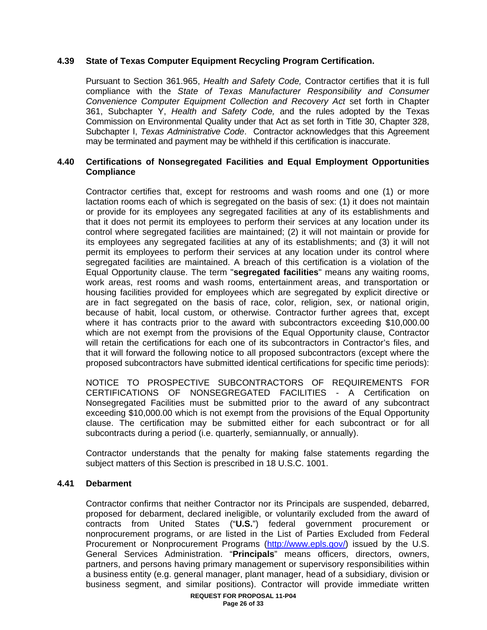# **4.39 State of Texas Computer Equipment Recycling Program Certification.**

Pursuant to Section 361.965, *Health and Safety Code,* Contractor certifies that it is full compliance with the *State of Texas Manufacturer Responsibility and Consumer Convenience Computer Equipment Collection and Recovery Act* set forth in Chapter 361, Subchapter Y, *Health and Safety Code,* and the rules adopted by the Texas Commission on Environmental Quality under that Act as set forth in Title 30, Chapter 328, Subchapter I, *Texas Administrative Code*. Contractor acknowledges that this Agreement may be terminated and payment may be withheld if this certification is inaccurate.

### **4.40 Certifications of Nonsegregated Facilities and Equal Employment Opportunities Compliance**

Contractor certifies that, except for restrooms and wash rooms and one (1) or more lactation rooms each of which is segregated on the basis of sex: (1) it does not maintain or provide for its employees any segregated facilities at any of its establishments and that it does not permit its employees to perform their services at any location under its control where segregated facilities are maintained; (2) it will not maintain or provide for its employees any segregated facilities at any of its establishments; and (3) it will not permit its employees to perform their services at any location under its control where segregated facilities are maintained. A breach of this certification is a violation of the Equal Opportunity clause. The term "**segregated facilities**" means any waiting rooms, work areas, rest rooms and wash rooms, entertainment areas, and transportation or housing facilities provided for employees which are segregated by explicit directive or are in fact segregated on the basis of race, color, religion, sex, or national origin, because of habit, local custom, or otherwise. Contractor further agrees that, except where it has contracts prior to the award with subcontractors exceeding \$10,000.00 which are not exempt from the provisions of the Equal Opportunity clause, Contractor will retain the certifications for each one of its subcontractors in Contractor's files, and that it will forward the following notice to all proposed subcontractors (except where the proposed subcontractors have submitted identical certifications for specific time periods):

NOTICE TO PROSPECTIVE SUBCONTRACTORS OF REQUIREMENTS FOR CERTIFICATIONS OF NONSEGREGATED FACILITIES - A Certification on Nonsegregated Facilities must be submitted prior to the award of any subcontract exceeding \$10,000.00 which is not exempt from the provisions of the Equal Opportunity clause. The certification may be submitted either for each subcontract or for all subcontracts during a period (i.e. quarterly, semiannually, or annually).

Contractor understands that the penalty for making false statements regarding the subject matters of this Section is prescribed in 18 U.S.C. 1001.

#### **4.41 Debarment**

Contractor confirms that neither Contractor nor its Principals are suspended, debarred, proposed for debarment, declared ineligible, or voluntarily excluded from the award of contracts from United States ("**U.S.**") federal government procurement or nonprocurement programs, or are listed in the List of Parties Excluded from Federal Procurement or Nonprocurement Programs (http://www.epls.gov/) issued by the U.S. General Services Administration. "**Principals**" means officers, directors, owners, partners, and persons having primary management or supervisory responsibilities within a business entity (e.g. general manager, plant manager, head of a subsidiary, division or business segment, and similar positions). Contractor will provide immediate written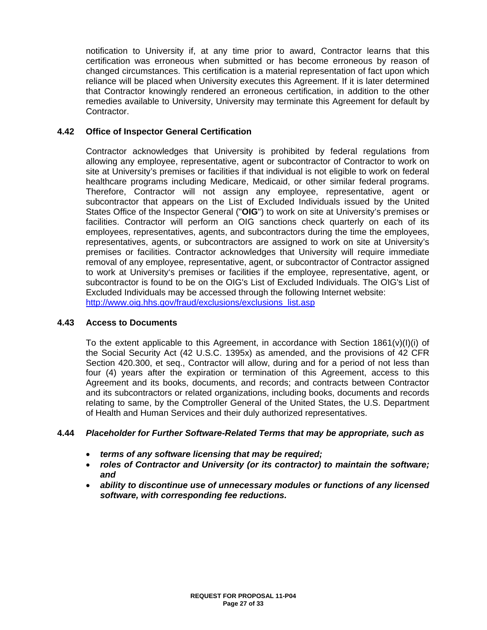notification to University if, at any time prior to award, Contractor learns that this certification was erroneous when submitted or has become erroneous by reason of changed circumstances. This certification is a material representation of fact upon which reliance will be placed when University executes this Agreement. If it is later determined that Contractor knowingly rendered an erroneous certification, in addition to the other remedies available to University, University may terminate this Agreement for default by Contractor.

### **4.42 Office of Inspector General Certification**

Contractor acknowledges that University is prohibited by federal regulations from allowing any employee, representative, agent or subcontractor of Contractor to work on site at University's premises or facilities if that individual is not eligible to work on federal healthcare programs including Medicare, Medicaid, or other similar federal programs. Therefore, Contractor will not assign any employee, representative, agent or subcontractor that appears on the List of Excluded Individuals issued by the United States Office of the Inspector General ("**OIG**") to work on site at University's premises or facilities. Contractor will perform an OIG sanctions check quarterly on each of its employees, representatives, agents, and subcontractors during the time the employees, representatives, agents, or subcontractors are assigned to work on site at University's premises or facilities. Contractor acknowledges that University will require immediate removal of any employee, representative, agent, or subcontractor of Contractor assigned to work at University's premises or facilities if the employee, representative, agent, or subcontractor is found to be on the OIG's List of Excluded Individuals. The OIG's List of Excluded Individuals may be accessed through the following Internet website: http://www.oig.hhs.gov/fraud/exclusions/exclusions\_list.asp

#### **4.43 Access to Documents**

To the extent applicable to this Agreement, in accordance with Section  $1861(v)(I)(i)$  of the Social Security Act (42 U.S.C. 1395x) as amended, and the provisions of 42 CFR Section 420.300, et seq., Contractor will allow, during and for a period of not less than four (4) years after the expiration or termination of this Agreement, access to this Agreement and its books, documents, and records; and contracts between Contractor and its subcontractors or related organizations, including books, documents and records relating to same, by the Comptroller General of the United States, the U.S. Department of Health and Human Services and their duly authorized representatives.

#### **4.44** *Placeholder for Further Software-Related Terms that may be appropriate, such as*

- *terms of any software licensing that may be required;*
- *roles of Contractor and University (or its contractor) to maintain the software; and*
- *ability to discontinue use of unnecessary modules or functions of any licensed software, with corresponding fee reductions.*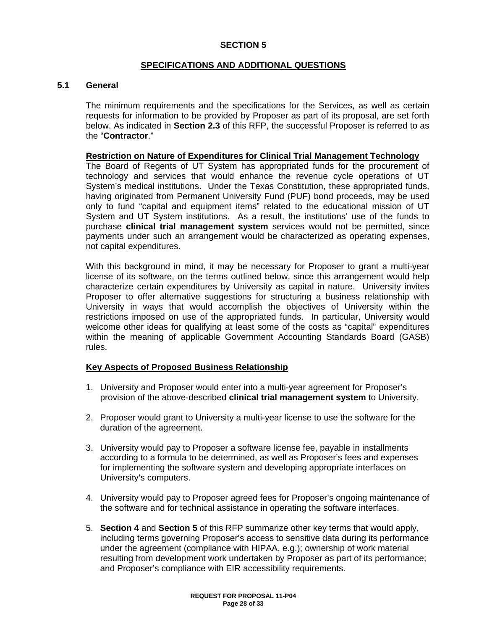### **SECTION 5**

### **SPECIFICATIONS AND ADDITIONAL QUESTIONS**

#### **5.1 General**

The minimum requirements and the specifications for the Services, as well as certain requests for information to be provided by Proposer as part of its proposal, are set forth below. As indicated in **Section 2.3** of this RFP, the successful Proposer is referred to as the "**Contractor**."

#### **Restriction on Nature of Expenditures for Clinical Trial Management Technology**

The Board of Regents of UT System has appropriated funds for the procurement of technology and services that would enhance the revenue cycle operations of UT System's medical institutions. Under the Texas Constitution, these appropriated funds, having originated from Permanent University Fund (PUF) bond proceeds, may be used only to fund "capital and equipment items" related to the educational mission of UT System and UT System institutions. As a result, the institutions' use of the funds to purchase **clinical trial management system** services would not be permitted, since payments under such an arrangement would be characterized as operating expenses, not capital expenditures.

With this background in mind, it may be necessary for Proposer to grant a multi-year license of its software, on the terms outlined below, since this arrangement would help characterize certain expenditures by University as capital in nature. University invites Proposer to offer alternative suggestions for structuring a business relationship with University in ways that would accomplish the objectives of University within the restrictions imposed on use of the appropriated funds. In particular, University would welcome other ideas for qualifying at least some of the costs as "capital" expenditures within the meaning of applicable Government Accounting Standards Board (GASB) rules.

#### **Key Aspects of Proposed Business Relationship**

- 1. University and Proposer would enter into a multi-year agreement for Proposer's provision of the above-described **clinical trial management system** to University.
- 2. Proposer would grant to University a multi-year license to use the software for the duration of the agreement.
- 3. University would pay to Proposer a software license fee, payable in installments according to a formula to be determined, as well as Proposer's fees and expenses for implementing the software system and developing appropriate interfaces on University's computers.
- 4. University would pay to Proposer agreed fees for Proposer's ongoing maintenance of the software and for technical assistance in operating the software interfaces.
- 5. **Section 4** and **Section 5** of this RFP summarize other key terms that would apply, including terms governing Proposer's access to sensitive data during its performance under the agreement (compliance with HIPAA, e.g.); ownership of work material resulting from development work undertaken by Proposer as part of its performance; and Proposer's compliance with EIR accessibility requirements.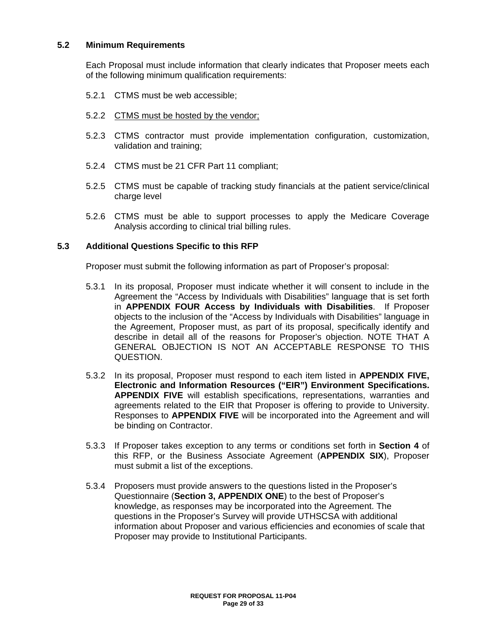### **5.2 Minimum Requirements**

Each Proposal must include information that clearly indicates that Proposer meets each of the following minimum qualification requirements:

- 5.2.1 CTMS must be web accessible;
- 5.2.2 CTMS must be hosted by the vendor;
- 5.2.3 CTMS contractor must provide implementation configuration, customization, validation and training;
- 5.2.4 CTMS must be 21 CFR Part 11 compliant;
- 5.2.5 CTMS must be capable of tracking study financials at the patient service/clinical charge level
- 5.2.6 CTMS must be able to support processes to apply the Medicare Coverage Analysis according to clinical trial billing rules.

#### **5.3 Additional Questions Specific to this RFP**

Proposer must submit the following information as part of Proposer's proposal:

- 5.3.1 In its proposal, Proposer must indicate whether it will consent to include in the Agreement the "Access by Individuals with Disabilities" language that is set forth in **APPENDIX FOUR Access by Individuals with Disabilities**. If Proposer objects to the inclusion of the "Access by Individuals with Disabilities" language in the Agreement, Proposer must, as part of its proposal, specifically identify and describe in detail all of the reasons for Proposer's objection. NOTE THAT A GENERAL OBJECTION IS NOT AN ACCEPTABLE RESPONSE TO THIS QUESTION.
- 5.3.2 In its proposal, Proposer must respond to each item listed in **APPENDIX FIVE, Electronic and Information Resources ("EIR") Environment Specifications. APPENDIX FIVE** will establish specifications, representations, warranties and agreements related to the EIR that Proposer is offering to provide to University. Responses to **APPENDIX FIVE** will be incorporated into the Agreement and will be binding on Contractor.
- 5.3.3 If Proposer takes exception to any terms or conditions set forth in **Section 4** of this RFP, or the Business Associate Agreement (**APPENDIX SIX**), Proposer must submit a list of the exceptions.
- 5.3.4 Proposers must provide answers to the questions listed in the Proposer's Questionnaire (**Section 3, APPENDIX ONE**) to the best of Proposer's knowledge, as responses may be incorporated into the Agreement. The questions in the Proposer's Survey will provide UTHSCSA with additional information about Proposer and various efficiencies and economies of scale that Proposer may provide to Institutional Participants.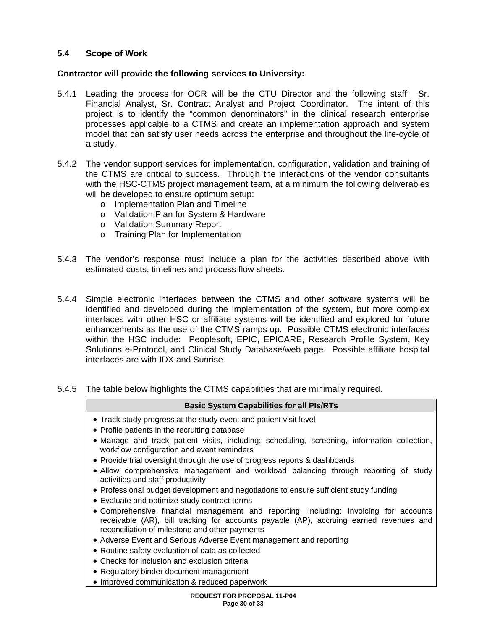# **5.4 Scope of Work**

### **Contractor will provide the following services to University:**

- 5.4.1 Leading the process for OCR will be the CTU Director and the following staff: Sr. Financial Analyst, Sr. Contract Analyst and Project Coordinator. The intent of this project is to identify the "common denominators" in the clinical research enterprise processes applicable to a CTMS and create an implementation approach and system model that can satisfy user needs across the enterprise and throughout the life-cycle of a study.
- 5.4.2 The vendor support services for implementation, configuration, validation and training of the CTMS are critical to success. Through the interactions of the vendor consultants with the HSC-CTMS project management team, at a minimum the following deliverables will be developed to ensure optimum setup:
	- o Implementation Plan and Timeline
	- o Validation Plan for System & Hardware
	- o Validation Summary Report
	- o Training Plan for Implementation
- 5.4.3 The vendor's response must include a plan for the activities described above with estimated costs, timelines and process flow sheets.
- 5.4.4 Simple electronic interfaces between the CTMS and other software systems will be identified and developed during the implementation of the system, but more complex interfaces with other HSC or affiliate systems will be identified and explored for future enhancements as the use of the CTMS ramps up. Possible CTMS electronic interfaces within the HSC include: Peoplesoft, EPIC, EPICARE, Research Profile System, Key Solutions e-Protocol, and Clinical Study Database/web page. Possible affiliate hospital interfaces are with IDX and Sunrise.
- 5.4.5 The table below highlights the CTMS capabilities that are minimally required.

#### **Basic System Capabilities for all PIs/RTs**

- Track study progress at the study event and patient visit level
- Profile patients in the recruiting database
- Manage and track patient visits, including; scheduling, screening, information collection, workflow configuration and event reminders
- Provide trial oversight through the use of progress reports & dashboards
- Allow comprehensive management and workload balancing through reporting of study activities and staff productivity
- Professional budget development and negotiations to ensure sufficient study funding
- Evaluate and optimize study contract terms
- Comprehensive financial management and reporting, including: Invoicing for accounts receivable (AR), bill tracking for accounts payable (AP), accruing earned revenues and reconciliation of milestone and other payments
- Adverse Event and Serious Adverse Event management and reporting
- Routine safety evaluation of data as collected
- Checks for inclusion and exclusion criteria
- Regulatory binder document management
- Improved communication & reduced paperwork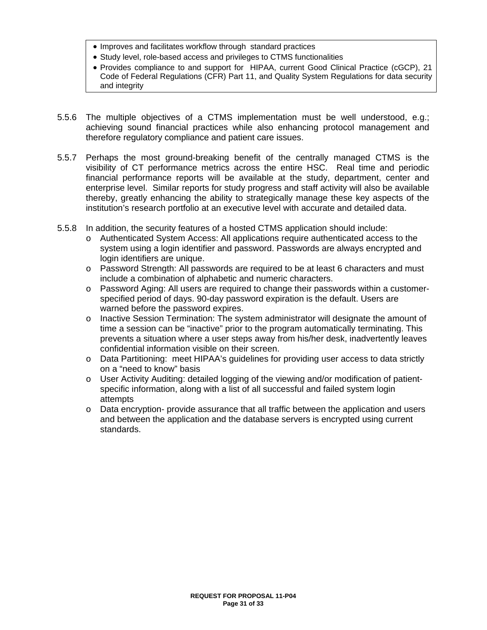- Improves and facilitates workflow through standard practices
- Study level, role-based access and privileges to CTMS functionalities
- Provides compliance to and support for HIPAA, current Good Clinical Practice (cGCP), 21 Code of Federal Regulations (CFR) Part 11, and Quality System Regulations for data security and integrity
- 5.5.6 The multiple objectives of a CTMS implementation must be well understood, e.g.; achieving sound financial practices while also enhancing protocol management and therefore regulatory compliance and patient care issues.
- 5.5.7 Perhaps the most ground-breaking benefit of the centrally managed CTMS is the visibility of CT performance metrics across the entire HSC. Real time and periodic financial performance reports will be available at the study, department, center and enterprise level. Similar reports for study progress and staff activity will also be available thereby, greatly enhancing the ability to strategically manage these key aspects of the institution's research portfolio at an executive level with accurate and detailed data.
- 5.5.8 In addition, the security features of a hosted CTMS application should include:
	- o Authenticated System Access: All applications require authenticated access to the system using a login identifier and password. Passwords are always encrypted and login identifiers are unique.
	- o Password Strength: All passwords are required to be at least 6 characters and must include a combination of alphabetic and numeric characters.
	- o Password Aging: All users are required to change their passwords within a customerspecified period of days. 90-day password expiration is the default. Users are warned before the password expires.
	- o Inactive Session Termination: The system administrator will designate the amount of time a session can be "inactive" prior to the program automatically terminating. This prevents a situation where a user steps away from his/her desk, inadvertently leaves confidential information visible on their screen.
	- o Data Partitioning: meet HIPAA's guidelines for providing user access to data strictly on a "need to know" basis
	- o User Activity Auditing: detailed logging of the viewing and/or modification of patientspecific information, along with a list of all successful and failed system login attempts
	- o Data encryption- provide assurance that all traffic between the application and users and between the application and the database servers is encrypted using current standards.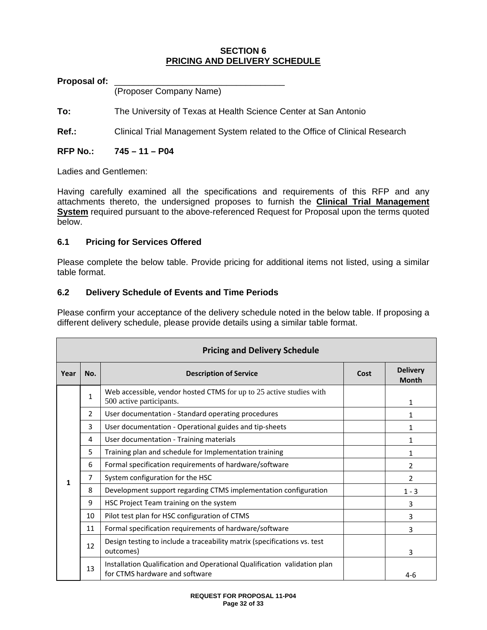# **SECTION 6 PRICING AND DELIVERY SCHEDULE**

### Proposal of:

(Proposer Company Name)

**To:** The University of Texas at Health Science Center at San Antonio

**Ref.:** Clinical Trial Management System related to the Office of Clinical Research

### **RFP No.: 745 – 11 – P04**

Ladies and Gentlemen:

Having carefully examined all the specifications and requirements of this RFP and any attachments thereto, the undersigned proposes to furnish the **Clinical Trial Management System** required pursuant to the above-referenced Request for Proposal upon the terms quoted below.

### **6.1 Pricing for Services Offered**

Please complete the below table. Provide pricing for additional items not listed, using a similar table format.

### **6.2 Delivery Schedule of Events and Time Periods**

Please confirm your acceptance of the delivery schedule noted in the below table. If proposing a different delivery schedule, please provide details using a similar table format.

|      | <b>Pricing and Delivery Schedule</b> |                                                                                                            |  |                                 |  |
|------|--------------------------------------|------------------------------------------------------------------------------------------------------------|--|---------------------------------|--|
| Year | No.<br><b>Description of Service</b> |                                                                                                            |  | <b>Delivery</b><br><b>Month</b> |  |
|      | 1                                    | Web accessible, vendor hosted CTMS for up to 25 active studies with<br>500 active participants.            |  | $\mathbf{1}$                    |  |
|      | $\overline{2}$                       | User documentation - Standard operating procedures                                                         |  | 1                               |  |
|      | 3                                    | User documentation - Operational guides and tip-sheets                                                     |  | 1                               |  |
|      | 4                                    | User documentation - Training materials                                                                    |  | 1                               |  |
|      | 5                                    | Training plan and schedule for Implementation training                                                     |  | 1                               |  |
|      | 6                                    | Formal specification requirements of hardware/software                                                     |  | $\mathcal{P}$                   |  |
| 1    | 7                                    | System configuration for the HSC                                                                           |  | 2                               |  |
|      | 8                                    | Development support regarding CTMS implementation configuration                                            |  | $1 - 3$                         |  |
|      | 9                                    | HSC Project Team training on the system                                                                    |  | 3                               |  |
|      | 10                                   | Pilot test plan for HSC configuration of CTMS                                                              |  | 3                               |  |
|      | 11                                   | Formal specification requirements of hardware/software                                                     |  | 3                               |  |
|      | 12                                   | Design testing to include a traceability matrix (specifications vs. test<br>outcomes)                      |  | 3                               |  |
|      | 13                                   | Installation Qualification and Operational Qualification validation plan<br>for CTMS hardware and software |  | $4-6$                           |  |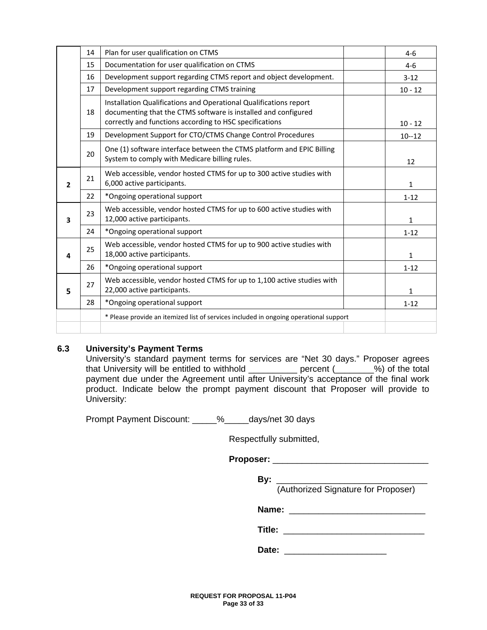|                | 14 | Plan for user qualification on CTMS                                                                                                                                                            | $4-6$        |
|----------------|----|------------------------------------------------------------------------------------------------------------------------------------------------------------------------------------------------|--------------|
|                | 15 | Documentation for user qualification on CTMS                                                                                                                                                   | $4-6$        |
|                | 16 | Development support regarding CTMS report and object development.                                                                                                                              | $3 - 12$     |
|                | 17 | Development support regarding CTMS training                                                                                                                                                    | $10 - 12$    |
|                | 18 | Installation Qualifications and Operational Qualifications report<br>documenting that the CTMS software is installed and configured<br>correctly and functions according to HSC specifications | $10 - 12$    |
|                | 19 | Development Support for CTO/CTMS Change Control Procedures                                                                                                                                     | $10 - 12$    |
|                | 20 | One (1) software interface between the CTMS platform and EPIC Billing<br>System to comply with Medicare billing rules.                                                                         | 12           |
| $\overline{2}$ | 21 | Web accessible, vendor hosted CTMS for up to 300 active studies with<br>6,000 active participants.                                                                                             | $\mathbf{1}$ |
|                | 22 | *Ongoing operational support                                                                                                                                                                   | $1 - 12$     |
| 3              | 23 | Web accessible, vendor hosted CTMS for up to 600 active studies with<br>12,000 active participants.                                                                                            | $\mathbf{1}$ |
|                | 24 | *Ongoing operational support                                                                                                                                                                   | $1 - 12$     |
| 4              | 25 | Web accessible, vendor hosted CTMS for up to 900 active studies with<br>18,000 active participants.                                                                                            | $\mathbf{1}$ |
|                | 26 | *Ongoing operational support                                                                                                                                                                   | $1 - 12$     |
| 5              | 27 | Web accessible, vendor hosted CTMS for up to 1,100 active studies with<br>22,000 active participants.                                                                                          | 1            |
|                | 28 | *Ongoing operational support                                                                                                                                                                   | $1 - 12$     |
|                |    | * Please provide an itemized list of services included in ongoing operational support                                                                                                          |              |
|                |    |                                                                                                                                                                                                |              |

### **6.3 University's Payment Terms**

University's standard payment terms for services are "Net 30 days." Proposer agrees that University will be entitled to withhold entitled be recent (2008) of the total payment due under the Agreement until after University's acceptance of the final work product. Indicate below the prompt payment discount that Proposer will provide to University:

Prompt Payment Discount: \_\_\_\_\_%\_\_\_\_\_days/net 30 days

Respectfully submitted,

**Proposer:** \_\_\_\_\_\_\_\_\_\_\_\_\_\_\_\_\_\_\_\_\_\_\_\_\_\_\_\_\_\_\_\_

| Bv: |                                     |
|-----|-------------------------------------|
|     | (Authorized Signature for Proposer) |
|     |                                     |

**Name:** \_\_\_\_\_\_\_\_\_\_\_\_\_\_\_\_\_\_\_\_\_\_\_\_\_\_\_\_

**Title:** 

 **Date:** \_\_\_\_\_\_\_\_\_\_\_\_\_\_\_\_\_\_\_\_\_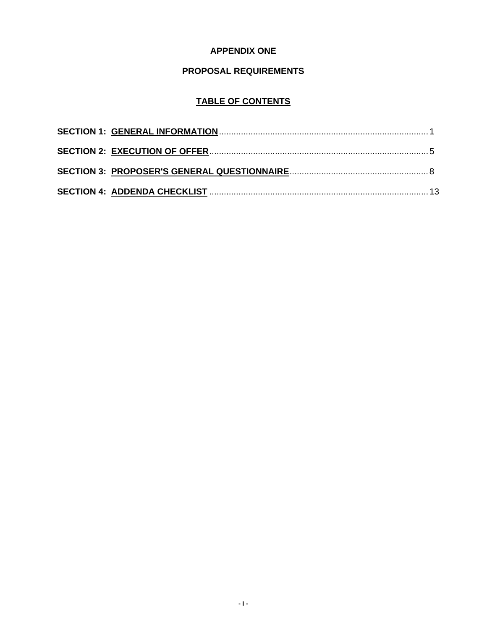# **APPENDIX ONE**

# **PROPOSAL REQUIREMENTS**

# **TABLE OF CONTENTS**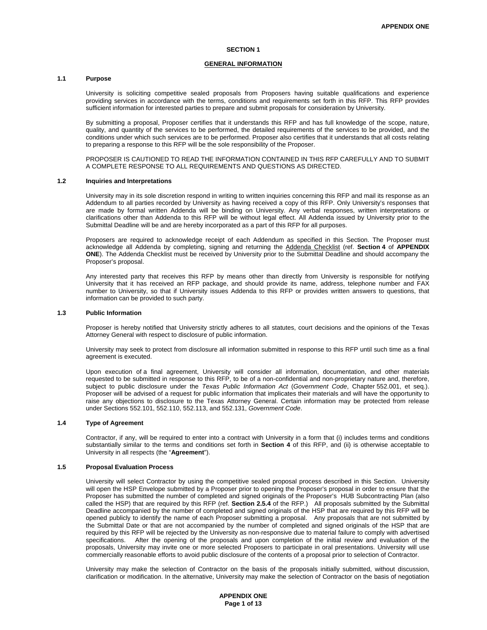#### **SECTION 1**

#### **GENERAL INFORMATION**

#### **1.1 Purpose**

University is soliciting competitive sealed proposals from Proposers having suitable qualifications and experience providing services in accordance with the terms, conditions and requirements set forth in this RFP. This RFP provides sufficient information for interested parties to prepare and submit proposals for consideration by University.

By submitting a proposal, Proposer certifies that it understands this RFP and has full knowledge of the scope, nature, quality, and quantity of the services to be performed, the detailed requirements of the services to be provided, and the conditions under which such services are to be performed. Proposer also certifies that it understands that all costs relating to preparing a response to this RFP will be the sole responsibility of the Proposer.

PROPOSER IS CAUTIONED TO READ THE INFORMATION CONTAINED IN THIS RFP CAREFULLY AND TO SUBMIT A COMPLETE RESPONSE TO ALL REQUIREMENTS AND QUESTIONS AS DIRECTED.

#### **1.2 Inquiries and Interpretations**

University may in its sole discretion respond in writing to written inquiries concerning this RFP and mail its response as an Addendum to all parties recorded by University as having received a copy of this RFP. Only University's responses that are made by formal written Addenda will be binding on University. Any verbal responses, written interpretations or clarifications other than Addenda to this RFP will be without legal effect. All Addenda issued by University prior to the Submittal Deadline will be and are hereby incorporated as a part of this RFP for all purposes.

Proposers are required to acknowledge receipt of each Addendum as specified in this Section. The Proposer must acknowledge all Addenda by completing, signing and returning the Addenda Checklist (ref. **Section 4** of **APPENDIX ONE**). The Addenda Checklist must be received by University prior to the Submittal Deadline and should accompany the Proposer's proposal.

Any interested party that receives this RFP by means other than directly from University is responsible for notifying University that it has received an RFP package, and should provide its name, address, telephone number and FAX number to University, so that if University issues Addenda to this RFP or provides written answers to questions, that information can be provided to such party.

#### **1.3 Public Information**

Proposer is hereby notified that University strictly adheres to all statutes, court decisions and the opinions of the Texas Attorney General with respect to disclosure of public information.

University may seek to protect from disclosure all information submitted in response to this RFP until such time as a final agreement is executed.

Upon execution of a final agreement, University will consider all information, documentation, and other materials requested to be submitted in response to this RFP, to be of a non-confidential and non-proprietary nature and, therefore, subject to public disclosure under the *Texas Public Information Act* (*Government Code*, Chapter 552.001, et seq.). Proposer will be advised of a request for public information that implicates their materials and will have the opportunity to raise any objections to disclosure to the Texas Attorney General. Certain information may be protected from release under Sections 552.101, 552.110, 552.113, and 552.131, *Government Code*.

#### **1.4 Type of Agreement**

Contractor, if any, will be required to enter into a contract with University in a form that (i) includes terms and conditions substantially similar to the terms and conditions set forth in **Section 4** of this RFP, and (ii) is otherwise acceptable to University in all respects (the "**Agreement**").

#### **1.5 Proposal Evaluation Process**

University will select Contractor by using the competitive sealed proposal process described in this Section. University will open the HSP Envelope submitted by a Proposer prior to opening the Proposer's proposal in order to ensure that the Proposer has submitted the number of completed and signed originals of the Proposer's HUB Subcontracting Plan (also called the HSP) that are required by this RFP (ref. **Section 2.5.4** of the RFP.) All proposals submitted by the Submittal Deadline accompanied by the number of completed and signed originals of the HSP that are required by this RFP will be opened publicly to identify the name of each Proposer submitting a proposal. Any proposals that are not submitted by the Submittal Date or that are not accompanied by the number of completed and signed originals of the HSP that are required by this RFP will be rejected by the University as non-responsive due to material failure to comply with advertised specifications. After the opening of the proposals and upon completion of the initial review and evaluation of the proposals, University may invite one or more selected Proposers to participate in oral presentations. University will use commercially reasonable efforts to avoid public disclosure of the contents of a proposal prior to selection of Contractor.

University may make the selection of Contractor on the basis of the proposals initially submitted, without discussion, clarification or modification. In the alternative, University may make the selection of Contractor on the basis of negotiation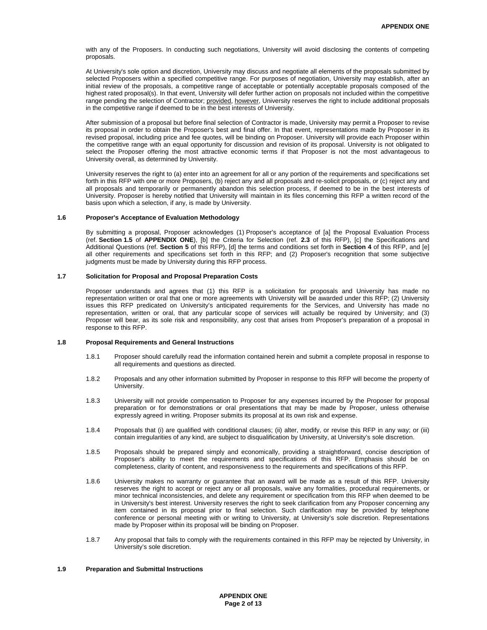with any of the Proposers. In conducting such negotiations, University will avoid disclosing the contents of competing proposals.

At University's sole option and discretion, University may discuss and negotiate all elements of the proposals submitted by selected Proposers within a specified competitive range. For purposes of negotiation, University may establish, after an initial review of the proposals, a competitive range of acceptable or potentially acceptable proposals composed of the highest rated proposal(s). In that event, University will defer further action on proposals not included within the competitive range pending the selection of Contractor; provided, however, University reserves the right to include additional proposals in the competitive range if deemed to be in the best interests of University.

After submission of a proposal but before final selection of Contractor is made, University may permit a Proposer to revise its proposal in order to obtain the Proposer's best and final offer. In that event, representations made by Proposer in its revised proposal, including price and fee quotes, will be binding on Proposer. University will provide each Proposer within the competitive range with an equal opportunity for discussion and revision of its proposal. University is not obligated to select the Proposer offering the most attractive economic terms if that Proposer is not the most advantageous to University overall, as determined by University.

University reserves the right to (a) enter into an agreement for all or any portion of the requirements and specifications set forth in this RFP with one or more Proposers, (b) reject any and all proposals and re-solicit proposals, or (c) reject any and all proposals and temporarily or permanently abandon this selection process, if deemed to be in the best interests of University. Proposer is hereby notified that University will maintain in its files concerning this RFP a written record of the basis upon which a selection, if any, is made by University.

#### **1.6 Proposer's Acceptance of Evaluation Methodology**

By submitting a proposal, Proposer acknowledges (1) Proposer's acceptance of [a] the Proposal Evaluation Process (ref. **Section 1.5** of **APPENDIX ONE**), [b] the Criteria for Selection (ref. **2.3** of this RFP), [c] the Specifications and Additional Questions (ref. **Section 5** of this RFP), [d] the terms and conditions set forth in **Section 4** of this RFP, and [e] all other requirements and specifications set forth in this RFP; and (2) Proposer's recognition that some subjective judgments must be made by University during this RFP process.

#### **1.7 Solicitation for Proposal and Proposal Preparation Costs**

Proposer understands and agrees that (1) this RFP is a solicitation for proposals and University has made no representation written or oral that one or more agreements with University will be awarded under this RFP; (2) University issues this RFP predicated on University's anticipated requirements for the Services, and University has made no representation, written or oral, that any particular scope of services will actually be required by University; and (3) Proposer will bear, as its sole risk and responsibility, any cost that arises from Proposer's preparation of a proposal in response to this RFP.

#### **1.8 Proposal Requirements and General Instructions**

- 1.8.1 Proposer should carefully read the information contained herein and submit a complete proposal in response to all requirements and questions as directed.
- 1.8.2 Proposals and any other information submitted by Proposer in response to this RFP will become the property of University.
- 1.8.3 University will not provide compensation to Proposer for any expenses incurred by the Proposer for proposal preparation or for demonstrations or oral presentations that may be made by Proposer, unless otherwise expressly agreed in writing. Proposer submits its proposal at its own risk and expense.
- 1.8.4 Proposals that (i) are qualified with conditional clauses; (ii) alter, modify, or revise this RFP in any way; or (iii) contain irregularities of any kind, are subject to disqualification by University, at University's sole discretion.
- 1.8.5 Proposals should be prepared simply and economically, providing a straightforward, concise description of Proposer's ability to meet the requirements and specifications of this RFP. Emphasis should be on completeness, clarity of content, and responsiveness to the requirements and specifications of this RFP.
- 1.8.6 University makes no warranty or guarantee that an award will be made as a result of this RFP. University reserves the right to accept or reject any or all proposals, waive any formalities, procedural requirements, or minor technical inconsistencies, and delete any requirement or specification from this RFP when deemed to be in University's best interest. University reserves the right to seek clarification from any Proposer concerning any item contained in its proposal prior to final selection. Such clarification may be provided by telephone conference or personal meeting with or writing to University, at University's sole discretion. Representations made by Proposer within its proposal will be binding on Proposer.
- 1.8.7 Any proposal that fails to comply with the requirements contained in this RFP may be rejected by University, in University's sole discretion.

#### **1.9 Preparation and Submittal Instructions**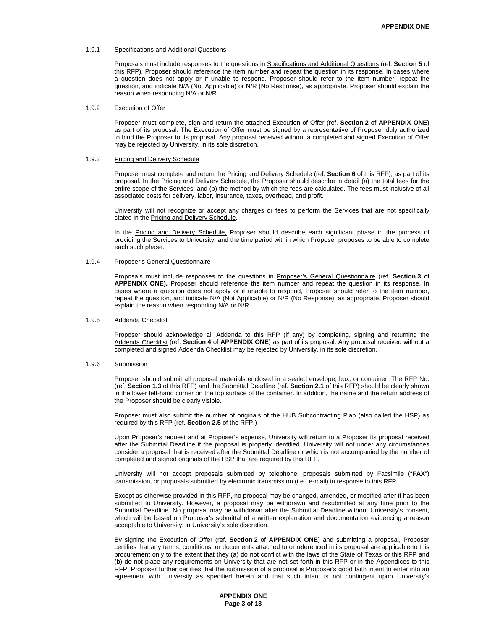#### 1.9.1 Specifications and Additional Questions

Proposals must include responses to the questions in Specifications and Additional Questions (ref. **Section 5** of this RFP). Proposer should reference the item number and repeat the question in its response. In cases where a question does not apply or if unable to respond, Proposer should refer to the item number, repeat the question, and indicate N/A (Not Applicable) or N/R (No Response), as appropriate. Proposer should explain the reason when responding N/A or N/R.

#### 1.9.2 Execution of Offer

Proposer must complete, sign and return the attached Execution of Offer (ref. **Section 2** of **APPENDIX ONE**) as part of its proposal. The Execution of Offer must be signed by a representative of Proposer duly authorized to bind the Proposer to its proposal. Any proposal received without a completed and signed Execution of Offer may be rejected by University, in its sole discretion.

#### 1.9.3 Pricing and Delivery Schedule

Proposer must complete and return the Pricing and Delivery Schedule (ref. **Section 6** of this RFP), as part of its proposal. In the Pricing and Delivery Schedule, the Proposer should describe in detail (a) the total fees for the entire scope of the Services; and (b) the method by which the fees are calculated. The fees must inclusive of all associated costs for delivery, labor, insurance, taxes, overhead, and profit.

University will not recognize or accept any charges or fees to perform the Services that are not specifically stated in the Pricing and Delivery Schedule.

In the Pricing and Delivery Schedule, Proposer should describe each significant phase in the process of providing the Services to University, and the time period within which Proposer proposes to be able to complete each such phase.

#### 1.9.4 Proposer's General Questionnaire

Proposals must include responses to the questions in Proposer's General Questionnaire (ref. **Section 3** of **APPENDIX ONE).** Proposer should reference the item number and repeat the question in its response. In cases where a question does not apply or if unable to respond, Proposer should refer to the item number, repeat the question, and indicate N/A (Not Applicable) or N/R (No Response), as appropriate. Proposer should explain the reason when responding N/A or N/R.

#### 1.9.5 Addenda Checklist

Proposer should acknowledge all Addenda to this RFP (if any) by completing, signing and returning the Addenda Checklist (ref. **Section 4** of **APPENDIX ONE**) as part of its proposal. Any proposal received without a completed and signed Addenda Checklist may be rejected by University, in its sole discretion.

#### 1.9.6 Submission

Proposer should submit all proposal materials enclosed in a sealed envelope, box, or container. The RFP No. (ref. **Section 1.3** of this RFP) and the Submittal Deadline (ref. **Section 2.1** of this RFP) should be clearly shown in the lower left-hand corner on the top surface of the container. In addition, the name and the return address of the Proposer should be clearly visible.

Proposer must also submit the number of originals of the HUB Subcontracting Plan (also called the HSP) as required by this RFP (ref. **Section 2.5** of the RFP.)

Upon Proposer's request and at Proposer's expense, University will return to a Proposer its proposal received after the Submittal Deadline if the proposal is properly identified. University will not under any circumstances consider a proposal that is received after the Submittal Deadline or which is not accompanied by the number of completed and signed originals of the HSP that are required by this RFP.

University will not accept proposals submitted by telephone, proposals submitted by Facsimile ("**FAX**") transmission, or proposals submitted by electronic transmission (i.e., e-mail) in response to this RFP.

Except as otherwise provided in this RFP, no proposal may be changed, amended, or modified after it has been submitted to University. However, a proposal may be withdrawn and resubmitted at any time prior to the Submittal Deadline. No proposal may be withdrawn after the Submittal Deadline without University's consent, which will be based on Proposer's submittal of a written explanation and documentation evidencing a reason acceptable to University, in University's sole discretion.

By signing the Execution of Offer (ref. **Section 2** of **APPENDIX ONE**) and submitting a proposal, Proposer certifies that any terms, conditions, or documents attached to or referenced in its proposal are applicable to this procurement only to the extent that they (a) do not conflict with the laws of the State of Texas or this RFP and (b) do not place any requirements on University that are not set forth in this RFP or in the Appendices to this RFP. Proposer further certifies that the submission of a proposal is Proposer's good faith intent to enter into an agreement with University as specified herein and that such intent is not contingent upon University's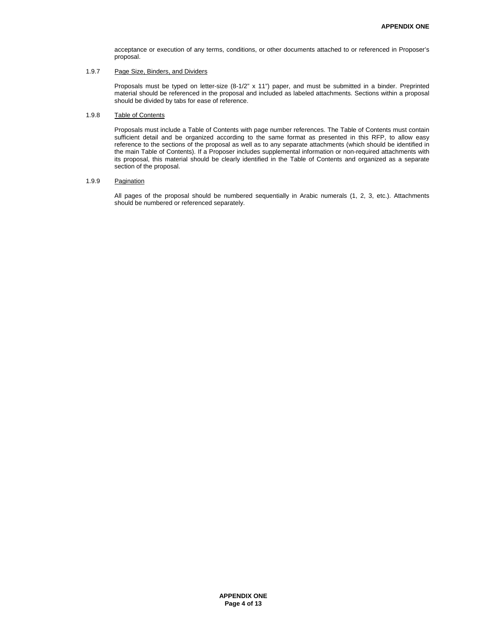acceptance or execution of any terms, conditions, or other documents attached to or referenced in Proposer's proposal.

#### 1.9.7 Page Size, Binders, and Dividers

Proposals must be typed on letter-size (8-1/2" x 11") paper, and must be submitted in a binder. Preprinted material should be referenced in the proposal and included as labeled attachments. Sections within a proposal should be divided by tabs for ease of reference.

#### 1.9.8 Table of Contents

Proposals must include a Table of Contents with page number references. The Table of Contents must contain sufficient detail and be organized according to the same format as presented in this RFP, to allow easy reference to the sections of the proposal as well as to any separate attachments (which should be identified in the main Table of Contents). If a Proposer includes supplemental information or non-required attachments with its proposal, this material should be clearly identified in the Table of Contents and organized as a separate section of the proposal.

#### 1.9.9 Pagination

All pages of the proposal should be numbered sequentially in Arabic numerals (1, 2, 3, etc.). Attachments should be numbered or referenced separately.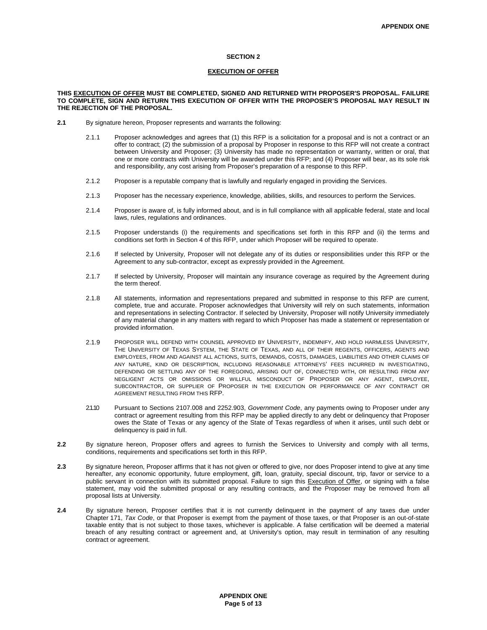#### **SECTION 2**

#### **EXECUTION OF OFFER**

#### **THIS EXECUTION OF OFFER MUST BE COMPLETED, SIGNED AND RETURNED WITH PROPOSER'S PROPOSAL. FAILURE TO COMPLETE, SIGN AND RETURN THIS EXECUTION OF OFFER WITH THE PROPOSER'S PROPOSAL MAY RESULT IN THE REJECTION OF THE PROPOSAL.**

- **2.1** By signature hereon, Proposer represents and warrants the following:
	- 2.1.1 Proposer acknowledges and agrees that (1) this RFP is a solicitation for a proposal and is not a contract or an offer to contract; (2) the submission of a proposal by Proposer in response to this RFP will not create a contract between University and Proposer; (3) University has made no representation or warranty, written or oral, that one or more contracts with University will be awarded under this RFP; and (4) Proposer will bear, as its sole risk and responsibility, any cost arising from Proposer's preparation of a response to this RFP.
	- 2.1.2 Proposer is a reputable company that is lawfully and regularly engaged in providing the Services.
	- 2.1.3 Proposer has the necessary experience, knowledge, abilities, skills, and resources to perform the Services.
	- 2.1.4 Proposer is aware of, is fully informed about, and is in full compliance with all applicable federal, state and local laws, rules, regulations and ordinances.
	- 2.1.5 Proposer understands (i) the requirements and specifications set forth in this RFP and (ii) the terms and conditions set forth in Section 4 of this RFP, under which Proposer will be required to operate.
	- 2.1.6 If selected by University, Proposer will not delegate any of its duties or responsibilities under this RFP or the Agreement to any sub-contractor, except as expressly provided in the Agreement.
	- 2.1.7 If selected by University, Proposer will maintain any insurance coverage as required by the Agreement during the term thereof.
	- 2.1.8 All statements, information and representations prepared and submitted in response to this RFP are current, complete, true and accurate. Proposer acknowledges that University will rely on such statements, information and representations in selecting Contractor. If selected by University, Proposer will notify University immediately of any material change in any matters with regard to which Proposer has made a statement or representation or provided information.
	- 2.1.9 PROPOSER WILL DEFEND WITH COUNSEL APPROVED BY UNIVERSITY, INDEMNIFY, AND HOLD HARMLESS UNIVERSITY, THE UNIVERSITY OF TEXAS SYSTEM, THE STATE OF TEXAS, AND ALL OF THEIR REGENTS, OFFICERS, AGENTS AND EMPLOYEES, FROM AND AGAINST ALL ACTIONS, SUITS, DEMANDS, COSTS, DAMAGES, LIABILITIES AND OTHER CLAIMS OF ANY NATURE, KIND OR DESCRIPTION, INCLUDING REASONABLE ATTORNEYS' FEES INCURRED IN INVESTIGATING, DEFENDING OR SETTLING ANY OF THE FOREGOING, ARISING OUT OF, CONNECTED WITH, OR RESULTING FROM ANY NEGLIGENT ACTS OR OMISSIONS OR WILLFUL MISCONDUCT OF PROPOSER OR ANY AGENT, EMPLOYEE, SUBCONTRACTOR, OR SUPPLIER OF PROPOSER IN THE EXECUTION OR PERFORMANCE OF ANY CONTRACT OR AGREEMENT RESULTING FROM THIS RFP.
	- 2.1.10 Pursuant to Sections 2107.008 and 2252.903, *Government Code*, any payments owing to Proposer under any contract or agreement resulting from this RFP may be applied directly to any debt or delinquency that Proposer owes the State of Texas or any agency of the State of Texas regardless of when it arises, until such debt or delinquency is paid in full.
- **2.2** By signature hereon, Proposer offers and agrees to furnish the Services to University and comply with all terms, conditions, requirements and specifications set forth in this RFP.
- **2.3** By signature hereon, Proposer affirms that it has not given or offered to give, nor does Proposer intend to give at any time hereafter, any economic opportunity, future employment, gift, loan, gratuity, special discount, trip, favor or service to a public servant in connection with its submitted proposal. Failure to sign this Execution of Offer, or signing with a false statement, may void the submitted proposal or any resulting contracts, and the Proposer may be removed from all proposal lists at University.
- **2.4** By signature hereon, Proposer certifies that it is not currently delinquent in the payment of any taxes due under Chapter 171, *Tax Code*, or that Proposer is exempt from the payment of those taxes, or that Proposer is an out-of-state taxable entity that is not subject to those taxes, whichever is applicable. A false certification will be deemed a material breach of any resulting contract or agreement and, at University's option, may result in termination of any resulting contract or agreement.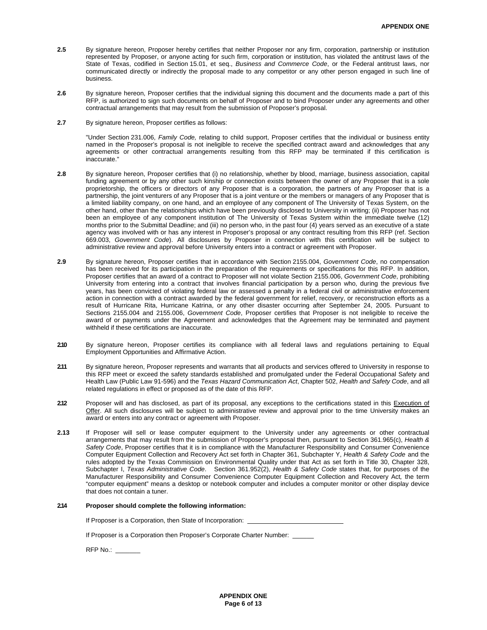- **2.5** By signature hereon, Proposer hereby certifies that neither Proposer nor any firm, corporation, partnership or institution represented by Proposer, or anyone acting for such firm, corporation or institution, has violated the antitrust laws of the State of Texas, codified in Section 15.01, et seq., *Business and Commerce Code*, or the Federal antitrust laws, nor communicated directly or indirectly the proposal made to any competitor or any other person engaged in such line of business.
- **2.6** By signature hereon, Proposer certifies that the individual signing this document and the documents made a part of this RFP, is authorized to sign such documents on behalf of Proposer and to bind Proposer under any agreements and other contractual arrangements that may result from the submission of Proposer's proposal.
- **2.7** By signature hereon, Proposer certifies as follows:

"Under Section 231.006, *Family Code,* relating to child support, Proposer certifies that the individual or business entity named in the Proposer's proposal is not ineligible to receive the specified contract award and acknowledges that any agreements or other contractual arrangements resulting from this RFP may be terminated if this certification is inaccurate."

- **2.8** By signature hereon, Proposer certifies that (i) no relationship, whether by blood, marriage, business association, capital funding agreement or by any other such kinship or connection exists between the owner of any Proposer that is a sole proprietorship, the officers or directors of any Proposer that is a corporation, the partners of any Proposer that is a partnership, the joint venturers of any Proposer that is a joint venture or the members or managers of any Proposer that is a limited liability company, on one hand, and an employee of any component of The University of Texas System, on the other hand, other than the relationships which have been previously disclosed to University in writing; (ii) Proposer has not been an employee of any component institution of The University of Texas System within the immediate twelve (12) months prior to the Submittal Deadline; and (iii) no person who, in the past four (4) years served as an executive of a state agency was involved with or has any interest in Proposer's proposal or any contract resulting from this RFP (ref. Section 669.003, *Government Code*). All disclosures by Proposer in connection with this certification will be subject to administrative review and approval before University enters into a contract or agreement with Proposer.
- **2.9** By signature hereon, Proposer certifies that in accordance with Section 2155.004, *Government Code*, no compensation has been received for its participation in the preparation of the requirements or specifications for this RFP. In addition, Proposer certifies that an award of a contract to Proposer will not violate Section 2155.006, *Government Code*, prohibiting University from entering into a contract that involves financial participation by a person who, during the previous five years, has been convicted of violating federal law or assessed a penalty in a federal civil or administrative enforcement action in connection with a contract awarded by the federal government for relief, recovery, or reconstruction efforts as a result of Hurricane Rita, Hurricane Katrina, or any other disaster occurring after September 24, 2005. Pursuant to Sections 2155.004 and 2155.006, *Government Code*, Proposer certifies that Proposer is not ineligible to receive the award of or payments under the Agreement and acknowledges that the Agreement may be terminated and payment withheld if these certifications are inaccurate.
- **2.10** By signature hereon, Proposer certifies its compliance with all federal laws and regulations pertaining to Equal Employment Opportunities and Affirmative Action.
- **2.11** By signature hereon, Proposer represents and warrants that all products and services offered to University in response to this RFP meet or exceed the safety standards established and promulgated under the Federal Occupational Safety and Health Law (Public Law 91-596) and the *Texas Hazard Communication Act*, Chapter 502, *Health and Safety Code*, and all related regulations in effect or proposed as of the date of this RFP.
- **2.12** Proposer will and has disclosed, as part of its proposal, any exceptions to the certifications stated in this Execution of Offer. All such disclosures will be subject to administrative review and approval prior to the time University makes an award or enters into any contract or agreement with Proposer.
- **2.13** If Proposer will sell or lease computer equipment to the University under any agreements or other contractual arrangements that may result from the submission of Proposer's proposal then, pursuant to Section 361.965(c), *Health & Safety Code*, Proposer certifies that it is in compliance with the Manufacturer Responsibility and Consumer Convenience Computer Equipment Collection and Recovery Act set forth in Chapter 361, Subchapter Y, *Health & Safety Code* and the rules adopted by the Texas Commission on Environmental Quality under that Act as set forth in Title 30, Chapter 328, Subchapter I, *Texas Administrative Code*. Section 361.952(2), *Health & Safety Code* states that, for purposes of the Manufacturer Responsibility and Consumer Convenience Computer Equipment Collection and Recovery Act*,* the term "computer equipment" means a desktop or notebook computer and includes a computer monitor or other display device that does not contain a tuner.

#### **2.14 Proposer should complete the following information:**

If Proposer is a Corporation, then State of Incorporation:

If Proposer is a Corporation then Proposer's Corporate Charter Number: \_

RFP No.: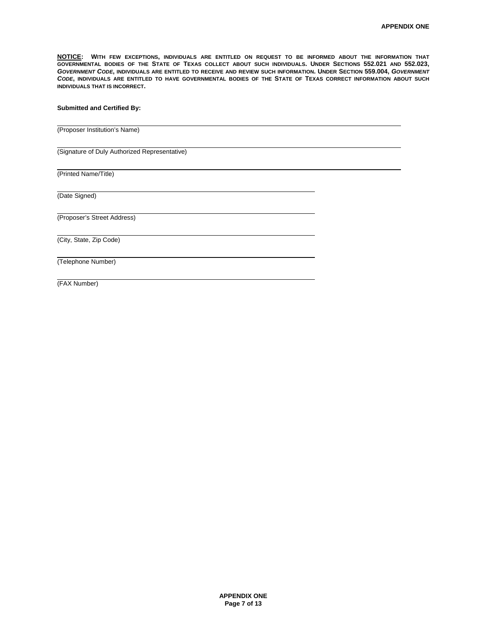**NOTICE: WITH FEW EXCEPTIONS, INDIVIDUALS ARE ENTITLED ON REQUEST TO BE INFORMED ABOUT THE INFORMATION THAT GOVERNMENTAL BODIES OF THE STATE OF TEXAS COLLECT ABOUT SUCH INDIVIDUALS. UNDER SECTIONS 552.021 AND 552.023,** *GOVERNMENT CODE***, INDIVIDUALS ARE ENTITLED TO RECEIVE AND REVIEW SUCH INFORMATION. UNDER SECTION 559.004,** *GOVERNMENT CODE***, INDIVIDUALS ARE ENTITLED TO HAVE GOVERNMENTAL BODIES OF THE STATE OF TEXAS CORRECT INFORMATION ABOUT SUCH INDIVIDUALS THAT IS INCORRECT.** 

#### **Submitted and Certified By:**

(Proposer Institution's Name)

(Signature of Duly Authorized Representative)

(Printed Name/Title)

(Date Signed)

 $\overline{a}$ 

l

 $\overline{a}$ 

(Proposer's Street Address)

(City, State, Zip Code)

(Telephone Number)

(FAX Number)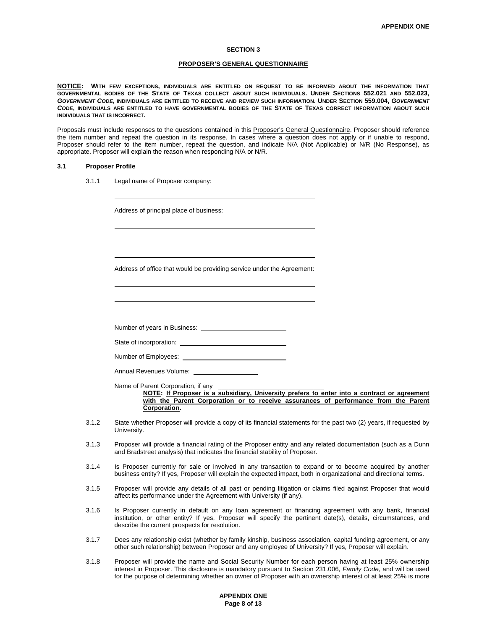#### **SECTION 3**

#### **PROPOSER'S GENERAL QUESTIONNAIRE**

**NOTICE: WITH FEW EXCEPTIONS, INDIVIDUALS ARE ENTITLED ON REQUEST TO BE INFORMED ABOUT THE INFORMATION THAT GOVERNMENTAL BODIES OF THE STATE OF TEXAS COLLECT ABOUT SUCH INDIVIDUALS. UNDER SECTIONS 552.021 AND 552.023,** *GOVERNMENT CODE***, INDIVIDUALS ARE ENTITLED TO RECEIVE AND REVIEW SUCH INFORMATION. UNDER SECTION 559.004,** *GOVERNMENT CODE***, INDIVIDUALS ARE ENTITLED TO HAVE GOVERNMENTAL BODIES OF THE STATE OF TEXAS CORRECT INFORMATION ABOUT SUCH INDIVIDUALS THAT IS INCORRECT.** 

Proposals must include responses to the questions contained in this Proposer's General Questionnaire. Proposer should reference the item number and repeat the question in its response. In cases where a question does not apply or if unable to respond, Proposer should refer to the item number, repeat the question, and indicate N/A (Not Applicable) or N/R (No Response), as appropriate. Proposer will explain the reason when responding N/A or N/R.

#### **3.1 Proposer Profile**

 $\overline{a}$ 

l l

l 

3.1.1 Legal name of Proposer company:

Address of principal place of business:

Address of office that would be providing service under the Agreement:

Number of years in Business:

State of incorporation:

Number of Employees:

Annual Revenues Volume:

Name of Parent Corporation, if any

**NOTE: If Proposer is a subsidiary, University prefers to enter into a contract or agreement**  with the Parent Corporation or to receive assurances of performance from the Parent **Corporation.** 

- 3.1.2 State whether Proposer will provide a copy of its financial statements for the past two (2) years, if requested by University.
- 3.1.3 Proposer will provide a financial rating of the Proposer entity and any related documentation (such as a Dunn and Bradstreet analysis) that indicates the financial stability of Proposer.
- 3.1.4 Is Proposer currently for sale or involved in any transaction to expand or to become acquired by another business entity? If yes, Proposer will explain the expected impact, both in organizational and directional terms.
- 3.1.5 Proposer will provide any details of all past or pending litigation or claims filed against Proposer that would affect its performance under the Agreement with University (if any).
- 3.1.6 Is Proposer currently in default on any loan agreement or financing agreement with any bank, financial institution, or other entity? If yes, Proposer will specify the pertinent date(s), details, circumstances, and describe the current prospects for resolution.
- 3.1.7 Does any relationship exist (whether by family kinship, business association, capital funding agreement, or any other such relationship) between Proposer and any employee of University? If yes, Proposer will explain.
- 3.1.8 Proposer will provide the name and Social Security Number for each person having at least 25% ownership interest in Proposer. This disclosure is mandatory pursuant to Section 231.006, *Family Code*, and will be used for the purpose of determining whether an owner of Proposer with an ownership interest of at least 25% is more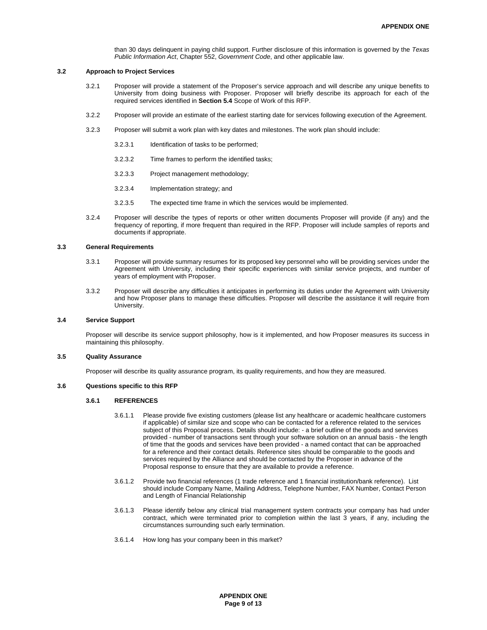than 30 days delinquent in paying child support. Further disclosure of this information is governed by the *Texas Public Information Act*, Chapter 552, *Government Code*, and other applicable law.

#### **3.2 Approach to Project Services**

- 3.2.1 Proposer will provide a statement of the Proposer's service approach and will describe any unique benefits to University from doing business with Proposer. Proposer will briefly describe its approach for each of the required services identified in **Section 5.4** Scope of Work of this RFP.
- 3.2.2 Proposer will provide an estimate of the earliest starting date for services following execution of the Agreement.
- 3.2.3 Proposer will submit a work plan with key dates and milestones. The work plan should include:
	- 3.2.3.1 Identification of tasks to be performed;
	- 3.2.3.2 Time frames to perform the identified tasks;
	- 3.2.3.3 Project management methodology;
	- 3.2.3.4 Implementation strategy; and
	- 3.2.3.5 The expected time frame in which the services would be implemented.
- 3.2.4 Proposer will describe the types of reports or other written documents Proposer will provide (if any) and the frequency of reporting, if more frequent than required in the RFP. Proposer will include samples of reports and documents if appropriate.

#### **3.3 General Requirements**

- 3.3.1 Proposer will provide summary resumes for its proposed key personnel who will be providing services under the Agreement with University, including their specific experiences with similar service projects, and number of years of employment with Proposer.
- 3.3.2 Proposer will describe any difficulties it anticipates in performing its duties under the Agreement with University and how Proposer plans to manage these difficulties. Proposer will describe the assistance it will require from University.

#### **3.4 Service Support**

Proposer will describe its service support philosophy, how is it implemented, and how Proposer measures its success in maintaining this philosophy.

#### **3.5 Quality Assurance**

Proposer will describe its quality assurance program, its quality requirements, and how they are measured.

#### **3.6 Questions specific to this RFP**

#### **3.6.1 REFERENCES**

- 3.6.1.1 Please provide five existing customers (please list any healthcare or academic healthcare customers if applicable) of similar size and scope who can be contacted for a reference related to the services subject of this Proposal process. Details should include: - a brief outline of the goods and services provided - number of transactions sent through your software solution on an annual basis - the length of time that the goods and services have been provided - a named contact that can be approached for a reference and their contact details. Reference sites should be comparable to the goods and services required by the Alliance and should be contacted by the Proposer in advance of the Proposal response to ensure that they are available to provide a reference.
- 3.6.1.2 Provide two financial references (1 trade reference and 1 financial institution/bank reference). List should include Company Name, Mailing Address, Telephone Number, FAX Number, Contact Person and Length of Financial Relationship
- 3.6.1.3 Please identify below any clinical trial management system contracts your company has had under contract, which were terminated prior to completion within the last 3 years, if any, including the circumstances surrounding such early termination.
- 3.6.1.4 How long has your company been in this market?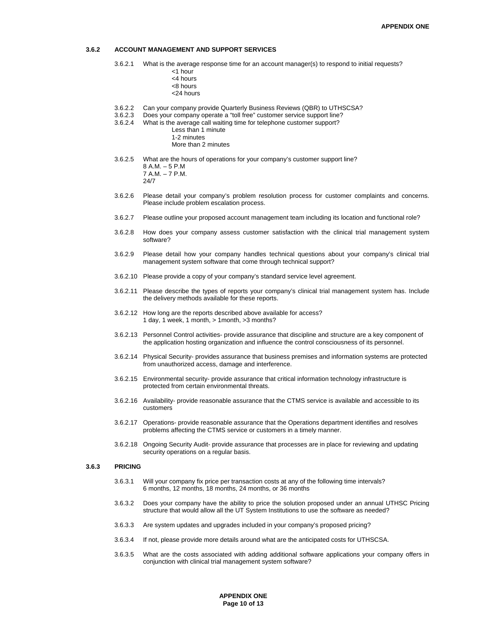#### **3.6.2 ACCOUNT MANAGEMENT AND SUPPORT SERVICES**

- 3.6.2.1 What is the average response time for an account manager(s) to respond to initial requests?
	- <1 hour
		- <4 hours
		- <8 hours <24 hours
		-
- 3.6.2.2 Can your company provide Quarterly Business Reviews (QBR) to UTHSCSA?
- 3.6.2.3 Does your company operate a "toll free" customer service support line?<br>3.6.2.4 What is the average call waiting time for telephone customer support? What is the average call waiting time for telephone customer support? Less than 1 minute
	- 1-2 minutes
	- More than 2 minutes
- 3.6.2.5 What are the hours of operations for your company's customer support line? 8 A.M. – 5 P.M 7 A.M. – 7 P.M. 24/7
- 3.6.2.6 Please detail your company's problem resolution process for customer complaints and concerns. Please include problem escalation process.
- 3.6.2.7 Please outline your proposed account management team including its location and functional role?
- 3.6.2.8 How does your company assess customer satisfaction with the clinical trial management system software?
- 3.6.2.9 Please detail how your company handles technical questions about your company's clinical trial management system software that come through technical support?
- 3.6.2.10 Please provide a copy of your company's standard service level agreement.
- 3.6.2.11 Please describe the types of reports your company's clinical trial management system has. Include the delivery methods available for these reports.
- 3.6.2.12 How long are the reports described above available for access? 1 day, 1 week, 1 month, > 1month, >3 months?
- 3.6.2.13 Personnel Control activities- provide assurance that discipline and structure are a key component of the application hosting organization and influence the control consciousness of its personnel.
- 3.6.2.14 Physical Security- provides assurance that business premises and information systems are protected from unauthorized access, damage and interference.
- 3.6.2.15 Environmental security- provide assurance that critical information technology infrastructure is protected from certain environmental threats.
- 3.6.2.16 Availability- provide reasonable assurance that the CTMS service is available and accessible to its customers
- 3.6.2.17 Operations- provide reasonable assurance that the Operations department identifies and resolves problems affecting the CTMS service or customers in a timely manner.
- 3.6.2.18 Ongoing Security Audit- provide assurance that processes are in place for reviewing and updating security operations on a regular basis.

#### **3.6.3 PRICING**

- 3.6.3.1 Will your company fix price per transaction costs at any of the following time intervals? 6 months, 12 months, 18 months, 24 months, or 36 months
- 3.6.3.2 Does your company have the ability to price the solution proposed under an annual UTHSC Pricing structure that would allow all the UT System Institutions to use the software as needed?
- 3.6.3.3 Are system updates and upgrades included in your company's proposed pricing?
- 3.6.3.4 If not, please provide more details around what are the anticipated costs for UTHSCSA.
- 3.6.3.5 What are the costs associated with adding additional software applications your company offers in conjunction with clinical trial management system software?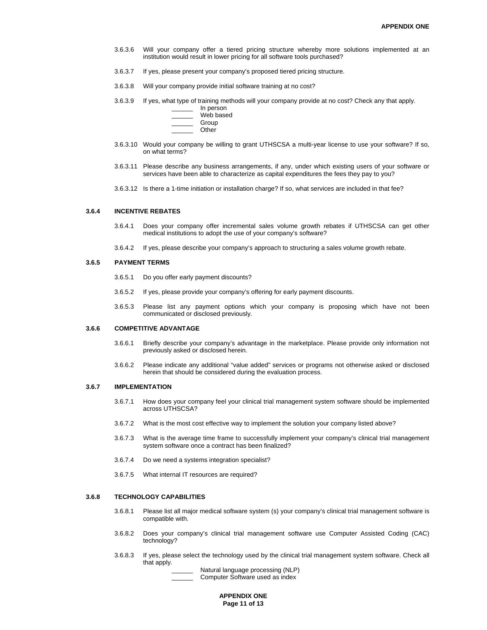- 3.6.3.6 Will your company offer a tiered pricing structure whereby more solutions implemented at an institution would result in lower pricing for all software tools purchased?
- 3.6.3.7 If yes, please present your company's proposed tiered pricing structure.
- 3.6.3.8 Will your company provide initial software training at no cost?
- 3.6.3.9 If yes, what type of training methods will your company provide at no cost? Check any that apply. \_\_\_\_\_\_ In person
	- Web based
	- Group
	- \_\_\_\_\_\_ Other
- 3.6.3.10 Would your company be willing to grant UTHSCSA a multi-year license to use your software? If so, on what terms?
- 3.6.3.11 Please describe any business arrangements, if any, under which existing users of your software or services have been able to characterize as capital expenditures the fees they pay to you?
- 3.6.3.12 Is there a 1-time initiation or installation charge? If so, what services are included in that fee?

#### **3.6.4 INCENTIVE REBATES**

- 3.6.4.1 Does your company offer incremental sales volume growth rebates if UTHSCSA can get other medical institutions to adopt the use of your company's software?
- 3.6.4.2 If yes, please describe your company's approach to structuring a sales volume growth rebate.

#### **3.6.5 PAYMENT TERMS**

- 3.6.5.1 Do you offer early payment discounts?
- 3.6.5.2 If yes, please provide your company's offering for early payment discounts.
- 3.6.5.3 Please list any payment options which your company is proposing which have not been communicated or disclosed previously.

#### **3.6.6 COMPETITIVE ADVANTAGE**

- 3.6.6.1 Briefly describe your company's advantage in the marketplace. Please provide only information not previously asked or disclosed herein.
- 3.6.6.2 Please indicate any additional "value added" services or programs not otherwise asked or disclosed herein that should be considered during the evaluation process.

#### **3.6.7 IMPLEMENTATION**

- 3.6.7.1 How does your company feel your clinical trial management system software should be implemented across UTHSCSA?
- 3.6.7.2 What is the most cost effective way to implement the solution your company listed above?
- 3.6.7.3 What is the average time frame to successfully implement your company's clinical trial management system software once a contract has been finalized?
- 3.6.7.4 Do we need a systems integration specialist?
- 3.6.7.5 What internal IT resources are required?

#### **3.6.8 TECHNOLOGY CAPABILITIES**

- 3.6.8.1 Please list all major medical software system (s) your company's clinical trial management software is compatible with.
- 3.6.8.2 Does your company's clinical trial management software use Computer Assisted Coding (CAC) technology?
- 3.6.8.3 If yes, please select the technology used by the clinical trial management system software. Check all that apply.

Natural language processing (NLP) Computer Software used as index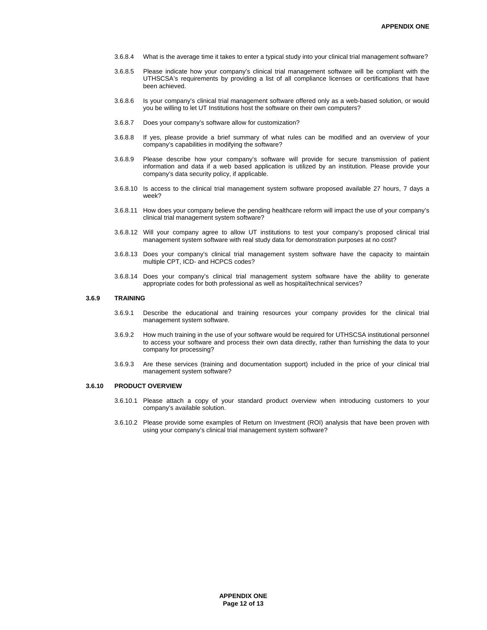- 3.6.8.4 What is the average time it takes to enter a typical study into your clinical trial management software?
- 3.6.8.5 Please indicate how your company's clinical trial management software will be compliant with the UTHSCSA's requirements by providing a list of all compliance licenses or certifications that have been achieved.
- 3.6.8.6 Is your company's clinical trial management software offered only as a web-based solution, or would you be willing to let UT Institutions host the software on their own computers?
- 3.6.8.7 Does your company's software allow for customization?
- 3.6.8.8 If yes, please provide a brief summary of what rules can be modified and an overview of your company's capabilities in modifying the software?
- 3.6.8.9 Please describe how your company's software will provide for secure transmission of patient information and data if a web based application is utilized by an institution. Please provide your company's data security policy, if applicable.
- 3.6.8.10 Is access to the clinical trial management system software proposed available 27 hours, 7 days a week?
- 3.6.8.11 How does your company believe the pending healthcare reform will impact the use of your company's clinical trial management system software?
- 3.6.8.12 Will your company agree to allow UT institutions to test your company's proposed clinical trial management system software with real study data for demonstration purposes at no cost?
- 3.6.8.13 Does your company's clinical trial management system software have the capacity to maintain multiple CPT, ICD- and HCPCS codes?
- 3.6.8.14 Does your company's clinical trial management system software have the ability to generate appropriate codes for both professional as well as hospital/technical services?

#### **3.6.9 TRAINING**

- 3.6.9.1 Describe the educational and training resources your company provides for the clinical trial management system software.
- 3.6.9.2 How much training in the use of your software would be required for UTHSCSA institutional personnel to access your software and process their own data directly, rather than furnishing the data to your company for processing?
- 3.6.9.3 Are these services (training and documentation support) included in the price of your clinical trial management system software?

#### **3.6.10 PRODUCT OVERVIEW**

- 3.6.10.1 Please attach a copy of your standard product overview when introducing customers to your company's available solution.
- 3.6.10.2 Please provide some examples of Return on Investment (ROI) analysis that have been proven with using your company's clinical trial management system software?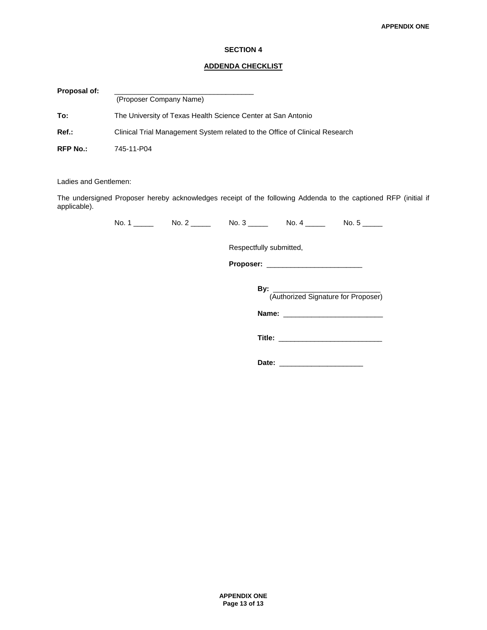#### **SECTION 4**

#### **ADDENDA CHECKLIST**

| <b>Proposal of:</b> |                                                                             |
|---------------------|-----------------------------------------------------------------------------|
|                     | (Proposer Company Name)                                                     |
| To:                 | The University of Texas Health Science Center at San Antonio                |
| $Ref.$ :            | Clinical Trial Management System related to the Office of Clinical Research |
| <b>RFP No.:</b>     | 745-11-P04                                                                  |

Ladies and Gentlemen:

The undersigned Proposer hereby acknowledges receipt of the following Addenda to the captioned RFP (initial if applicable).

| N<br>$\sim$<br>____ | Nr.<br> | זעו<br>_____ | NG<br>$\sim$ | N<br>____ |
|---------------------|---------|--------------|--------------|-----------|
|                     |         |              |              |           |

Respectfully submitted,

 **Proposer:** \_\_\_\_\_\_\_\_\_\_\_\_\_\_\_\_\_\_\_\_\_\_\_\_

| Bv:<br>(Authorized Signature for Proposer) |
|--------------------------------------------|
| Name:                                      |

**Title:** \_\_\_\_\_\_\_\_\_\_\_\_\_\_\_\_\_\_\_\_\_\_\_\_\_\_

**Date:** \_\_\_\_\_\_\_\_\_\_\_\_\_\_\_\_\_\_\_\_\_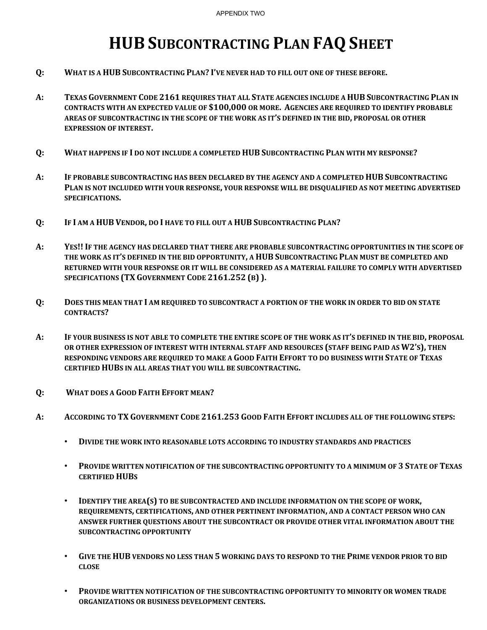# **HUB SUBCONTRACTING PLAN FAQ SHEET**

- **Q: WHAT IS A HUB SUBCONTRACTING PLAN? I'VE NEVER HAD TO FILL OUT ONE OF THESE BEFORE.**
- **A: TEXAS GOVERNMENT CODE 2161 REQUIRES THAT ALL STATE AGENCIES INCLUDE A HUB SUBCONTRACTING PLAN IN CONTRACTS WITH AN EXPECTED VALUE OF \$100,000 OR MORE. AGENCIES ARE REQUIRED TO IDENTIFY PROBABLE AREAS OF SUBCONTRACTING IN THE SCOPE OF THE WORK AS IT'S DEFINED IN THE BID, PROPOSAL OR OTHER EXPRESSION OF INTEREST.**
- **Q: WHAT HAPPENS IF I DO NOT INCLUDE A COMPLETED HUB SUBCONTRACTING PLAN WITH MY RESPONSE?**
- **A: IF PROBABLE SUBCONTRACTING HAS BEEN DECLARED BY THE AGENCY AND A COMPLETED HUB SUBCONTRACTING PLAN IS NOT INCLUDED WITH YOUR RESPONSE, YOUR RESPONSE WILL BE DISQUALIFIED AS NOT MEETING ADVERTISED SPECIFICATIONS.**
- **Q: IF I AM A HUB VENDOR, DO I HAVE TO FILL OUT A HUB SUBCONTRACTING PLAN?**
- A: YES!! IF THE AGENCY HAS DECLARED THAT THERE ARE PROBABLE SUBCONTRACTING OPPORTUNITIES IN THE SCOPE OF **THE WORK AS IT'S DEFINED IN THE BID OPPORTUNITY, A HUB SUBCONTRACTING PLAN MUST BE COMPLETED AND RETURNED WITH YOUR RESPONSE OR IT WILL BE CONSIDERED AS A MATERIAL FAILURE TO COMPLY WITH ADVERTISED SPECIFICATIONS (TX GOVERNMENT CODE 2161.252 (B) ).**
- O: DOES THIS MEAN THAT I AM REQUIRED TO SUBCONTRACT A PORTION OF THE WORK IN ORDER TO BID ON STATE **CONTRACTS?**
- A: IF YOUR BUSINESS IS NOT ABLE TO COMPLETE THE ENTIRE SCOPE OF THE WORK AS IT'S DEFINED IN THE BID, PROPOSAL **OR OTHER EXPRESSION OF INTEREST WITH INTERNAL STAFF AND RESOURCES (STAFF BEING PAID AS W2'S), THEN RESPONDING VENDORS ARE REQUIRED TO MAKE A GOOD FAITH EFFORT TO DO BUSINESS WITH STATE OF TEXAS CERTIFIED HUBS IN ALL AREAS THAT YOU WILL BE SUBCONTRACTING.**
- **Q: WHAT DOES A GOOD FAITH EFFORT MEAN?**
- **A: ACCORDING TO TX GOVERNMENT CODE 2161.253 GOOD FAITH EFFORT INCLUDES ALL OF THE FOLLOWING STEPS:**
	- **DIVIDE THE WORK INTO REASONABLE LOTS ACCORDING TO INDUSTRY STANDARDS AND PRACTICES**
	- **PROVIDE WRITTEN NOTIFICATION OF THE SUBCONTRACTING OPPORTUNITY TO A MINIMUM OF 3 STATE OF TEXAS CERTIFIED HUBS**
	- **IDENTIFY THE AREA(S) TO BE SUBCONTRACTED AND INCLUDE INFORMATION ON THE SCOPE OF WORK, REQUIREMENTS, CERTIFICATIONS, AND OTHER PERTINENT INFORMATION, AND A CONTACT PERSON WHO CAN ANSWER FURTHER QUESTIONS ABOUT THE SUBCONTRACT OR PROVIDE OTHER VITAL INFORMATION ABOUT THE SUBCONTRACTING OPPORTUNITY**
	- GIVE THE HUB VENDORS NO LESS THAN 5 WORKING DAYS TO RESPOND TO THE PRIME VENDOR PRIOR TO BID **CLOSE**
	- **PROVIDE WRITTEN NOTIFICATION OF THE SUBCONTRACTING OPPORTUNITY TO MINORITY OR WOMEN TRADE ORGANIZATIONS OR BUSINESS DEVELOPMENT CENTERS.**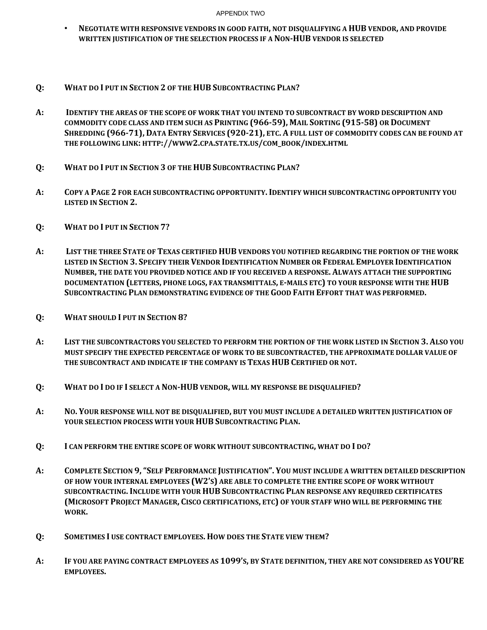#### APPENDIX TWO

- **NEGOTIATE WITH RESPONSIVE VENDORS IN GOOD FAITH, NOT DISQUALIFYING A HUB VENDOR, AND PROVIDE WRITTEN JUSTIFICATION OF THE SELECTION PROCESS IF A NONHUB VENDOR IS SELECTED**
- **Q: WHAT DO I PUT IN SECTION 2 OF THE HUB SUBCONTRACTING PLAN?**
- A: IDENTIFY THE AREAS OF THE SCOPE OF WORK THAT YOU INTEND TO SUBCONTRACT BY WORD DESCRIPTION AND **COMMODITY CODE CLASS AND ITEM SUCH AS PRINTING (96659), MAIL SORTING (91558) OR DOCUMENT** SHREDDING (966-71), DATA ENTRY SERVICES (920-21), ETC. A FULL LIST OF COMMODITY CODES CAN BE FOUND AT **THE FOLLOWING LINK: HTTP://WWW2.CPA.STATE.TX.US/COM\_BOOK/INDEX.HTML**
- **Q: WHAT DO I PUT IN SECTION 3 OF THE HUB SUBCONTRACTING PLAN?**
- **A: COPY A PAGE 2 FOR EACH SUBCONTRACTING OPPORTUNITY. IDENTIFY WHICH SUBCONTRACTING OPPORTUNITY YOU LISTED IN SECTION 2.**
- **Q: WHAT DO I PUT IN SECTION 7?**
- A: LIST THE THREE STATE OF TEXAS CERTIFIED HUB VENDORS YOU NOTIFIED REGARDING THE PORTION OF THE WORK **LISTED IN SECTION 3. SPECIFY THEIR VENDOR IDENTIFICATION NUMBER OR FEDERAL EMPLOYER IDENTIFICATION NUMBER, THE DATE YOU PROVIDED NOTICE AND IF YOU RECEIVED A RESPONSE. ALWAYS ATTACH THE SUPPORTING DOCUMENTATION (LETTERS, PHONE LOGS, FAX TRANSMITTALS, EMAILS ETC) TO YOUR RESPONSE WITH THE HUB SUBCONTRACTING PLAN DEMONSTRATING EVIDENCE OF THE GOOD FAITH EFFORT THAT WAS PERFORMED.**
- **Q: WHAT SHOULD I PUT IN SECTION 8?**
- A: LIST THE SUBCONTRACTORS YOU SELECTED TO PERFORM THE PORTION OF THE WORK LISTED IN SECTION 3. ALSO YOU **MUST SPECIFY THE EXPECTED PERCENTAGE OF WORK TO BE SUBCONTRACTED, THE APPROXIMATE DOLLAR VALUE OF THE SUBCONTRACT AND INDICATE IF THE COMPANY IS TEXAS HUB CERTIFIED OR NOT.**
- **Q: WHAT DO I DO IF I SELECT A NONHUB VENDOR, WILL MY RESPONSE BE DISQUALIFIED?**
- A: NO. YOUR RESPONSE WILL NOT BE DISQUALIFIED, BUT YOU MUST INCLUDE A DETAILED WRITTEN JUSTIFICATION OF **YOUR SELECTION PROCESS WITH YOUR HUB SUBCONTRACTING PLAN.**
- **Q: I CAN PERFORM THE ENTIRE SCOPE OF WORK WITHOUT SUBCONTRACTING, WHAT DO I DO?**
- **A: COMPLETE SECTION 9,"SELF PERFORMANCE JUSTIFICATION". YOU MUST INCLUDE A WRITTEN DETAILED DESCRIPTION OF HOW YOUR INTERNAL EMPLOYEES (W2'S) ARE ABLE TO COMPLETE THE ENTIRE SCOPE OF WORK WITHOUT SUBCONTRACTING. INCLUDE WITH YOUR HUB SUBCONTRACTING PLAN RESPONSE ANY REQUIRED CERTIFICATES (MICROSOFT PROJECT MANAGER, CISCO CERTIFICATIONS, ETC) OF YOUR STAFF WHO WILL BE PERFORMING THE WORK.**
- **Q: SOMETIMES I USE CONTRACT EMPLOYEES. HOW DOES THE STATE VIEW THEM?**
- A: IF YOU ARE PAYING CONTRACT EMPLOYEES AS 1099'S, BY STATE DEFINITION, THEY ARE NOT CONSIDERED AS YOU'RE **EMPLOYEES.**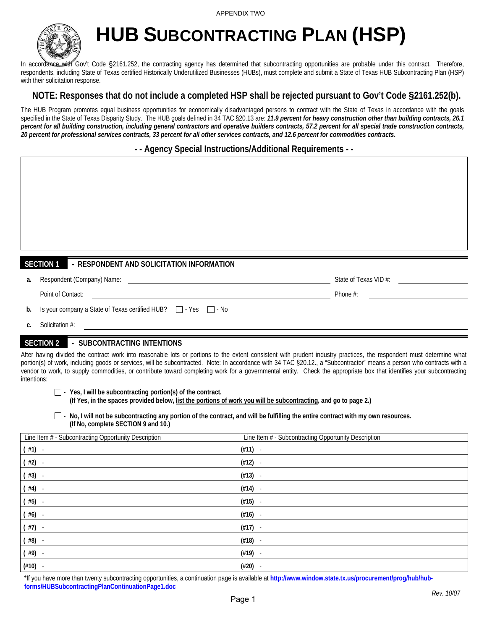

**HUB SUBCONTRACTING PLAN (HSP)** 

In accordance with Gov't Code §2161.252, the contracting agency has determined that subcontracting opportunities are probable under this contract. Therefore, respondents, including State of Texas certified Historically Underutilized Businesses (HUBs), must complete and submit a State of Texas HUB Subcontracting Plan (HSP) with their solicitation response.

# **NOTE: Responses that do not include a completed HSP shall be rejected pursuant to Gov't Code §2161.252(b).**

The HUB Program promotes equal business opportunities for economically disadvantaged persons to contract with the State of Texas in accordance with the goals specified in the State of Texas Disparity Study. The HUB goals defined in 34 TAC §20.13 are: 11.9 percent for heavy construction other than building contracts, 26.1 *percent for all building construction, including general contractors and operative builders contracts, 57.2 percent for all special trade construction contracts, 20 percent for professional services contracts, 33 percent for all other services contracts, and 12.6 percent for commodities contracts***.** 

**- - Agency Special Instructions/Additional Requirements - -** 

| <b>SECTION 1</b><br>- RESPONDENT AND SOLICITATION INFORMATION                  |                       |
|--------------------------------------------------------------------------------|-----------------------|
| Respondent (Company) Name:<br>a.                                               | State of Texas VID #: |
| Point of Contact:                                                              | Phone #:              |
| Is your company a State of Texas certified HUB? $\Box$ - Yes $\Box$ - No<br>b. |                       |
| Solicitation #:<br>C.                                                          |                       |
| <b>SECTION 2</b><br>- SUBCONTRACTING INTENTIONS                                |                       |

After having divided the contract work into reasonable lots or portions to the extent consistent with prudent industry practices, the respondent must determine what portion(s) of work, including goods or services, will be subcontracted. Note: In accordance with 34 TAC §20.12., a "Subcontractor" means a person who contracts with a vendor to work, to supply commodities, or contribute toward completing work for a governmental entity. Check the appropriate box that identifies your subcontracting intentions:

- **Yes, I will be subcontracting portion(s) of the contract.** 

 **(If Yes, in the spaces provided below, list the portions of work you will be subcontracting, and go to page 2.)** 

 $\Box$  - No, I will not be subcontracting any portion of the contract, and will be fulfilling the entire contract with my own resources.  **(If No, complete SECTION 9 and 10.)** 

| Line Item # - Subcontracting Opportunity Description | Line Item # - Subcontracting Opportunity Description |
|------------------------------------------------------|------------------------------------------------------|
| $#1$ ) -                                             | $(#11)$ -                                            |
| #2) -                                                | (412)                                                |
| #3) -                                                | (#13)<br>$\overline{\phantom{a}}$                    |
| #4)                                                  | (#14)                                                |
| #5) -                                                | $(415)$ -                                            |
| #6) -                                                | $(#16) -$                                            |
| #7) -                                                | $(#17) -$                                            |
| $($ #8) -                                            | (#18)<br>$\overline{\phantom{a}}$                    |
| #9) -                                                | (#19)<br>$\overline{\phantom{a}}$                    |
| (#10)                                                | $(\#20)$<br>$\overline{\phantom{a}}$                 |

\*If you have more than twenty subcontracting opportunities, a continuation page is available at **http://www.window.state.tx.us/procurement/prog/hub/hubforms/HUBSubcontractingPlanContinuationPage1.doc**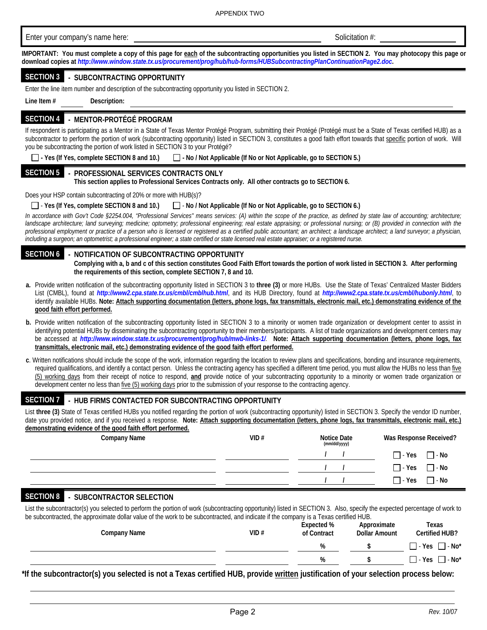| Enter your company's name here:                                                                                                                                                                                                                                                                                                                                                                                                                                                                                                                                                                                                                  |                                                                          | Solicitation #:                    |                               |
|--------------------------------------------------------------------------------------------------------------------------------------------------------------------------------------------------------------------------------------------------------------------------------------------------------------------------------------------------------------------------------------------------------------------------------------------------------------------------------------------------------------------------------------------------------------------------------------------------------------------------------------------------|--------------------------------------------------------------------------|------------------------------------|-------------------------------|
| IMPORTANT: You must complete a copy of this page for each of the subcontracting opportunities you listed in SECTION 2. You may photocopy this page or<br>download copies at http://www.window.state.tx.us/procurement/prog/hub/hub-forms/HUBSubcontractingPlanContinuationPage2.doc.                                                                                                                                                                                                                                                                                                                                                             |                                                                          |                                    |                               |
| <b>SECTION 3 - SUBCONTRACTING OPPORTUNITY</b>                                                                                                                                                                                                                                                                                                                                                                                                                                                                                                                                                                                                    |                                                                          |                                    |                               |
| Enter the line item number and description of the subcontracting opportunity you listed in SECTION 2.                                                                                                                                                                                                                                                                                                                                                                                                                                                                                                                                            |                                                                          |                                    |                               |
| Line Item $#$<br>Description:                                                                                                                                                                                                                                                                                                                                                                                                                                                                                                                                                                                                                    |                                                                          |                                    |                               |
| SECTION 4 - MENTOR-PROTÉGÉ PROGRAM                                                                                                                                                                                                                                                                                                                                                                                                                                                                                                                                                                                                               |                                                                          |                                    |                               |
| If respondent is participating as a Mentor in a State of Texas Mentor Protégé Program, submitting their Protégé (Protégé must be a State of Texas certified HUB) as a<br>subcontractor to perform the portion of work (subcontracting opportunity) listed in SECTION 3, constitutes a good faith effort towards that specific portion of work. Will<br>you be subcontracting the portion of work listed in SECTION 3 to your Protégé?                                                                                                                                                                                                            |                                                                          |                                    |                               |
| $\Box$ - Yes (If Yes, complete SECTION 8 and 10.)                                                                                                                                                                                                                                                                                                                                                                                                                                                                                                                                                                                                | $\Box$ - No / Not Applicable (If No or Not Applicable, go to SECTION 5.) |                                    |                               |
| <b>SECTION 5</b><br>- PROFESSIONAL SERVICES CONTRACTS ONLY<br>This section applies to Professional Services Contracts only. All other contracts go to SECTION 6.                                                                                                                                                                                                                                                                                                                                                                                                                                                                                 |                                                                          |                                    |                               |
| Does your HSP contain subcontracting of 20% or more with HUB(s)?                                                                                                                                                                                                                                                                                                                                                                                                                                                                                                                                                                                 |                                                                          |                                    |                               |
| $\Box$ - Yes (If Yes, complete SECTION 8 and 10.)                                                                                                                                                                                                                                                                                                                                                                                                                                                                                                                                                                                                | No / Not Applicable (If No or Not Applicable, go to SECTION 6.)          |                                    |                               |
| In accordance with Gov't Code §2254.004, "Professional Services" means services: (A) within the scope of the practice, as defined by state law of accounting; architecture;<br>landscape architecture; land surveying; medicine; optometry; professional engineering; real estate appraising; or professional nursing; or (B) provided in connection with the                                                                                                                                                                                                                                                                                    |                                                                          |                                    |                               |
| professional employment or practice of a person who is licensed or registered as a certified public accountant; an architect; a landscape architect; a land surveyor; a physician,                                                                                                                                                                                                                                                                                                                                                                                                                                                               |                                                                          |                                    |                               |
| including a surgeon; an optometrist; a professional engineer; a state certified or state licensed real estate appraiser; or a registered nurse.                                                                                                                                                                                                                                                                                                                                                                                                                                                                                                  |                                                                          |                                    |                               |
| <b>SECTION 6</b><br>NOTIFICATION OF SUBCONTRACTING OPPORTUNITY<br>Complying with a, b and c of this section constitutes Good Faith Effort towards the portion of work listed in SECTION 3. After performing<br>the requirements of this section, complete SECTION 7, 8 and 10.                                                                                                                                                                                                                                                                                                                                                                   |                                                                          |                                    |                               |
| a. Provide written notification of the subcontracting opportunity listed in SECTION 3 to three (3) or more HUBs. Use the State of Texas' Centralized Master Bidders<br>List (CMBL), found at http://www2.cpa.state.tx.us/cmbl/cmblhub.html, and its HUB Directory, found at http://www2.cpa.state.tx.us/cmbl/hubonly.html, to<br>identify available HUBs. Note: Attach supporting documentation (letters, phone logs, fax transmittals, electronic mail, etc.) demonstrating evidence of the<br>good faith effort performed.                                                                                                                     |                                                                          |                                    |                               |
| b. Provide written notification of the subcontracting opportunity listed in SECTION 3 to a minority or women trade organization or development center to assist in<br>identifying potential HUBs by disseminating the subcontracting opportunity to their members/participants. A list of trade organizations and development centers may<br>be accessed at http://www.window.state.tx.us/procurement/prog/hub/mwb-links-1/. Note: Attach supporting documentation (letters, phone logs, fax<br>transmittals, electronic mail, etc.) demonstrating evidence of the good faith effort performed.                                                  |                                                                          |                                    |                               |
| c. Written notifications should include the scope of the work, information regarding the location to review plans and specifications, bonding and insurance requirements,<br>required qualifications, and identify a contact person. Unless the contracting agency has specified a different time period, you must allow the HUBs no less than five<br>(5) working days from their receipt of notice to respond, and provide notice of your subcontracting opportunity to a minority or women trade organization or<br>development center no less than five (5) working days prior to the submission of your response to the contracting agency. |                                                                          |                                    |                               |
| <b>SECTION 7</b><br>- HUB FIRMS CONTACTED FOR SUBCONTRACTING OPPORTUNITY                                                                                                                                                                                                                                                                                                                                                                                                                                                                                                                                                                         |                                                                          |                                    |                               |
| List three (3) State of Texas certified HUBs you notified regarding the portion of work (subcontracting opportunity) listed in SECTION 3. Specify the vendor ID number,<br>date you provided notice, and if you received a response. Note: Attach supporting documentation (letters, phone logs, fax transmittals, electronic mail, etc.)                                                                                                                                                                                                                                                                                                        |                                                                          |                                    |                               |
| demonstrating evidence of the good faith effort performed.<br><b>Company Name</b>                                                                                                                                                                                                                                                                                                                                                                                                                                                                                                                                                                | VID#                                                                     | <b>Notice Date</b><br>(mm/dd/yyyy) | Was Response Received?        |
|                                                                                                                                                                                                                                                                                                                                                                                                                                                                                                                                                                                                                                                  |                                                                          |                                    | $\Box$ - Yes                  |
|                                                                                                                                                                                                                                                                                                                                                                                                                                                                                                                                                                                                                                                  |                                                                          |                                    |                               |
|                                                                                                                                                                                                                                                                                                                                                                                                                                                                                                                                                                                                                                                  |                                                                          |                                    | $\sqsupset$ - Yes<br>—   - No |

List the subcontractor(s) you selected to perform the portion of work (subcontracting opportunity) listed in SECTION 3. Also, specify the expected percentage of work to be subcontracted, the approximate dollar value of the work to be subcontracted, and indicate if the company is a Texas certified HUB.

| . .<br><b>Company Name</b> | VID# | Expected %<br>of Contract | Approximate<br><b>Dollar Amount</b> | Texas<br><b>Certified HUB?</b>        |
|----------------------------|------|---------------------------|-------------------------------------|---------------------------------------|
|                            |      | %                         |                                     | $\Box$ - Yes $\Box$ - No <sup>*</sup> |
|                            |      | %                         |                                     | $\Box$ - Yes $\Box$ - No <sup>*</sup> |

**\*If the subcontractor(s) you selected is not a Texas certified HUB, provide written justification of your selection process below:**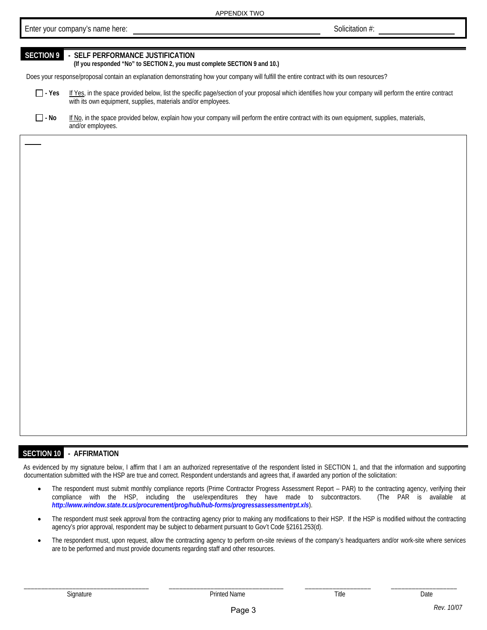Enter your company's name here: *Solicitation #:* **Solicitation #: Solicitation #:** 

# **SECTION 9 - SELF PERFORMANCE JUSTIFICATION**

**(If you responded "No" to SECTION 2, you must complete SECTION 9 and 10.)** 

Does your response/proposal contain an explanation demonstrating how your company will fulfill the entire contract with its own resources?

- □ Yes If Yes, in the space provided below, list the specific page/section of your proposal which identifies how your company will perform the entire contract with its own equipment, supplies, materials and/or employees.
- □ No If No, in the space provided below, explain how your company will perform the entire contract with its own equipment, supplies, materials, and/or employees.

#### **SECTION 10 - AFFIRMATION**

As evidenced by my signature below, I affirm that I am an authorized representative of the respondent listed in SECTION 1, and that the information and supporting documentation submitted with the HSP are true and correct. Respondent understands and agrees that, if awarded any portion of the solicitation:

- The respondent must submit monthly compliance reports (Prime Contractor Progress Assessment Report PAR) to the contracting agency, verifying their compliance with the HSP, including the use/expenditures they have made to subcontractors. (The PAR is available at *http://www.window.state.tx.us/procurement/prog/hub/hub-forms/progressassessmentrpt.xls*).
- The respondent must seek approval from the contracting agency prior to making any modifications to their HSP. If the HSP is modified without the contracting agency's prior approval, respondent may be subject to debarment pursuant to Gov't Code §2161.253(d).
- The respondent must, upon request, allow the contracting agency to perform on-site reviews of the company's headquarters and/or work-site where services are to be performed and must provide documents regarding staff and other resources.

\_\_\_\_\_\_\_\_\_\_\_\_\_\_\_\_\_\_\_\_\_\_\_\_\_\_\_\_\_\_\_\_\_\_\_\_ \_\_\_\_\_\_\_\_\_\_\_\_\_\_\_\_\_\_\_\_\_\_\_\_\_\_\_\_\_\_\_\_\_ \_\_\_\_\_\_\_\_\_\_\_\_\_\_\_\_\_\_\_ \_\_\_\_\_\_\_\_\_\_\_\_\_\_\_\_\_\_\_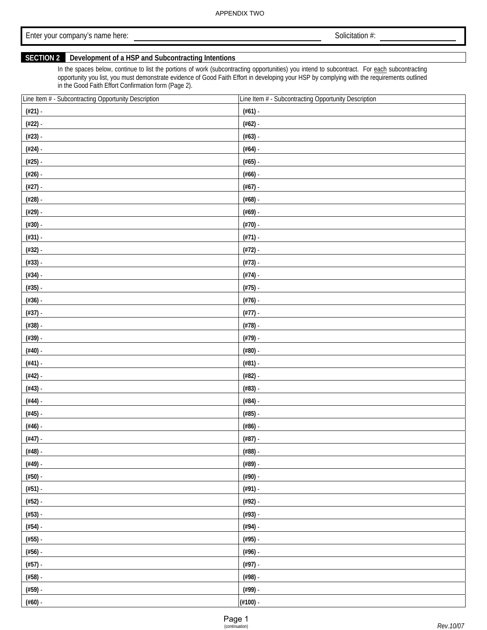Enter your company's name here: **Enter your company's name here: Solicitation #: Solicitation #:** 

# **SECTION 2 Development of a HSP and Subcontracting Intentions**

In the spaces below, continue to list the portions of work (subcontracting opportunities) you intend to subcontract. For each subcontracting opportunity you list, you must demonstrate evidence of Good Faith Effort in developing your HSP by complying with the requirements outlined in the Good Faith Effort Confirmation form (Page 2).

| Line Item # - Subcontracting Opportunity Description | Line Item # - Subcontracting Opportunity Description |
|------------------------------------------------------|------------------------------------------------------|
| $(\#21)$ -                                           | $(\#61)$ .                                           |
| (#22) -                                              | $(\#62)$ -                                           |
| $(423)$ -                                            | $(\#63)$ -                                           |
| $#24$ ) -                                            | $(\#64)$ -                                           |
| $(425)$ -                                            | $(#65)$ -                                            |
| $(\#26)$ -                                           | $(\#66)$ -                                           |
| $(\#27)$ -                                           | $(\#67)$ -                                           |
| (#28) -                                              | $(#68)$ -                                            |
| (#29) -                                              | $(\#69)$ -                                           |
| $(\#30)$ -                                           | $(\#70)$ -                                           |
| $(#31) -$                                            | $(#71)$ .                                            |
| $(\#32)$ -                                           | $(#72)$ -                                            |
| $(#33) -$                                            | $(#73) -$                                            |
| $(#34) -$                                            | $(#74)$ -                                            |
| $(435)$ -                                            | $(#75)$ -                                            |
| $(436)$ -                                            | $(\#76)$ -                                           |
| $(\#37)$ -                                           | $(#77)$ .                                            |
| $(438)$ -                                            | $(#78)$ -                                            |
| (#39) -                                              | $(#79)$ -                                            |
| $(\#40)$ -                                           | $(\#80)$ -                                           |
| $(#41)$ -                                            | $(#81)$ .                                            |
| $(#42)$ -                                            | $(#82) -$                                            |
| $(#43)$ -                                            | $(#83)$ -                                            |
| $(#44)$ -                                            | $(#84)$ -                                            |
| $(#45)$ -                                            | $(#85)$ -                                            |
| $(#46)$ -                                            | $(#86)$ .                                            |
| $(#47)$ -                                            | $(#87)$ -                                            |
| $(#48)$ -                                            | $(#88)$ -                                            |
| $(449) -$                                            | $(#89) -$                                            |
| $(\#50)$ -                                           | $(490)$ -                                            |
| $(#51)$ .                                            | $(491)$ .                                            |
| $(#52) -$                                            | $(492)$ -                                            |
| $(#53) -$                                            | $(493)$ -                                            |
| $(#54) -$                                            | $(494)$ -                                            |
| $(#55)$ -                                            | $(495)$ -                                            |
| $(\#56)$ -                                           | $(496)$ .                                            |
| $(#57)$ -                                            | $(#97)$ -                                            |
| $(#58)$ -                                            | $(498)$ -                                            |
| $(#59)$ -                                            | $(499)$ -                                            |
| $(\#60)$ -                                           | $(\#100)$ -                                          |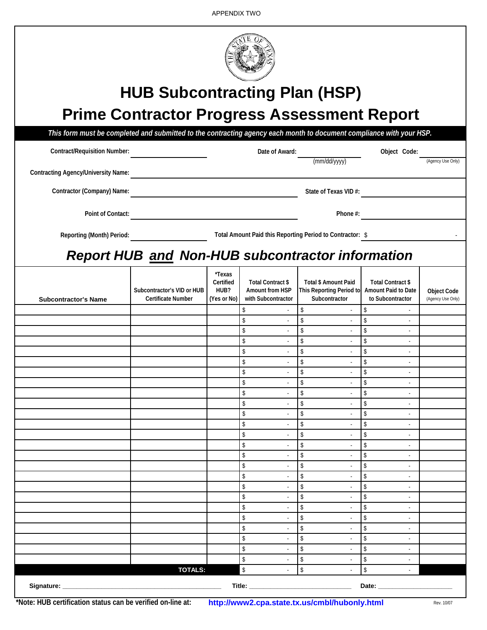| <b>HUB Subcontracting Plan (HSP)</b><br><b>Prime Contractor Progress Assessment Report</b> |                                                         |                                            |                                                                   |                                                                                              |                                            |                                         |
|--------------------------------------------------------------------------------------------|---------------------------------------------------------|--------------------------------------------|-------------------------------------------------------------------|----------------------------------------------------------------------------------------------|--------------------------------------------|-----------------------------------------|
|                                                                                            |                                                         |                                            |                                                                   |                                                                                              |                                            |                                         |
| <b>Contract/Requisition Number:</b>                                                        |                                                         |                                            | Date of Award:                                                    |                                                                                              | Object Code:                               |                                         |
| <b>Contracting Agency/University Name:</b>                                                 |                                                         |                                            |                                                                   | (mm/dd/yyyy)                                                                                 |                                            | (Agency Use Only)                       |
| Contractor (Company) Name:                                                                 |                                                         |                                            |                                                                   | State of Texas VID #:                                                                        |                                            |                                         |
| Point of Contact:                                                                          |                                                         |                                            |                                                                   | Phone #:                                                                                     |                                            |                                         |
| <b>Reporting (Month) Period:</b>                                                           |                                                         |                                            |                                                                   | Total Amount Paid this Reporting Period to Contractor: \$                                    |                                            |                                         |
|                                                                                            | <b>Report HUB and Non-HUB subcontractor information</b> |                                            |                                                                   |                                                                                              |                                            |                                         |
| <b>Subcontractor's Name</b>                                                                | Subcontractor's VID or HUB<br><b>Certificate Number</b> | *Texas<br>Certified<br>HUB?<br>(Yes or No) | <b>Total Contract \$</b><br>Amount from HSP<br>with Subcontractor | <b>Total \$ Amount Paid</b><br>This Reporting Period to Amount Paid to Date<br>Subcontractor | Total Contract \$<br>to Subcontractor      | <b>Object Code</b><br>(Agency Use Only) |
|                                                                                            |                                                         |                                            | \$                                                                | \$                                                                                           | \$                                         |                                         |
|                                                                                            |                                                         |                                            | \$                                                                | \$                                                                                           | \$                                         |                                         |
|                                                                                            |                                                         |                                            | \$<br>\$<br>$\omega$                                              | \$<br>$\sim$<br>\$<br>$\bar{\phantom{a}}$                                                    | \$<br>$\sqrt[6]{\frac{1}{2}}$              |                                         |
|                                                                                            |                                                         |                                            | \$                                                                | $\mathsf{\$}$                                                                                | \$                                         |                                         |
|                                                                                            |                                                         |                                            | \$                                                                | $\mathsf{\$}$                                                                                | \$<br>$\sim$                               |                                         |
|                                                                                            |                                                         |                                            | \$                                                                | \$                                                                                           | \$                                         |                                         |
|                                                                                            |                                                         |                                            | $\mathsf{\$}$                                                     | $\mathbf{\hat{S}}$                                                                           | $\mathbf{\hat{S}}$                         |                                         |
|                                                                                            |                                                         |                                            | \$<br>\$                                                          | \$<br>\$                                                                                     | \$<br>\$                                   |                                         |
|                                                                                            |                                                         |                                            | \$                                                                | \$<br>$\overline{\phantom{a}}$                                                               | \$<br>$\mathbf{r}$                         |                                         |
|                                                                                            |                                                         |                                            | \$                                                                | \$                                                                                           | \$<br>$\sim$                               |                                         |
|                                                                                            |                                                         |                                            | \$                                                                | \$<br>$\overline{\phantom{a}}$                                                               | \$<br>$\overline{\phantom{a}}$             |                                         |
|                                                                                            |                                                         |                                            | \$<br>\$<br>$\sim$                                                | \$<br>$\sim$<br>\$<br>$\sim$                                                                 | \$<br>\$<br>÷,                             |                                         |
|                                                                                            |                                                         |                                            | \$                                                                | \$                                                                                           | \$<br>$\sim$                               |                                         |
|                                                                                            |                                                         |                                            | \$                                                                | \$                                                                                           | \$<br>$\mathbf{r}$                         |                                         |
|                                                                                            |                                                         |                                            | \$                                                                | \$                                                                                           | \$                                         |                                         |
|                                                                                            |                                                         |                                            | \$                                                                | \$<br>$\overline{\phantom{a}}$                                                               | \$<br>$\overline{\phantom{a}}$             |                                         |
|                                                                                            |                                                         |                                            | \$                                                                | \$<br>$\sim$                                                                                 | \$                                         |                                         |
|                                                                                            |                                                         |                                            | \$                                                                | \$                                                                                           | \$                                         |                                         |
|                                                                                            |                                                         |                                            | \$<br>\$                                                          | \$<br>\$                                                                                     | \$<br>$\overline{\phantom{a}}$<br>\$<br>÷. |                                         |
|                                                                                            |                                                         |                                            | \$                                                                | \$                                                                                           | \$                                         |                                         |
|                                                                                            |                                                         |                                            | \$                                                                | \$<br>$\sim$                                                                                 | \$<br>$\sim$                               |                                         |
|                                                                                            | <b>TOTALS:</b>                                          |                                            | $\,$                                                              | $\mathbb{S}$<br>$\mathbf{r}$                                                                 | \$<br>÷.                                   |                                         |
| Signature: ______________                                                                  |                                                         |                                            |                                                                   |                                                                                              | Date: <u>_____________</u>                 |                                         |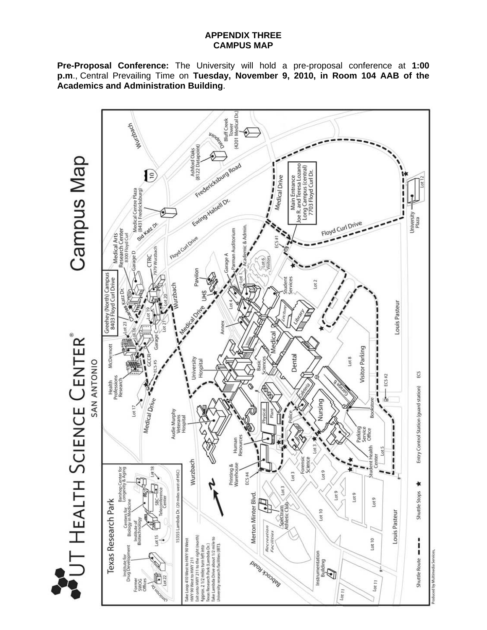### **APPENDIX THREE CAMPUS MAP**

**Pre-Proposal Conference:** The University will hold a pre-proposal conference at **1:00 p.m**., Central Prevailing Time on **Tuesday, November 9, 2010, in Room 104 AAB of the Academics and Administration Building**.

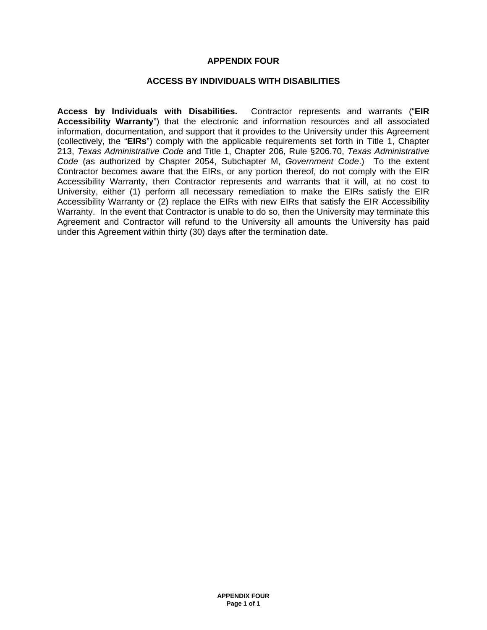#### **APPENDIX FOUR**

#### **ACCESS BY INDIVIDUALS WITH DISABILITIES**

**Access by Individuals with Disabilities.** Contractor represents and warrants ("**EIR Accessibility Warranty**") that the electronic and information resources and all associated information, documentation, and support that it provides to the University under this Agreement (collectively, the "**EIRs**") comply with the applicable requirements set forth in Title 1, Chapter 213, *Texas Administrative Code* and Title 1, Chapter 206, Rule §206.70, *Texas Administrative Code* (as authorized by Chapter 2054, Subchapter M, *Government Code*.) To the extent Contractor becomes aware that the EIRs, or any portion thereof, do not comply with the EIR Accessibility Warranty, then Contractor represents and warrants that it will, at no cost to University, either (1) perform all necessary remediation to make the EIRs satisfy the EIR Accessibility Warranty or (2) replace the EIRs with new EIRs that satisfy the EIR Accessibility Warranty. In the event that Contractor is unable to do so, then the University may terminate this Agreement and Contractor will refund to the University all amounts the University has paid under this Agreement within thirty (30) days after the termination date.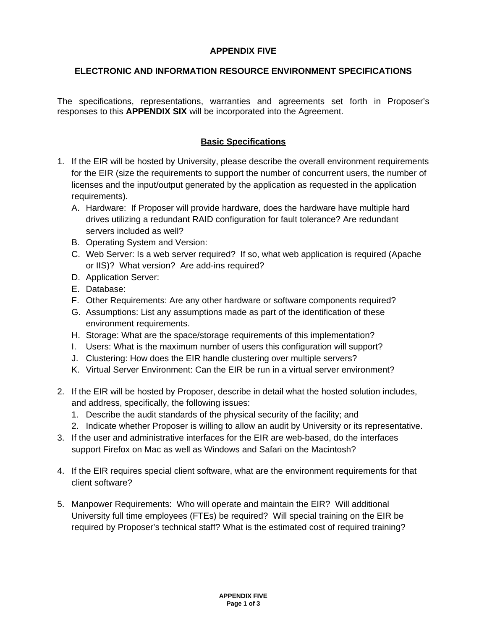# **APPENDIX FIVE**

# **ELECTRONIC AND INFORMATION RESOURCE ENVIRONMENT SPECIFICATIONS**

The specifications, representations, warranties and agreements set forth in Proposer's responses to this **APPENDIX SIX** will be incorporated into the Agreement.

# **Basic Specifications**

- 1. If the EIR will be hosted by University, please describe the overall environment requirements for the EIR (size the requirements to support the number of concurrent users, the number of licenses and the input/output generated by the application as requested in the application requirements).
	- A. Hardware: If Proposer will provide hardware, does the hardware have multiple hard drives utilizing a redundant RAID configuration for fault tolerance? Are redundant servers included as well?
	- B. Operating System and Version:
	- C. Web Server: Is a web server required? If so, what web application is required (Apache or IIS)? What version? Are add-ins required?
	- D. Application Server:
	- E. Database:
	- F. Other Requirements: Are any other hardware or software components required?
	- G. Assumptions: List any assumptions made as part of the identification of these environment requirements.
	- H. Storage: What are the space/storage requirements of this implementation?
	- I. Users: What is the maximum number of users this configuration will support?
	- J. Clustering: How does the EIR handle clustering over multiple servers?
	- K. Virtual Server Environment: Can the EIR be run in a virtual server environment?
- 2. If the EIR will be hosted by Proposer, describe in detail what the hosted solution includes, and address, specifically, the following issues:
	- 1. Describe the audit standards of the physical security of the facility; and
	- 2. Indicate whether Proposer is willing to allow an audit by University or its representative.
- 3. If the user and administrative interfaces for the EIR are web-based, do the interfaces support Firefox on Mac as well as Windows and Safari on the Macintosh?
- 4. If the EIR requires special client software, what are the environment requirements for that client software?
- 5. Manpower Requirements: Who will operate and maintain the EIR? Will additional University full time employees (FTEs) be required? Will special training on the EIR be required by Proposer's technical staff? What is the estimated cost of required training?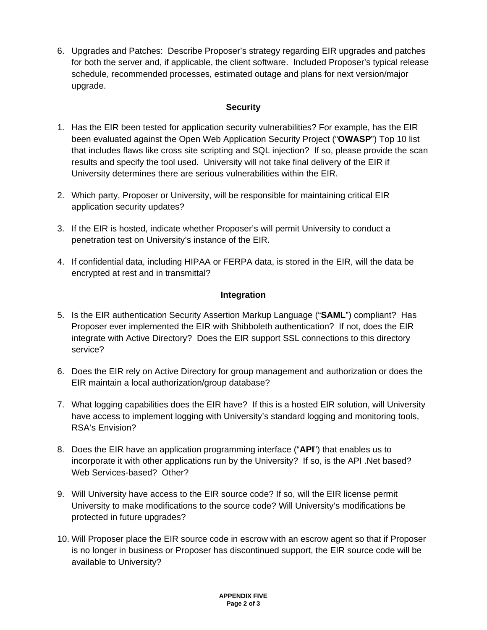6. Upgrades and Patches: Describe Proposer's strategy regarding EIR upgrades and patches for both the server and, if applicable, the client software. Included Proposer's typical release schedule, recommended processes, estimated outage and plans for next version/major upgrade.

# **Security**

- 1. Has the EIR been tested for application security vulnerabilities? For example, has the EIR been evaluated against the Open Web Application Security Project ("**OWASP**") Top 10 list that includes flaws like cross site scripting and SQL injection? If so, please provide the scan results and specify the tool used. University will not take final delivery of the EIR if University determines there are serious vulnerabilities within the EIR.
- 2. Which party, Proposer or University, will be responsible for maintaining critical EIR application security updates?
- 3. If the EIR is hosted, indicate whether Proposer's will permit University to conduct a penetration test on University's instance of the EIR.
- 4. If confidential data, including HIPAA or FERPA data, is stored in the EIR, will the data be encrypted at rest and in transmittal?

# **Integration**

- 5. Is the EIR authentication Security Assertion Markup Language ("**SAML**") compliant? Has Proposer ever implemented the EIR with Shibboleth authentication? If not, does the EIR integrate with Active Directory? Does the EIR support SSL connections to this directory service?
- 6. Does the EIR rely on Active Directory for group management and authorization or does the EIR maintain a local authorization/group database?
- 7. What logging capabilities does the EIR have? If this is a hosted EIR solution, will University have access to implement logging with University's standard logging and monitoring tools, RSA's Envision?
- 8. Does the EIR have an application programming interface ("**API**") that enables us to incorporate it with other applications run by the University? If so, is the API .Net based? Web Services-based? Other?
- 9. Will University have access to the EIR source code? If so, will the EIR license permit University to make modifications to the source code? Will University's modifications be protected in future upgrades?
- 10. Will Proposer place the EIR source code in escrow with an escrow agent so that if Proposer is no longer in business or Proposer has discontinued support, the EIR source code will be available to University?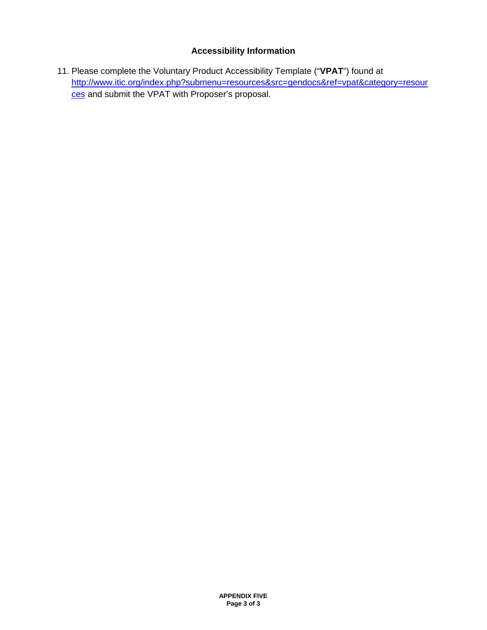# **Accessibility Information**

11. Please complete the Voluntary Product Accessibility Template ("**VPAT**") found at http://www.itic.org/index.php?submenu=resources&src=gendocs&ref=vpat&category=resour ces and submit the VPAT with Proposer's proposal.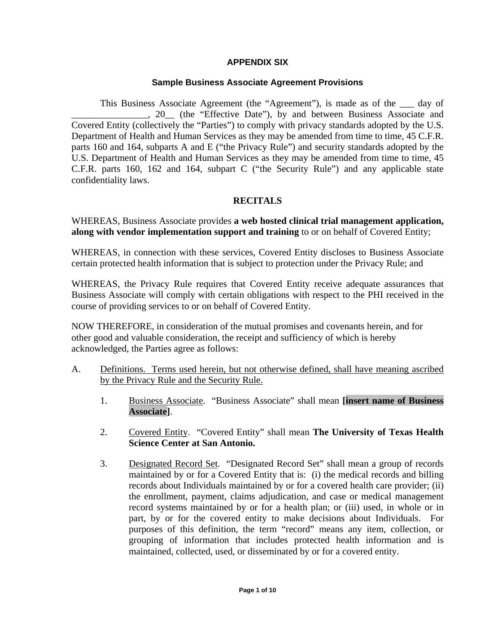### **APPENDIX SIX**

#### **Sample Business Associate Agreement Provisions**

This Business Associate Agreement (the "Agreement"), is made as of the \_\_\_ day of \_\_\_\_\_\_\_\_\_\_\_\_\_\_\_\_, 20\_\_ (the "Effective Date"), by and between Business Associate and Covered Entity (collectively the "Parties") to comply with privacy standards adopted by the U.S. Department of Health and Human Services as they may be amended from time to time, 45 C.F.R. parts 160 and 164, subparts A and E ("the Privacy Rule") and security standards adopted by the U.S. Department of Health and Human Services as they may be amended from time to time, 45 C.F.R. parts 160, 162 and 164, subpart C ("the Security Rule") and any applicable state confidentiality laws.

### **RECITALS**

WHEREAS, Business Associate provides **a web hosted clinical trial management application, along with vendor implementation support and training** to or on behalf of Covered Entity;

WHEREAS, in connection with these services, Covered Entity discloses to Business Associate certain protected health information that is subject to protection under the Privacy Rule; and

WHEREAS, the Privacy Rule requires that Covered Entity receive adequate assurances that Business Associate will comply with certain obligations with respect to the PHI received in the course of providing services to or on behalf of Covered Entity.

NOW THEREFORE, in consideration of the mutual promises and covenants herein, and for other good and valuable consideration, the receipt and sufficiency of which is hereby acknowledged, the Parties agree as follows:

- A. Definitions. Terms used herein, but not otherwise defined, shall have meaning ascribed by the Privacy Rule and the Security Rule.
	- 1. Business Associate. "Business Associate" shall mean **[insert name of Business Associate]**.
	- 2. Covered Entity. "Covered Entity" shall mean **The University of Texas Health Science Center at San Antonio.**
	- 3. Designated Record Set. "Designated Record Set" shall mean a group of records maintained by or for a Covered Entity that is: (i) the medical records and billing records about Individuals maintained by or for a covered health care provider; (ii) the enrollment, payment, claims adjudication, and case or medical management record systems maintained by or for a health plan; or (iii) used, in whole or in part, by or for the covered entity to make decisions about Individuals. For purposes of this definition, the term "record" means any item, collection, or grouping of information that includes protected health information and is maintained, collected, used, or disseminated by or for a covered entity.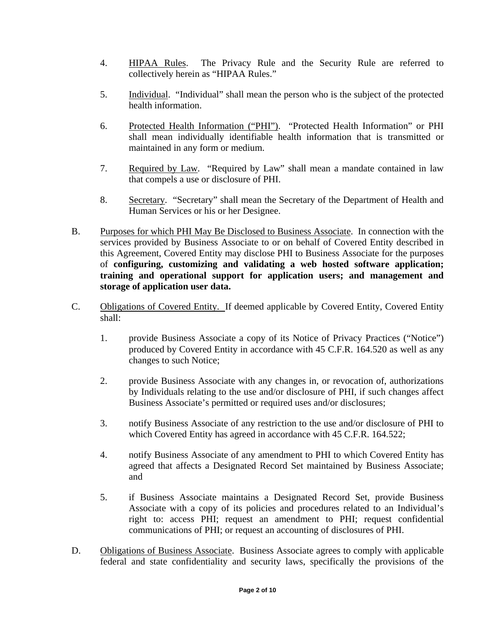- 4. **HIPAA Rules.** The Privacy Rule and the Security Rule are referred to collectively herein as "HIPAA Rules."
- 5. Individual. "Individual" shall mean the person who is the subject of the protected health information.
- 6. Protected Health Information ("PHI"). "Protected Health Information" or PHI shall mean individually identifiable health information that is transmitted or maintained in any form or medium.
- 7. Required by Law. "Required by Law" shall mean a mandate contained in law that compels a use or disclosure of PHI.
- 8. Secretary. "Secretary" shall mean the Secretary of the Department of Health and Human Services or his or her Designee.
- B. Purposes for which PHI May Be Disclosed to Business Associate. In connection with the services provided by Business Associate to or on behalf of Covered Entity described in this Agreement, Covered Entity may disclose PHI to Business Associate for the purposes of **configuring, customizing and validating a web hosted software application; training and operational support for application users; and management and storage of application user data.**
- C. Obligations of Covered Entity. If deemed applicable by Covered Entity, Covered Entity shall:
	- 1. provide Business Associate a copy of its Notice of Privacy Practices ("Notice") produced by Covered Entity in accordance with 45 C.F.R. 164.520 as well as any changes to such Notice;
	- 2. provide Business Associate with any changes in, or revocation of, authorizations by Individuals relating to the use and/or disclosure of PHI, if such changes affect Business Associate's permitted or required uses and/or disclosures;
	- 3. notify Business Associate of any restriction to the use and/or disclosure of PHI to which Covered Entity has agreed in accordance with 45 C.F.R. 164.522;
	- 4. notify Business Associate of any amendment to PHI to which Covered Entity has agreed that affects a Designated Record Set maintained by Business Associate; and
	- 5. if Business Associate maintains a Designated Record Set, provide Business Associate with a copy of its policies and procedures related to an Individual's right to: access PHI; request an amendment to PHI; request confidential communications of PHI; or request an accounting of disclosures of PHI.
- D. Obligations of Business Associate. Business Associate agrees to comply with applicable federal and state confidentiality and security laws, specifically the provisions of the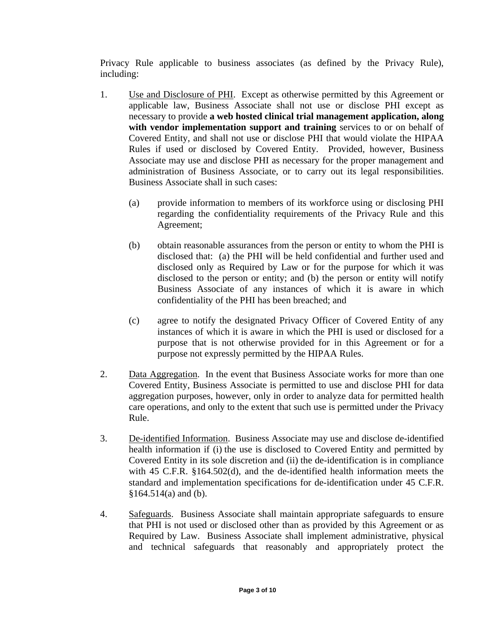Privacy Rule applicable to business associates (as defined by the Privacy Rule), including:

- 1. Use and Disclosure of PHI. Except as otherwise permitted by this Agreement or applicable law, Business Associate shall not use or disclose PHI except as necessary to provide **a web hosted clinical trial management application, along with vendor implementation support and training** services to or on behalf of Covered Entity, and shall not use or disclose PHI that would violate the HIPAA Rules if used or disclosed by Covered Entity. Provided, however, Business Associate may use and disclose PHI as necessary for the proper management and administration of Business Associate, or to carry out its legal responsibilities. Business Associate shall in such cases:
	- (a) provide information to members of its workforce using or disclosing PHI regarding the confidentiality requirements of the Privacy Rule and this Agreement;
	- (b) obtain reasonable assurances from the person or entity to whom the PHI is disclosed that: (a) the PHI will be held confidential and further used and disclosed only as Required by Law or for the purpose for which it was disclosed to the person or entity; and (b) the person or entity will notify Business Associate of any instances of which it is aware in which confidentiality of the PHI has been breached; and
	- (c) agree to notify the designated Privacy Officer of Covered Entity of any instances of which it is aware in which the PHI is used or disclosed for a purpose that is not otherwise provided for in this Agreement or for a purpose not expressly permitted by the HIPAA Rules.
- 2. Data Aggregation. In the event that Business Associate works for more than one Covered Entity, Business Associate is permitted to use and disclose PHI for data aggregation purposes, however, only in order to analyze data for permitted health care operations, and only to the extent that such use is permitted under the Privacy Rule.
- 3. De-identified Information. Business Associate may use and disclose de-identified health information if (i) the use is disclosed to Covered Entity and permitted by Covered Entity in its sole discretion and (ii) the de-identification is in compliance with 45 C.F.R. §164.502(d), and the de-identified health information meets the standard and implementation specifications for de-identification under 45 C.F.R.  $§164.514(a)$  and (b).
- 4. Safeguards. Business Associate shall maintain appropriate safeguards to ensure that PHI is not used or disclosed other than as provided by this Agreement or as Required by Law. Business Associate shall implement administrative, physical and technical safeguards that reasonably and appropriately protect the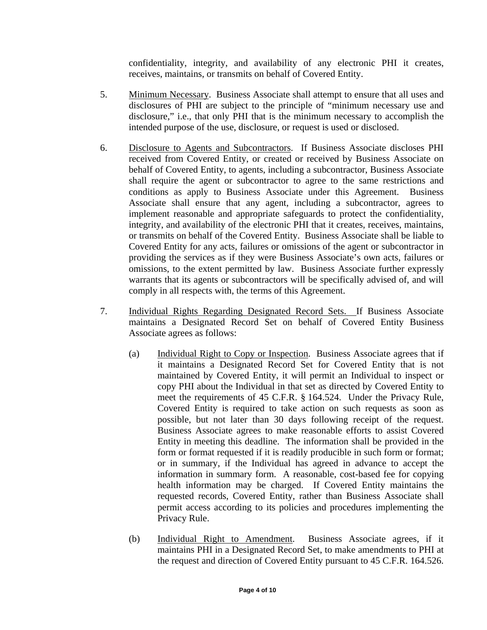confidentiality, integrity, and availability of any electronic PHI it creates, receives, maintains, or transmits on behalf of Covered Entity.

- 5. Minimum Necessary. Business Associate shall attempt to ensure that all uses and disclosures of PHI are subject to the principle of "minimum necessary use and disclosure," i.e., that only PHI that is the minimum necessary to accomplish the intended purpose of the use, disclosure, or request is used or disclosed.
- 6. Disclosure to Agents and Subcontractors. If Business Associate discloses PHI received from Covered Entity, or created or received by Business Associate on behalf of Covered Entity, to agents, including a subcontractor, Business Associate shall require the agent or subcontractor to agree to the same restrictions and conditions as apply to Business Associate under this Agreement. Business Associate shall ensure that any agent, including a subcontractor, agrees to implement reasonable and appropriate safeguards to protect the confidentiality, integrity, and availability of the electronic PHI that it creates, receives, maintains, or transmits on behalf of the Covered Entity. Business Associate shall be liable to Covered Entity for any acts, failures or omissions of the agent or subcontractor in providing the services as if they were Business Associate's own acts, failures or omissions, to the extent permitted by law. Business Associate further expressly warrants that its agents or subcontractors will be specifically advised of, and will comply in all respects with, the terms of this Agreement.
- 7. Individual Rights Regarding Designated Record Sets. If Business Associate maintains a Designated Record Set on behalf of Covered Entity Business Associate agrees as follows:
	- (a) Individual Right to Copy or Inspection. Business Associate agrees that if it maintains a Designated Record Set for Covered Entity that is not maintained by Covered Entity, it will permit an Individual to inspect or copy PHI about the Individual in that set as directed by Covered Entity to meet the requirements of 45 C.F.R. § 164.524. Under the Privacy Rule, Covered Entity is required to take action on such requests as soon as possible, but not later than 30 days following receipt of the request. Business Associate agrees to make reasonable efforts to assist Covered Entity in meeting this deadline. The information shall be provided in the form or format requested if it is readily producible in such form or format; or in summary, if the Individual has agreed in advance to accept the information in summary form. A reasonable, cost-based fee for copying health information may be charged. If Covered Entity maintains the requested records, Covered Entity, rather than Business Associate shall permit access according to its policies and procedures implementing the Privacy Rule.
	- (b) Individual Right to Amendment. Business Associate agrees, if it maintains PHI in a Designated Record Set, to make amendments to PHI at the request and direction of Covered Entity pursuant to 45 C.F.R. 164.526.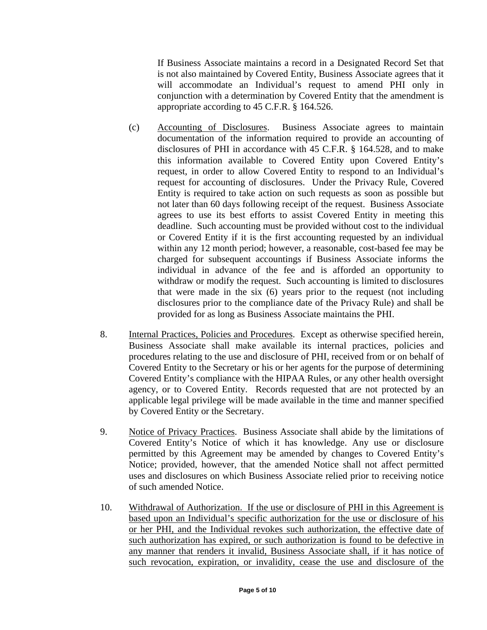If Business Associate maintains a record in a Designated Record Set that is not also maintained by Covered Entity, Business Associate agrees that it will accommodate an Individual's request to amend PHI only in conjunction with a determination by Covered Entity that the amendment is appropriate according to 45 C.F.R. § 164.526.

- (c) Accounting of Disclosures. Business Associate agrees to maintain documentation of the information required to provide an accounting of disclosures of PHI in accordance with 45 C.F.R. § 164.528, and to make this information available to Covered Entity upon Covered Entity's request, in order to allow Covered Entity to respond to an Individual's request for accounting of disclosures. Under the Privacy Rule, Covered Entity is required to take action on such requests as soon as possible but not later than 60 days following receipt of the request. Business Associate agrees to use its best efforts to assist Covered Entity in meeting this deadline. Such accounting must be provided without cost to the individual or Covered Entity if it is the first accounting requested by an individual within any 12 month period; however, a reasonable, cost-based fee may be charged for subsequent accountings if Business Associate informs the individual in advance of the fee and is afforded an opportunity to withdraw or modify the request. Such accounting is limited to disclosures that were made in the six (6) years prior to the request (not including disclosures prior to the compliance date of the Privacy Rule) and shall be provided for as long as Business Associate maintains the PHI.
- 8. Internal Practices, Policies and Procedures. Except as otherwise specified herein, Business Associate shall make available its internal practices, policies and procedures relating to the use and disclosure of PHI, received from or on behalf of Covered Entity to the Secretary or his or her agents for the purpose of determining Covered Entity's compliance with the HIPAA Rules, or any other health oversight agency, or to Covered Entity. Records requested that are not protected by an applicable legal privilege will be made available in the time and manner specified by Covered Entity or the Secretary.
- 9. Notice of Privacy Practices. Business Associate shall abide by the limitations of Covered Entity's Notice of which it has knowledge. Any use or disclosure permitted by this Agreement may be amended by changes to Covered Entity's Notice; provided, however, that the amended Notice shall not affect permitted uses and disclosures on which Business Associate relied prior to receiving notice of such amended Notice.
- 10. Withdrawal of Authorization. If the use or disclosure of PHI in this Agreement is based upon an Individual's specific authorization for the use or disclosure of his or her PHI, and the Individual revokes such authorization, the effective date of such authorization has expired, or such authorization is found to be defective in any manner that renders it invalid, Business Associate shall, if it has notice of such revocation, expiration, or invalidity, cease the use and disclosure of the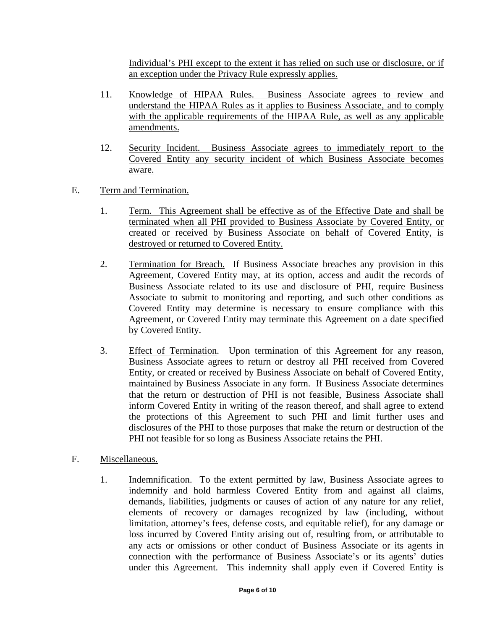Individual's PHI except to the extent it has relied on such use or disclosure, or if an exception under the Privacy Rule expressly applies.

- 11. Knowledge of HIPAA Rules. Business Associate agrees to review and understand the HIPAA Rules as it applies to Business Associate, and to comply with the applicable requirements of the HIPAA Rule, as well as any applicable amendments.
- 12. Security Incident. Business Associate agrees to immediately report to the Covered Entity any security incident of which Business Associate becomes aware.
- E. Term and Termination.
	- 1. Term. This Agreement shall be effective as of the Effective Date and shall be terminated when all PHI provided to Business Associate by Covered Entity, or created or received by Business Associate on behalf of Covered Entity, is destroyed or returned to Covered Entity.
	- 2. Termination for Breach. If Business Associate breaches any provision in this Agreement, Covered Entity may, at its option, access and audit the records of Business Associate related to its use and disclosure of PHI, require Business Associate to submit to monitoring and reporting, and such other conditions as Covered Entity may determine is necessary to ensure compliance with this Agreement, or Covered Entity may terminate this Agreement on a date specified by Covered Entity.
	- 3. Effect of Termination. Upon termination of this Agreement for any reason, Business Associate agrees to return or destroy all PHI received from Covered Entity, or created or received by Business Associate on behalf of Covered Entity, maintained by Business Associate in any form. If Business Associate determines that the return or destruction of PHI is not feasible, Business Associate shall inform Covered Entity in writing of the reason thereof, and shall agree to extend the protections of this Agreement to such PHI and limit further uses and disclosures of the PHI to those purposes that make the return or destruction of the PHI not feasible for so long as Business Associate retains the PHI.
- F. Miscellaneous.
	- 1. Indemnification. To the extent permitted by law, Business Associate agrees to indemnify and hold harmless Covered Entity from and against all claims, demands, liabilities, judgments or causes of action of any nature for any relief, elements of recovery or damages recognized by law (including, without limitation, attorney's fees, defense costs, and equitable relief), for any damage or loss incurred by Covered Entity arising out of, resulting from, or attributable to any acts or omissions or other conduct of Business Associate or its agents in connection with the performance of Business Associate's or its agents' duties under this Agreement. This indemnity shall apply even if Covered Entity is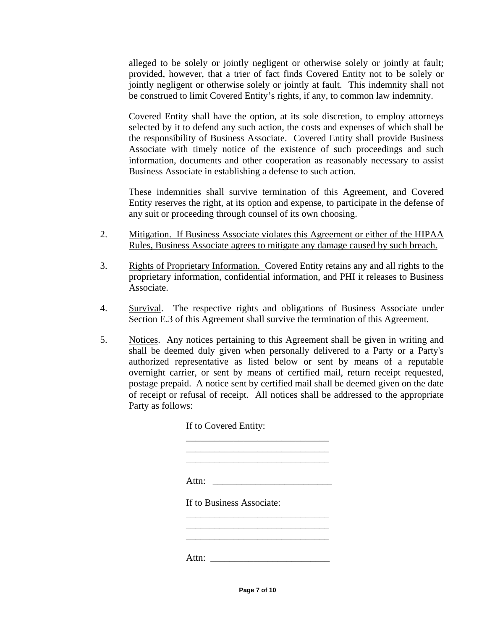alleged to be solely or jointly negligent or otherwise solely or jointly at fault; provided, however, that a trier of fact finds Covered Entity not to be solely or jointly negligent or otherwise solely or jointly at fault. This indemnity shall not be construed to limit Covered Entity's rights, if any, to common law indemnity.

Covered Entity shall have the option, at its sole discretion, to employ attorneys selected by it to defend any such action, the costs and expenses of which shall be the responsibility of Business Associate. Covered Entity shall provide Business Associate with timely notice of the existence of such proceedings and such information, documents and other cooperation as reasonably necessary to assist Business Associate in establishing a defense to such action.

These indemnities shall survive termination of this Agreement, and Covered Entity reserves the right, at its option and expense, to participate in the defense of any suit or proceeding through counsel of its own choosing.

- 2. Mitigation. If Business Associate violates this Agreement or either of the HIPAA Rules, Business Associate agrees to mitigate any damage caused by such breach.
- 3. Rights of Proprietary Information. Covered Entity retains any and all rights to the proprietary information, confidential information, and PHI it releases to Business Associate.
- 4. Survival. The respective rights and obligations of Business Associate under Section E.3 of this Agreement shall survive the termination of this Agreement.
- 5. Notices. Any notices pertaining to this Agreement shall be given in writing and shall be deemed duly given when personally delivered to a Party or a Party's authorized representative as listed below or sent by means of a reputable overnight carrier, or sent by means of certified mail, return receipt requested, postage prepaid. A notice sent by certified mail shall be deemed given on the date of receipt or refusal of receipt. All notices shall be addressed to the appropriate Party as follows:

If to Covered Entity: \_\_\_\_\_\_\_\_\_\_\_\_\_\_\_\_\_\_\_\_\_\_\_\_\_\_\_\_\_\_ \_\_\_\_\_\_\_\_\_\_\_\_\_\_\_\_\_\_\_\_\_\_\_\_\_\_\_\_\_\_ \_\_\_\_\_\_\_\_\_\_\_\_\_\_\_\_\_\_\_\_\_\_\_\_\_\_\_\_\_\_ Attn: \_\_\_\_\_\_\_\_\_\_\_\_\_\_\_\_\_\_\_\_\_\_\_\_\_ If to Business Associate: \_\_\_\_\_\_\_\_\_\_\_\_\_\_\_\_\_\_\_\_\_\_\_\_\_\_\_\_\_\_ \_\_\_\_\_\_\_\_\_\_\_\_\_\_\_\_\_\_\_\_\_\_\_\_\_\_\_\_\_\_ \_\_\_\_\_\_\_\_\_\_\_\_\_\_\_\_\_\_\_\_\_\_\_\_\_\_\_\_\_\_ Attn: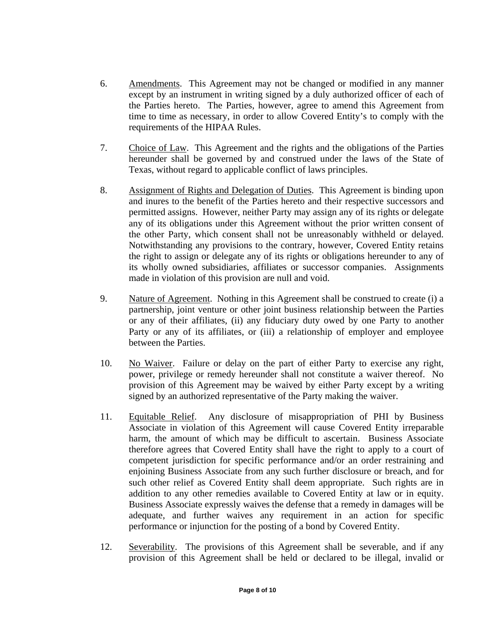- 6. Amendments. This Agreement may not be changed or modified in any manner except by an instrument in writing signed by a duly authorized officer of each of the Parties hereto. The Parties, however, agree to amend this Agreement from time to time as necessary, in order to allow Covered Entity's to comply with the requirements of the HIPAA Rules.
- 7. Choice of Law. This Agreement and the rights and the obligations of the Parties hereunder shall be governed by and construed under the laws of the State of Texas, without regard to applicable conflict of laws principles.
- 8. Assignment of Rights and Delegation of Duties. This Agreement is binding upon and inures to the benefit of the Parties hereto and their respective successors and permitted assigns. However, neither Party may assign any of its rights or delegate any of its obligations under this Agreement without the prior written consent of the other Party, which consent shall not be unreasonably withheld or delayed. Notwithstanding any provisions to the contrary, however, Covered Entity retains the right to assign or delegate any of its rights or obligations hereunder to any of its wholly owned subsidiaries, affiliates or successor companies. Assignments made in violation of this provision are null and void.
- 9. Nature of Agreement. Nothing in this Agreement shall be construed to create (i) a partnership, joint venture or other joint business relationship between the Parties or any of their affiliates, (ii) any fiduciary duty owed by one Party to another Party or any of its affiliates, or (iii) a relationship of employer and employee between the Parties.
- 10. No Waiver. Failure or delay on the part of either Party to exercise any right, power, privilege or remedy hereunder shall not constitute a waiver thereof. No provision of this Agreement may be waived by either Party except by a writing signed by an authorized representative of the Party making the waiver.
- 11. Equitable Relief. Any disclosure of misappropriation of PHI by Business Associate in violation of this Agreement will cause Covered Entity irreparable harm, the amount of which may be difficult to ascertain. Business Associate therefore agrees that Covered Entity shall have the right to apply to a court of competent jurisdiction for specific performance and/or an order restraining and enjoining Business Associate from any such further disclosure or breach, and for such other relief as Covered Entity shall deem appropriate. Such rights are in addition to any other remedies available to Covered Entity at law or in equity. Business Associate expressly waives the defense that a remedy in damages will be adequate, and further waives any requirement in an action for specific performance or injunction for the posting of a bond by Covered Entity.
- 12. Severability. The provisions of this Agreement shall be severable, and if any provision of this Agreement shall be held or declared to be illegal, invalid or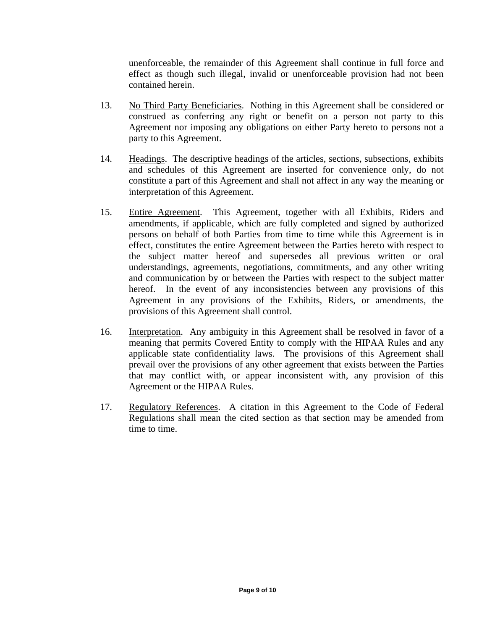unenforceable, the remainder of this Agreement shall continue in full force and effect as though such illegal, invalid or unenforceable provision had not been contained herein.

- 13. No Third Party Beneficiaries. Nothing in this Agreement shall be considered or construed as conferring any right or benefit on a person not party to this Agreement nor imposing any obligations on either Party hereto to persons not a party to this Agreement.
- 14. Headings. The descriptive headings of the articles, sections, subsections, exhibits and schedules of this Agreement are inserted for convenience only, do not constitute a part of this Agreement and shall not affect in any way the meaning or interpretation of this Agreement.
- 15. Entire Agreement. This Agreement, together with all Exhibits, Riders and amendments, if applicable, which are fully completed and signed by authorized persons on behalf of both Parties from time to time while this Agreement is in effect, constitutes the entire Agreement between the Parties hereto with respect to the subject matter hereof and supersedes all previous written or oral understandings, agreements, negotiations, commitments, and any other writing and communication by or between the Parties with respect to the subject matter hereof. In the event of any inconsistencies between any provisions of this Agreement in any provisions of the Exhibits, Riders, or amendments, the provisions of this Agreement shall control.
- 16. Interpretation. Any ambiguity in this Agreement shall be resolved in favor of a meaning that permits Covered Entity to comply with the HIPAA Rules and any applicable state confidentiality laws. The provisions of this Agreement shall prevail over the provisions of any other agreement that exists between the Parties that may conflict with, or appear inconsistent with, any provision of this Agreement or the HIPAA Rules.
- 17. Regulatory References. A citation in this Agreement to the Code of Federal Regulations shall mean the cited section as that section may be amended from time to time.